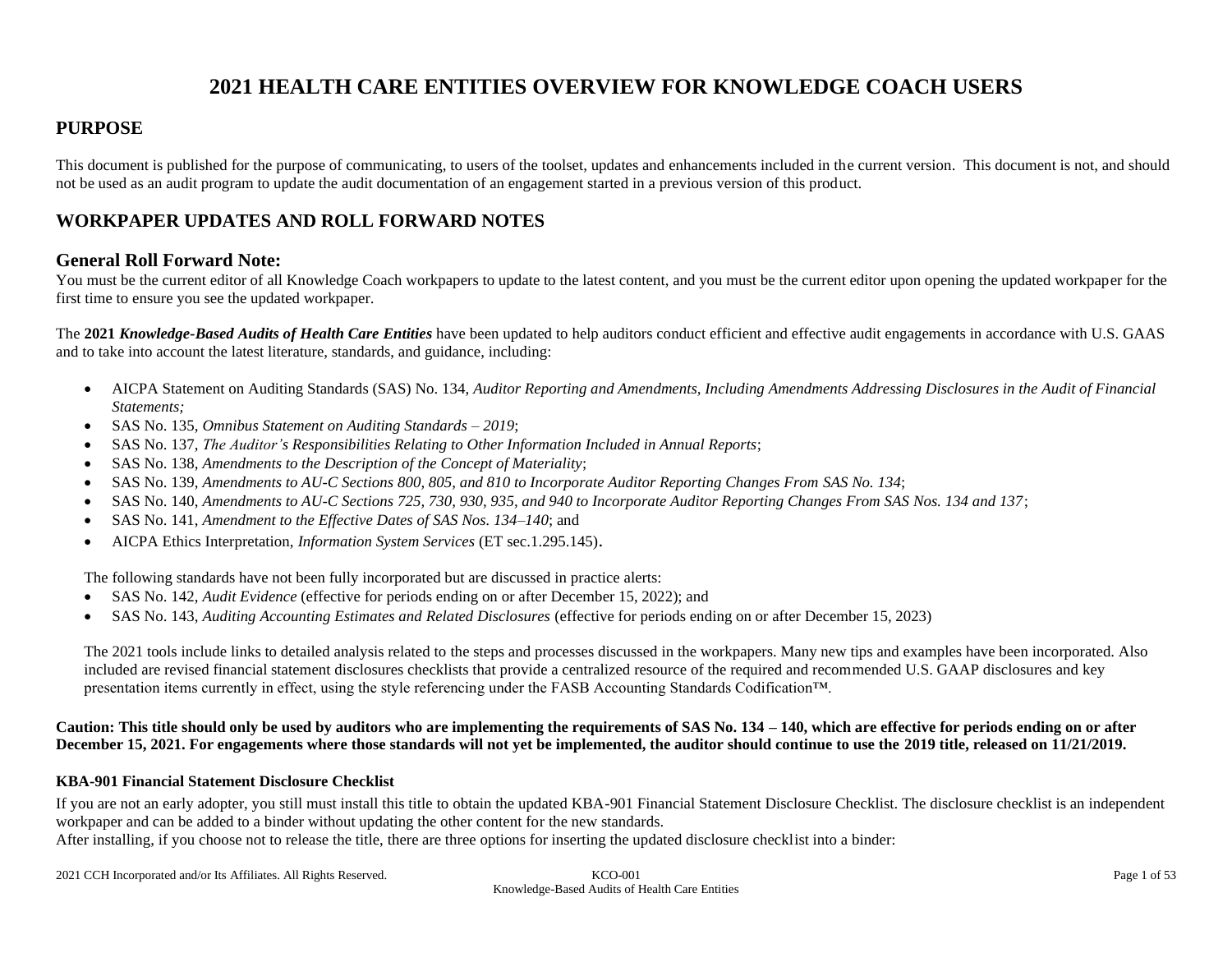# **2021 HEALTH CARE ENTITIES OVERVIEW FOR KNOWLEDGE COACH USERS**

### **PURPOSE**

This document is published for the purpose of communicating, to users of the toolset, updates and enhancements included in the current version. This document is not, and should not be used as an audit program to update the audit documentation of an engagement started in a previous version of this product.

### **WORKPAPER UPDATES AND ROLL FORWARD NOTES**

#### **General Roll Forward Note:**

You must be the current editor of all Knowledge Coach workpapers to update to the latest content, and you must be the current editor upon opening the updated workpaper for the first time to ensure you see the updated workpaper.

The **2021** *Knowledge-Based Audits of Health Care Entities* have been updated to help auditors conduct efficient and effective audit engagements in accordance with U.S. GAAS and to take into account the latest literature, standards, and guidance, including:

- AICPA Statement on Auditing Standards (SAS) No. 134, *Auditor Reporting and Amendments, Including Amendments Addressing Disclosures in the Audit of Financial Statements;*
- SAS No. 135, *Omnibus Statement on Auditing Standards – 2019*;
- SAS No. 137, *The Auditor's Responsibilities Relating to Other Information Included in Annual Reports*;
- SAS No. 138, *Amendments to the Description of the Concept of Materiality*;
- SAS No. 139, *Amendments to AU-C Sections 800, 805, and 810 to Incorporate Auditor Reporting Changes From SAS No. 134*;
- SAS No. 140, *Amendments to AU-C Sections 725, 730, 930, 935, and 940 to Incorporate Auditor Reporting Changes From SAS Nos. 134 and 137*;
- SAS No. 141, *Amendment to the Effective Dates of SAS Nos. 134–140*; and
- AICPA Ethics Interpretation, *Information System Services* (ET sec.1.295.145).

The following standards have not been fully incorporated but are discussed in practice alerts:

- SAS No. 142, *Audit Evidence* (effective for periods ending on or after December 15, 2022); and
- SAS No. 143, *Auditing Accounting Estimates and Related Disclosures* (effective for periods ending on or after December 15, 2023)

The 2021 tools include links to detailed analysis related to the steps and processes discussed in the workpapers. Many new tips and examples have been incorporated. Also included are revised financial statement disclosures checklists that provide a centralized resource of the required and recommended U.S. GAAP disclosures and key presentation items currently in effect, using the style referencing under the FASB Accounting Standards Codification™.

#### **Caution: This title should only be used by auditors who are implementing the requirements of SAS No. 134 – 140, which are effective for periods ending on or after December 15, 2021. For engagements where those standards will not yet be implemented, the auditor should continue to use the 2019 title, released on 11/21/2019.**

#### **KBA-901 Financial Statement Disclosure Checklist**

If you are not an early adopter, you still must install this title to obtain the updated KBA-901 Financial Statement Disclosure Checklist. The disclosure checklist is an independent workpaper and can be added to a binder without updating the other content for the new standards.

After installing, if you choose not to release the title, there are three options for inserting the updated disclosure checklist into a binder:

2021 CCH Incorporated and/or Its Affiliates. All Rights Reserved. KCO-001 Page 1 of 53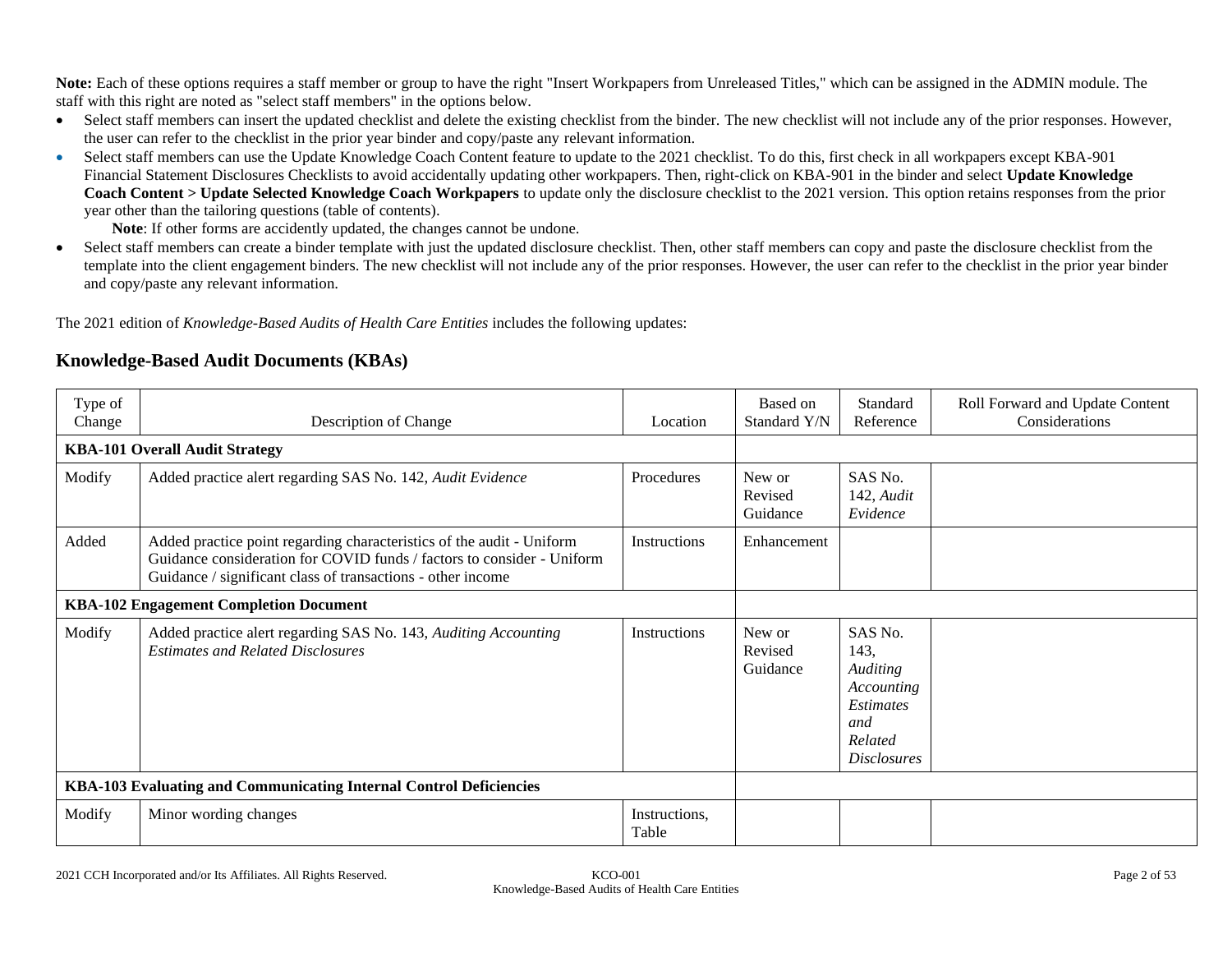**Note:** Each of these options requires a staff member or group to have the right "Insert Workpapers from Unreleased Titles," which can be assigned in the ADMIN module. The staff with this right are noted as "select staff members" in the options below.

- Select staff members can insert the updated checklist and delete the existing checklist from the binder. The new checklist will not include any of the prior responses. However, the user can refer to the checklist in the prior year binder and copy/paste any relevant information.
- Select staff members can use the Update Knowledge Coach Content feature to update to the 2021 checklist. To do this, first check in all workpapers except KBA-901 Financial Statement Disclosures Checklists to avoid accidentally updating other workpapers. Then, right-click on KBA-901 in the binder and select **Update Knowledge Coach Content > Update Selected Knowledge Coach Workpapers** to update only the disclosure checklist to the 2021 version. This option retains responses from the prior year other than the tailoring questions (table of contents).

**Note**: If other forms are accidently updated, the changes cannot be undone.

• Select staff members can create a binder template with just the updated disclosure checklist. Then, other staff members can copy and paste the disclosure checklist from the template into the client engagement binders. The new checklist will not include any of the prior responses. However, the user can refer to the checklist in the prior year binder and copy/paste any relevant information.

The 2021 edition of *Knowledge-Based Audits of Health Care Entities* includes the following updates:

# **Knowledge-Based Audit Documents (KBAs)**

| Type of<br>Change                                                  | Description of Change                                                                                                                                                                                          | Location               | Based on<br>Standard Y/N      | Standard<br>Reference                                                                                        | Roll Forward and Update Content<br>Considerations |
|--------------------------------------------------------------------|----------------------------------------------------------------------------------------------------------------------------------------------------------------------------------------------------------------|------------------------|-------------------------------|--------------------------------------------------------------------------------------------------------------|---------------------------------------------------|
|                                                                    | <b>KBA-101 Overall Audit Strategy</b>                                                                                                                                                                          |                        |                               |                                                                                                              |                                                   |
| Modify                                                             | Added practice alert regarding SAS No. 142, Audit Evidence                                                                                                                                                     | Procedures             | New or<br>Revised<br>Guidance | SAS No.<br>142, Audit<br>Evidence                                                                            |                                                   |
| Added                                                              | Added practice point regarding characteristics of the audit - Uniform<br>Guidance consideration for COVID funds / factors to consider - Uniform<br>Guidance / significant class of transactions - other income | Instructions           | Enhancement                   |                                                                                                              |                                                   |
|                                                                    | <b>KBA-102 Engagement Completion Document</b>                                                                                                                                                                  |                        |                               |                                                                                                              |                                                   |
| Modify                                                             | Added practice alert regarding SAS No. 143, Auditing Accounting<br><b>Estimates and Related Disclosures</b>                                                                                                    | Instructions           | New or<br>Revised<br>Guidance | SAS No.<br>143,<br><b>Auditing</b><br>Accounting<br><i>Estimates</i><br>and<br>Related<br><i>Disclosures</i> |                                                   |
| KBA-103 Evaluating and Communicating Internal Control Deficiencies |                                                                                                                                                                                                                |                        |                               |                                                                                                              |                                                   |
| Modify                                                             | Minor wording changes                                                                                                                                                                                          | Instructions,<br>Table |                               |                                                                                                              |                                                   |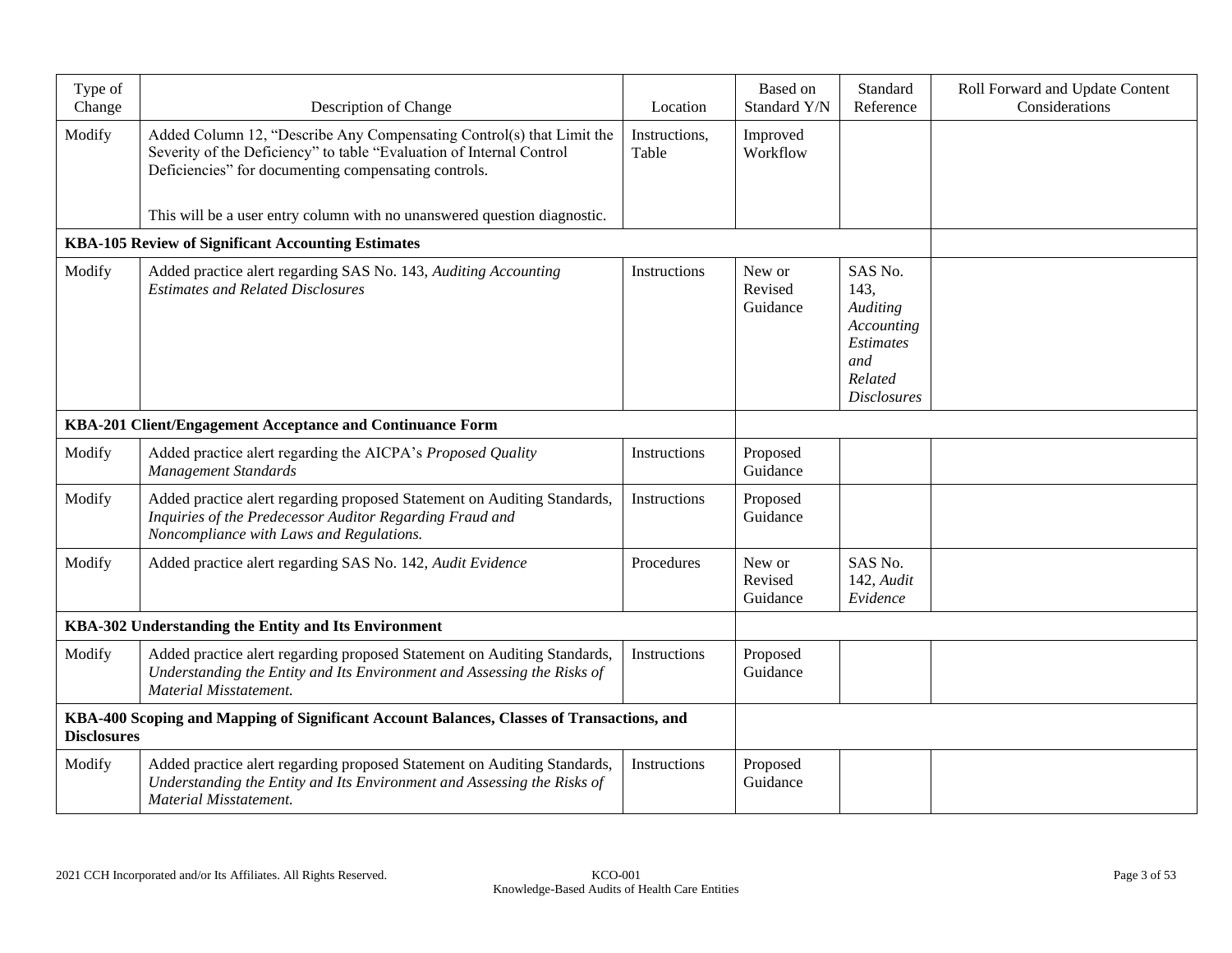| Type of<br>Change  | Description of Change                                                                                                                                                                                 | Location               | Based on<br>Standard Y/N      | Standard<br>Reference                                                                                 | Roll Forward and Update Content<br>Considerations |
|--------------------|-------------------------------------------------------------------------------------------------------------------------------------------------------------------------------------------------------|------------------------|-------------------------------|-------------------------------------------------------------------------------------------------------|---------------------------------------------------|
| Modify             | Added Column 12, "Describe Any Compensating Control(s) that Limit the<br>Severity of the Deficiency" to table "Evaluation of Internal Control<br>Deficiencies" for documenting compensating controls. | Instructions,<br>Table | Improved<br>Workflow          |                                                                                                       |                                                   |
|                    | This will be a user entry column with no unanswered question diagnostic.                                                                                                                              |                        |                               |                                                                                                       |                                                   |
|                    | <b>KBA-105 Review of Significant Accounting Estimates</b>                                                                                                                                             |                        |                               |                                                                                                       |                                                   |
| Modify             | Added practice alert regarding SAS No. 143, Auditing Accounting<br><b>Estimates and Related Disclosures</b>                                                                                           | Instructions           | New or<br>Revised<br>Guidance | SAS No.<br>143,<br>Auditing<br>Accounting<br><b>Estimates</b><br>and<br>Related<br><b>Disclosures</b> |                                                   |
|                    | KBA-201 Client/Engagement Acceptance and Continuance Form                                                                                                                                             |                        |                               |                                                                                                       |                                                   |
| Modify             | Added practice alert regarding the AICPA's Proposed Quality<br><b>Management Standards</b>                                                                                                            | Instructions           | Proposed<br>Guidance          |                                                                                                       |                                                   |
| Modify             | Added practice alert regarding proposed Statement on Auditing Standards,<br>Inquiries of the Predecessor Auditor Regarding Fraud and<br>Noncompliance with Laws and Regulations.                      | Instructions           | Proposed<br>Guidance          |                                                                                                       |                                                   |
| Modify             | Added practice alert regarding SAS No. 142, Audit Evidence                                                                                                                                            | Procedures             | New or<br>Revised<br>Guidance | SAS No.<br>142, Audit<br>Evidence                                                                     |                                                   |
|                    | KBA-302 Understanding the Entity and Its Environment                                                                                                                                                  |                        |                               |                                                                                                       |                                                   |
| Modify             | Added practice alert regarding proposed Statement on Auditing Standards,<br>Understanding the Entity and Its Environment and Assessing the Risks of<br><b>Material Misstatement.</b>                  | Instructions           | Proposed<br>Guidance          |                                                                                                       |                                                   |
| <b>Disclosures</b> | KBA-400 Scoping and Mapping of Significant Account Balances, Classes of Transactions, and                                                                                                             |                        |                               |                                                                                                       |                                                   |
| Modify             | Added practice alert regarding proposed Statement on Auditing Standards,<br>Understanding the Entity and Its Environment and Assessing the Risks of<br><b>Material Misstatement.</b>                  | Instructions           | Proposed<br>Guidance          |                                                                                                       |                                                   |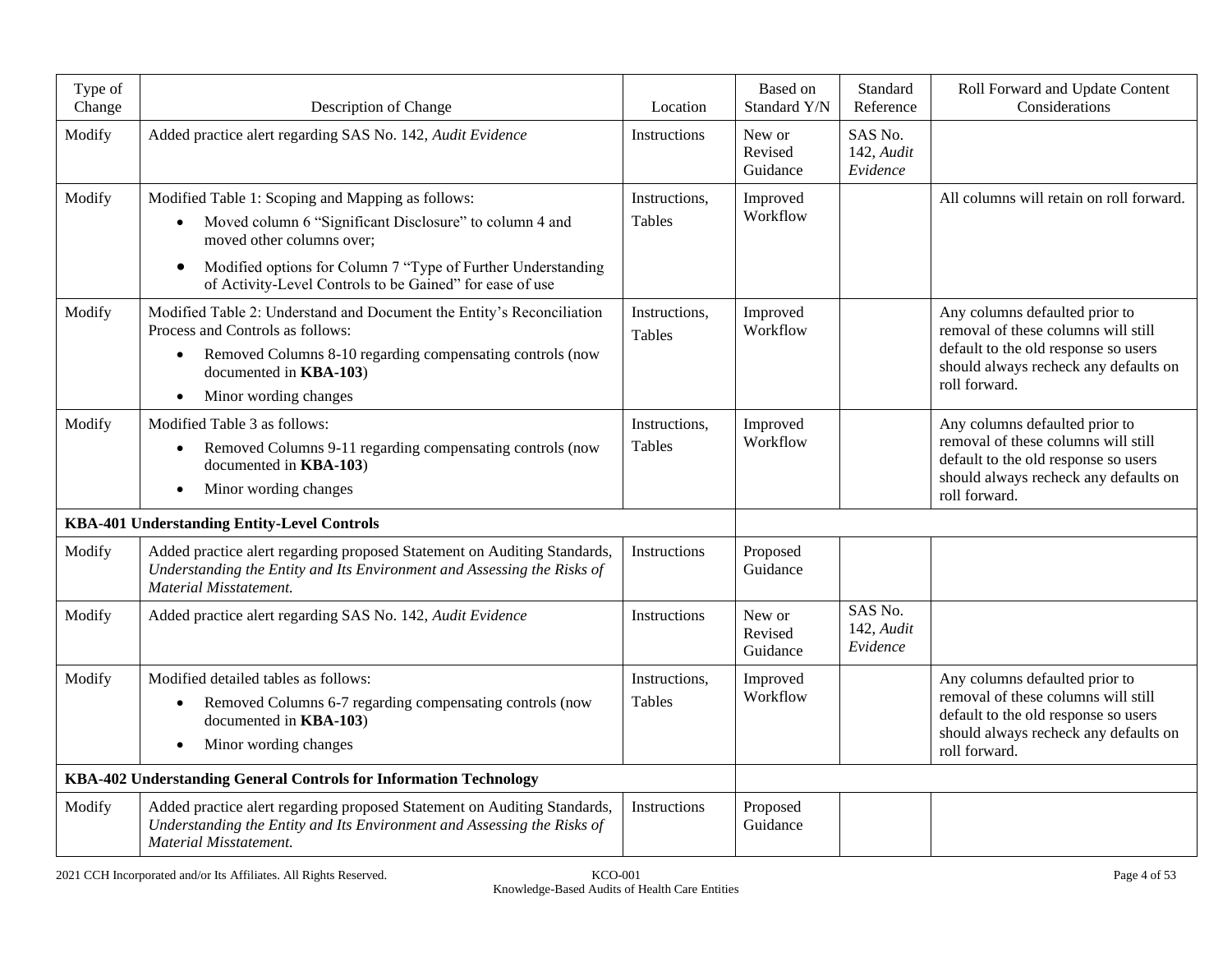| Type of<br>Change | Description of Change                                                                                                                                                                                                                                                                           | Location                | Based on<br>Standard Y/N      | Standard<br>Reference             | Roll Forward and Update Content<br>Considerations                                                                                                                       |
|-------------------|-------------------------------------------------------------------------------------------------------------------------------------------------------------------------------------------------------------------------------------------------------------------------------------------------|-------------------------|-------------------------------|-----------------------------------|-------------------------------------------------------------------------------------------------------------------------------------------------------------------------|
| Modify            | Added practice alert regarding SAS No. 142, Audit Evidence                                                                                                                                                                                                                                      | Instructions            | New or<br>Revised<br>Guidance | SAS No.<br>142, Audit<br>Evidence |                                                                                                                                                                         |
| Modify            | Modified Table 1: Scoping and Mapping as follows:<br>Moved column 6 "Significant Disclosure" to column 4 and<br>$\bullet$<br>moved other columns over;<br>Modified options for Column 7 "Type of Further Understanding<br>$\bullet$<br>of Activity-Level Controls to be Gained" for ease of use | Instructions,<br>Tables | Improved<br>Workflow          |                                   | All columns will retain on roll forward.                                                                                                                                |
| Modify            | Modified Table 2: Understand and Document the Entity's Reconciliation<br>Process and Controls as follows:<br>Removed Columns 8-10 regarding compensating controls (now<br>documented in KBA-103)<br>Minor wording changes                                                                       | Instructions,<br>Tables | Improved<br>Workflow          |                                   | Any columns defaulted prior to<br>removal of these columns will still<br>default to the old response so users<br>should always recheck any defaults on<br>roll forward. |
| Modify            | Modified Table 3 as follows:<br>Removed Columns 9-11 regarding compensating controls (now<br>$\bullet$<br>documented in KBA-103)<br>Minor wording changes                                                                                                                                       | Instructions,<br>Tables | Improved<br>Workflow          |                                   | Any columns defaulted prior to<br>removal of these columns will still<br>default to the old response so users<br>should always recheck any defaults on<br>roll forward. |
|                   | KBA-401 Understanding Entity-Level Controls                                                                                                                                                                                                                                                     |                         |                               |                                   |                                                                                                                                                                         |
| Modify            | Added practice alert regarding proposed Statement on Auditing Standards,<br>Understanding the Entity and Its Environment and Assessing the Risks of<br>Material Misstatement.                                                                                                                   | Instructions            | Proposed<br>Guidance          |                                   |                                                                                                                                                                         |
| Modify            | Added practice alert regarding SAS No. 142, Audit Evidence                                                                                                                                                                                                                                      | Instructions            | New or<br>Revised<br>Guidance | SAS No.<br>142, Audit<br>Evidence |                                                                                                                                                                         |
| Modify            | Modified detailed tables as follows:<br>Removed Columns 6-7 regarding compensating controls (now<br>$\bullet$<br>documented in KBA-103)<br>Minor wording changes                                                                                                                                | Instructions,<br>Tables | Improved<br>Workflow          |                                   | Any columns defaulted prior to<br>removal of these columns will still<br>default to the old response so users<br>should always recheck any defaults on<br>roll forward. |
|                   | KBA-402 Understanding General Controls for Information Technology                                                                                                                                                                                                                               |                         |                               |                                   |                                                                                                                                                                         |
| Modify            | Added practice alert regarding proposed Statement on Auditing Standards,<br>Understanding the Entity and Its Environment and Assessing the Risks of<br>Material Misstatement.                                                                                                                   | Instructions            | Proposed<br>Guidance          |                                   |                                                                                                                                                                         |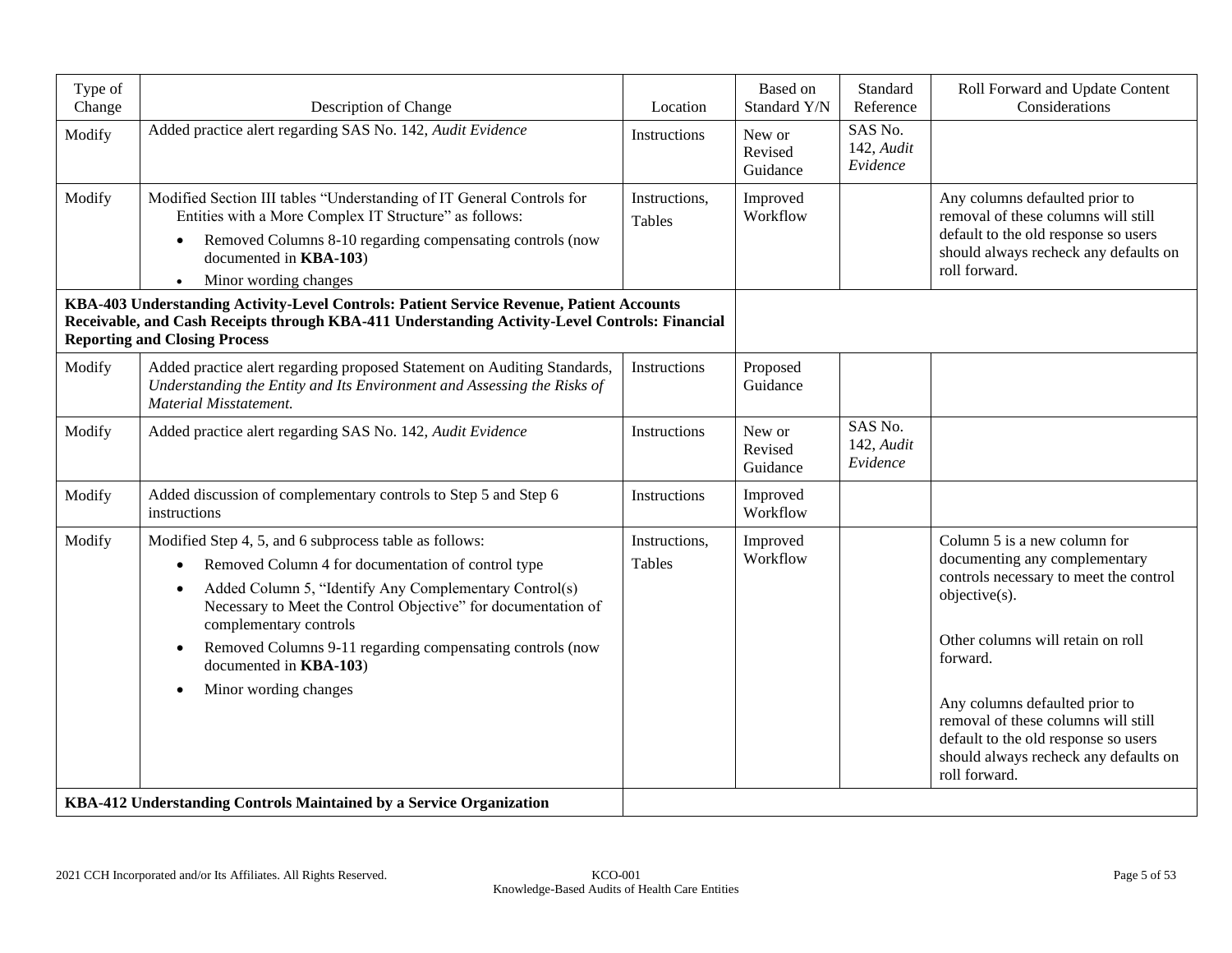| Type of<br>Change | Description of Change                                                                                                                                                                                                                                                                                                                                                                                               | Location                | Based on<br>Standard Y/N      | Standard<br>Reference             | Roll Forward and Update Content<br>Considerations                                                                                                                                                                                                                                                                                                    |
|-------------------|---------------------------------------------------------------------------------------------------------------------------------------------------------------------------------------------------------------------------------------------------------------------------------------------------------------------------------------------------------------------------------------------------------------------|-------------------------|-------------------------------|-----------------------------------|------------------------------------------------------------------------------------------------------------------------------------------------------------------------------------------------------------------------------------------------------------------------------------------------------------------------------------------------------|
| Modify            | Added practice alert regarding SAS No. 142, Audit Evidence                                                                                                                                                                                                                                                                                                                                                          | Instructions            | New or<br>Revised<br>Guidance | SAS No.<br>142, Audit<br>Evidence |                                                                                                                                                                                                                                                                                                                                                      |
| Modify            | Modified Section III tables "Understanding of IT General Controls for<br>Entities with a More Complex IT Structure" as follows:<br>Removed Columns 8-10 regarding compensating controls (now<br>$\bullet$<br>documented in KBA-103)<br>Minor wording changes                                                                                                                                                        | Instructions,<br>Tables | Improved<br>Workflow          |                                   | Any columns defaulted prior to<br>removal of these columns will still<br>default to the old response so users<br>should always recheck any defaults on<br>roll forward.                                                                                                                                                                              |
|                   | KBA-403 Understanding Activity-Level Controls: Patient Service Revenue, Patient Accounts<br>Receivable, and Cash Receipts through KBA-411 Understanding Activity-Level Controls: Financial<br><b>Reporting and Closing Process</b>                                                                                                                                                                                  |                         |                               |                                   |                                                                                                                                                                                                                                                                                                                                                      |
| Modify            | Added practice alert regarding proposed Statement on Auditing Standards,<br>Understanding the Entity and Its Environment and Assessing the Risks of<br><b>Material Misstatement.</b>                                                                                                                                                                                                                                | Instructions            | Proposed<br>Guidance          |                                   |                                                                                                                                                                                                                                                                                                                                                      |
| Modify            | Added practice alert regarding SAS No. 142, Audit Evidence                                                                                                                                                                                                                                                                                                                                                          | Instructions            | New or<br>Revised<br>Guidance | SAS No.<br>142, Audit<br>Evidence |                                                                                                                                                                                                                                                                                                                                                      |
| Modify            | Added discussion of complementary controls to Step 5 and Step 6<br>instructions                                                                                                                                                                                                                                                                                                                                     | Instructions            | Improved<br>Workflow          |                                   |                                                                                                                                                                                                                                                                                                                                                      |
| Modify            | Modified Step 4, 5, and 6 subprocess table as follows:<br>Removed Column 4 for documentation of control type<br>$\bullet$<br>Added Column 5, "Identify Any Complementary Control(s)<br>$\bullet$<br>Necessary to Meet the Control Objective" for documentation of<br>complementary controls<br>Removed Columns 9-11 regarding compensating controls (now<br>documented in <b>KBA-103</b> )<br>Minor wording changes | Instructions,<br>Tables | Improved<br>Workflow          |                                   | Column 5 is a new column for<br>documenting any complementary<br>controls necessary to meet the control<br>objective(s).<br>Other columns will retain on roll<br>forward.<br>Any columns defaulted prior to<br>removal of these columns will still<br>default to the old response so users<br>should always recheck any defaults on<br>roll forward. |
|                   | KBA-412 Understanding Controls Maintained by a Service Organization                                                                                                                                                                                                                                                                                                                                                 |                         |                               |                                   |                                                                                                                                                                                                                                                                                                                                                      |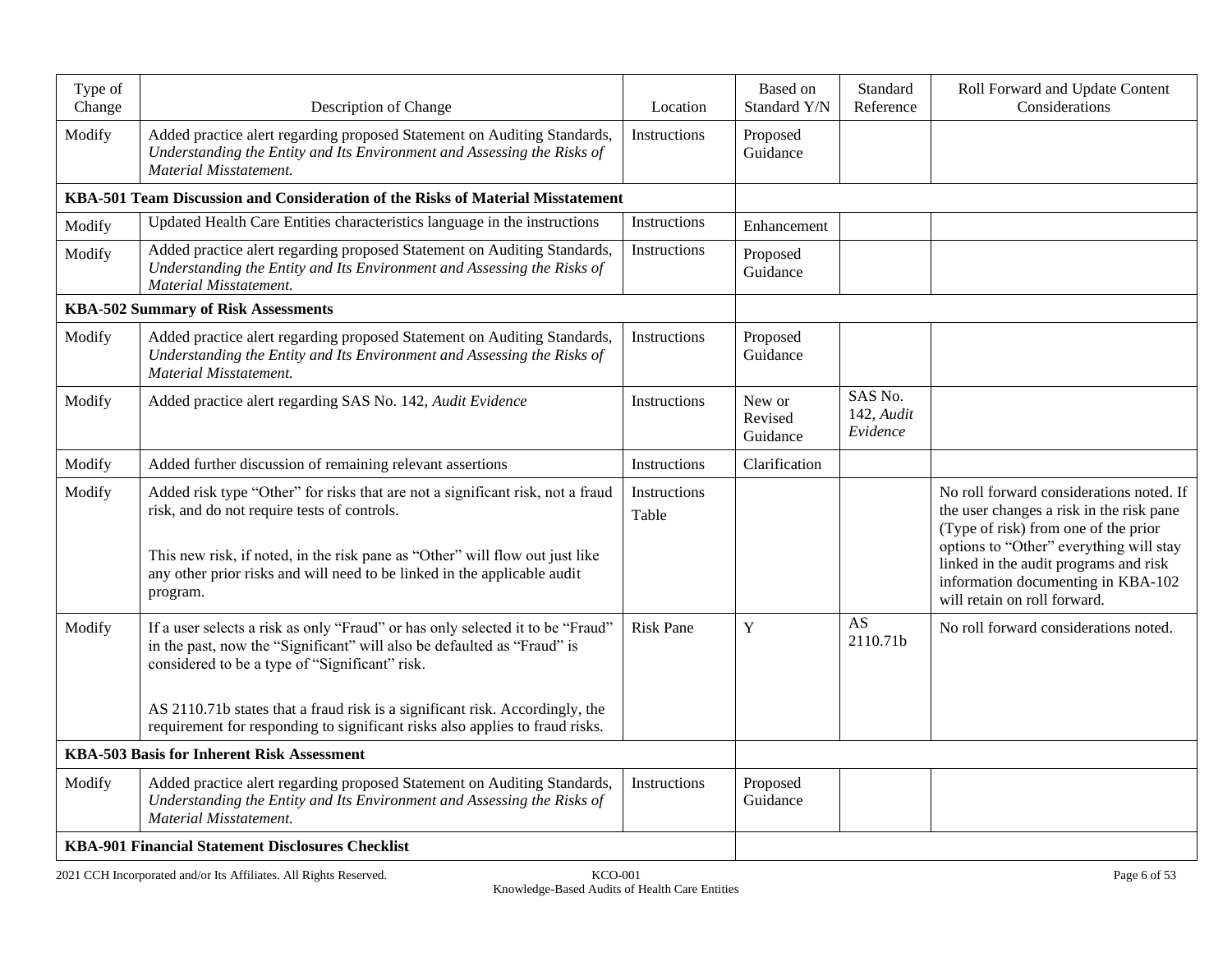| Type of<br>Change | Description of Change                                                                                                                                                                                                                                                                                                                                                       | Location              | Based on<br>Standard Y/N      | Standard<br>Reference             | Roll Forward and Update Content<br>Considerations                                                                                                                                                                                                                                      |
|-------------------|-----------------------------------------------------------------------------------------------------------------------------------------------------------------------------------------------------------------------------------------------------------------------------------------------------------------------------------------------------------------------------|-----------------------|-------------------------------|-----------------------------------|----------------------------------------------------------------------------------------------------------------------------------------------------------------------------------------------------------------------------------------------------------------------------------------|
| Modify            | Added practice alert regarding proposed Statement on Auditing Standards,<br>Understanding the Entity and Its Environment and Assessing the Risks of<br><b>Material Misstatement.</b>                                                                                                                                                                                        | Instructions          | Proposed<br>Guidance          |                                   |                                                                                                                                                                                                                                                                                        |
|                   | KBA-501 Team Discussion and Consideration of the Risks of Material Misstatement                                                                                                                                                                                                                                                                                             |                       |                               |                                   |                                                                                                                                                                                                                                                                                        |
| Modify            | Updated Health Care Entities characteristics language in the instructions                                                                                                                                                                                                                                                                                                   | Instructions          | Enhancement                   |                                   |                                                                                                                                                                                                                                                                                        |
| Modify            | Added practice alert regarding proposed Statement on Auditing Standards,<br>Understanding the Entity and Its Environment and Assessing the Risks of<br><b>Material Misstatement.</b>                                                                                                                                                                                        | Instructions          | Proposed<br>Guidance          |                                   |                                                                                                                                                                                                                                                                                        |
|                   | <b>KBA-502 Summary of Risk Assessments</b>                                                                                                                                                                                                                                                                                                                                  |                       |                               |                                   |                                                                                                                                                                                                                                                                                        |
| Modify            | Added practice alert regarding proposed Statement on Auditing Standards,<br>Understanding the Entity and Its Environment and Assessing the Risks of<br><b>Material Misstatement.</b>                                                                                                                                                                                        | Instructions          | Proposed<br>Guidance          |                                   |                                                                                                                                                                                                                                                                                        |
| Modify            | Added practice alert regarding SAS No. 142, Audit Evidence                                                                                                                                                                                                                                                                                                                  | Instructions          | New or<br>Revised<br>Guidance | SAS No.<br>142, Audit<br>Evidence |                                                                                                                                                                                                                                                                                        |
| Modify            | Added further discussion of remaining relevant assertions                                                                                                                                                                                                                                                                                                                   | Instructions          | Clarification                 |                                   |                                                                                                                                                                                                                                                                                        |
| Modify            | Added risk type "Other" for risks that are not a significant risk, not a fraud<br>risk, and do not require tests of controls.<br>This new risk, if noted, in the risk pane as "Other" will flow out just like<br>any other prior risks and will need to be linked in the applicable audit<br>program.                                                                       | Instructions<br>Table |                               |                                   | No roll forward considerations noted. If<br>the user changes a risk in the risk pane<br>(Type of risk) from one of the prior<br>options to "Other" everything will stay<br>linked in the audit programs and risk<br>information documenting in KBA-102<br>will retain on roll forward. |
| Modify            | If a user selects a risk as only "Fraud" or has only selected it to be "Fraud"<br>in the past, now the "Significant" will also be defaulted as "Fraud" is<br>considered to be a type of "Significant" risk.<br>AS 2110.71b states that a fraud risk is a significant risk. Accordingly, the<br>requirement for responding to significant risks also applies to fraud risks. | <b>Risk Pane</b>      | Y                             | AS<br>2110.71b                    | No roll forward considerations noted.                                                                                                                                                                                                                                                  |
|                   | <b>KBA-503 Basis for Inherent Risk Assessment</b>                                                                                                                                                                                                                                                                                                                           |                       |                               |                                   |                                                                                                                                                                                                                                                                                        |
|                   |                                                                                                                                                                                                                                                                                                                                                                             | Instructions          | Proposed                      |                                   |                                                                                                                                                                                                                                                                                        |
| Modify            | Added practice alert regarding proposed Statement on Auditing Standards,<br>Understanding the Entity and Its Environment and Assessing the Risks of<br>Material Misstatement.                                                                                                                                                                                               |                       | Guidance                      |                                   |                                                                                                                                                                                                                                                                                        |
|                   | <b>KBA-901 Financial Statement Disclosures Checklist</b>                                                                                                                                                                                                                                                                                                                    |                       |                               |                                   |                                                                                                                                                                                                                                                                                        |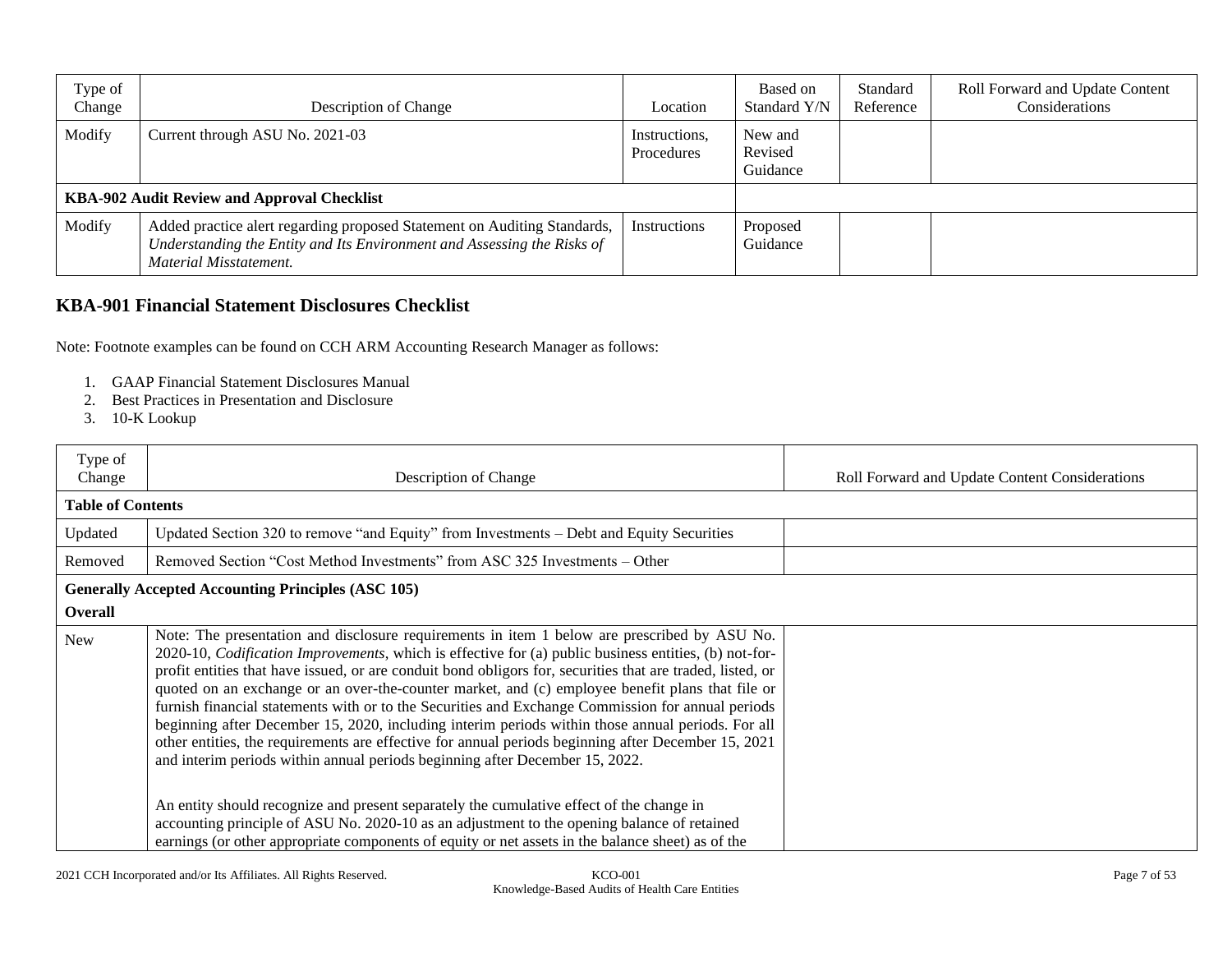| Type of<br>Change | Description of Change                                                                                                                                                         | Location                    | Based on<br>Standard Y/N       | Standard<br>Reference | Roll Forward and Update Content<br>Considerations |
|-------------------|-------------------------------------------------------------------------------------------------------------------------------------------------------------------------------|-----------------------------|--------------------------------|-----------------------|---------------------------------------------------|
| Modify            | Current through ASU No. 2021-03                                                                                                                                               | Instructions,<br>Procedures | New and<br>Revised<br>Guidance |                       |                                                   |
|                   | KBA-902 Audit Review and Approval Checklist                                                                                                                                   |                             |                                |                       |                                                   |
| Modify            | Added practice alert regarding proposed Statement on Auditing Standards,<br>Understanding the Entity and Its Environment and Assessing the Risks of<br>Material Misstatement. | Instructions                | Proposed<br>Guidance           |                       |                                                   |

# **KBA-901 Financial Statement Disclosures Checklist**

Note: Footnote examples can be found on CCH ARM Accounting Research Manager as follows:

- 1. GAAP Financial Statement Disclosures Manual
- 2. Best Practices in Presentation and Disclosure
- 3. 10-K Lookup

| Type of<br>Change        | Description of Change                                                                                                                                                                                                                                                                                                                                                                                                                                                                                                                                                                                                                                                                                                                                                                                                            | Roll Forward and Update Content Considerations |
|--------------------------|----------------------------------------------------------------------------------------------------------------------------------------------------------------------------------------------------------------------------------------------------------------------------------------------------------------------------------------------------------------------------------------------------------------------------------------------------------------------------------------------------------------------------------------------------------------------------------------------------------------------------------------------------------------------------------------------------------------------------------------------------------------------------------------------------------------------------------|------------------------------------------------|
| <b>Table of Contents</b> |                                                                                                                                                                                                                                                                                                                                                                                                                                                                                                                                                                                                                                                                                                                                                                                                                                  |                                                |
| Updated                  | Updated Section 320 to remove "and Equity" from Investments – Debt and Equity Securities                                                                                                                                                                                                                                                                                                                                                                                                                                                                                                                                                                                                                                                                                                                                         |                                                |
| Removed                  | Removed Section "Cost Method Investments" from ASC 325 Investments – Other                                                                                                                                                                                                                                                                                                                                                                                                                                                                                                                                                                                                                                                                                                                                                       |                                                |
|                          | <b>Generally Accepted Accounting Principles (ASC 105)</b>                                                                                                                                                                                                                                                                                                                                                                                                                                                                                                                                                                                                                                                                                                                                                                        |                                                |
| Overall                  |                                                                                                                                                                                                                                                                                                                                                                                                                                                                                                                                                                                                                                                                                                                                                                                                                                  |                                                |
| New                      | Note: The presentation and disclosure requirements in item 1 below are prescribed by ASU No.<br>2020-10, <i>Codification Improvements</i> , which is effective for (a) public business entities, (b) not-for-<br>profit entities that have issued, or are conduit bond obligors for, securities that are traded, listed, or<br>quoted on an exchange or an over-the-counter market, and (c) employee benefit plans that file or<br>furnish financial statements with or to the Securities and Exchange Commission for annual periods<br>beginning after December 15, 2020, including interim periods within those annual periods. For all<br>other entities, the requirements are effective for annual periods beginning after December 15, 2021<br>and interim periods within annual periods beginning after December 15, 2022. |                                                |
|                          | An entity should recognize and present separately the cumulative effect of the change in<br>accounting principle of ASU No. 2020-10 as an adjustment to the opening balance of retained<br>earnings (or other appropriate components of equity or net assets in the balance sheet) as of the                                                                                                                                                                                                                                                                                                                                                                                                                                                                                                                                     |                                                |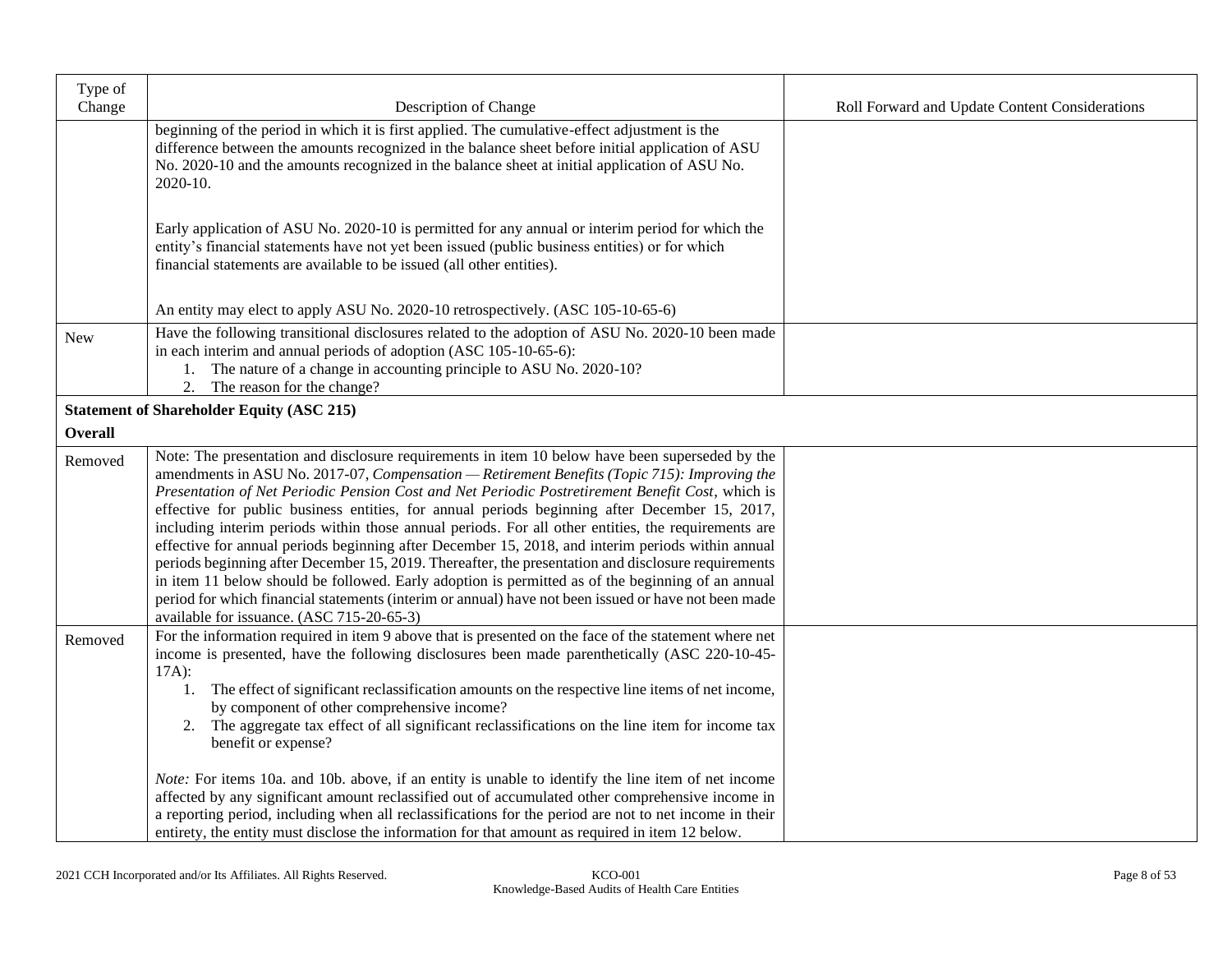| Type of        |                                                                                                                                                                                                                                                                                                                                                                                                                                                                                                                                                                                                                                                                                                                                                                                                                                                                                                                                                                                   |                                                |
|----------------|-----------------------------------------------------------------------------------------------------------------------------------------------------------------------------------------------------------------------------------------------------------------------------------------------------------------------------------------------------------------------------------------------------------------------------------------------------------------------------------------------------------------------------------------------------------------------------------------------------------------------------------------------------------------------------------------------------------------------------------------------------------------------------------------------------------------------------------------------------------------------------------------------------------------------------------------------------------------------------------|------------------------------------------------|
| Change         | Description of Change                                                                                                                                                                                                                                                                                                                                                                                                                                                                                                                                                                                                                                                                                                                                                                                                                                                                                                                                                             | Roll Forward and Update Content Considerations |
|                | beginning of the period in which it is first applied. The cumulative-effect adjustment is the<br>difference between the amounts recognized in the balance sheet before initial application of ASU<br>No. 2020-10 and the amounts recognized in the balance sheet at initial application of ASU No.<br>2020-10.                                                                                                                                                                                                                                                                                                                                                                                                                                                                                                                                                                                                                                                                    |                                                |
|                | Early application of ASU No. 2020-10 is permitted for any annual or interim period for which the<br>entity's financial statements have not yet been issued (public business entities) or for which<br>financial statements are available to be issued (all other entities).                                                                                                                                                                                                                                                                                                                                                                                                                                                                                                                                                                                                                                                                                                       |                                                |
|                | An entity may elect to apply ASU No. 2020-10 retrospectively. (ASC 105-10-65-6)                                                                                                                                                                                                                                                                                                                                                                                                                                                                                                                                                                                                                                                                                                                                                                                                                                                                                                   |                                                |
| <b>New</b>     | Have the following transitional disclosures related to the adoption of ASU No. 2020-10 been made<br>in each interim and annual periods of adoption (ASC 105-10-65-6):<br>1. The nature of a change in accounting principle to ASU No. 2020-10?<br>The reason for the change?<br>2.                                                                                                                                                                                                                                                                                                                                                                                                                                                                                                                                                                                                                                                                                                |                                                |
|                | <b>Statement of Shareholder Equity (ASC 215)</b>                                                                                                                                                                                                                                                                                                                                                                                                                                                                                                                                                                                                                                                                                                                                                                                                                                                                                                                                  |                                                |
| <b>Overall</b> |                                                                                                                                                                                                                                                                                                                                                                                                                                                                                                                                                                                                                                                                                                                                                                                                                                                                                                                                                                                   |                                                |
| Removed        | Note: The presentation and disclosure requirements in item 10 below have been superseded by the<br>amendments in ASU No. 2017-07, Compensation - Retirement Benefits (Topic 715): Improving the<br>Presentation of Net Periodic Pension Cost and Net Periodic Postretirement Benefit Cost, which is<br>effective for public business entities, for annual periods beginning after December 15, 2017,<br>including interim periods within those annual periods. For all other entities, the requirements are<br>effective for annual periods beginning after December 15, 2018, and interim periods within annual<br>periods beginning after December 15, 2019. Thereafter, the presentation and disclosure requirements<br>in item 11 below should be followed. Early adoption is permitted as of the beginning of an annual<br>period for which financial statements (interim or annual) have not been issued or have not been made<br>available for issuance. (ASC 715-20-65-3) |                                                |
| Removed        | For the information required in item 9 above that is presented on the face of the statement where net<br>income is presented, have the following disclosures been made parenthetically (ASC 220-10-45-<br>$17A)$ :<br>1. The effect of significant reclassification amounts on the respective line items of net income,<br>by component of other comprehensive income?<br>2. The aggregate tax effect of all significant reclassifications on the line item for income tax<br>benefit or expense?<br><i>Note:</i> For items 10a. and 10b. above, if an entity is unable to identify the line item of net income<br>affected by any significant amount reclassified out of accumulated other comprehensive income in<br>a reporting period, including when all reclassifications for the period are not to net income in their<br>entirety, the entity must disclose the information for that amount as required in item 12 below.                                                 |                                                |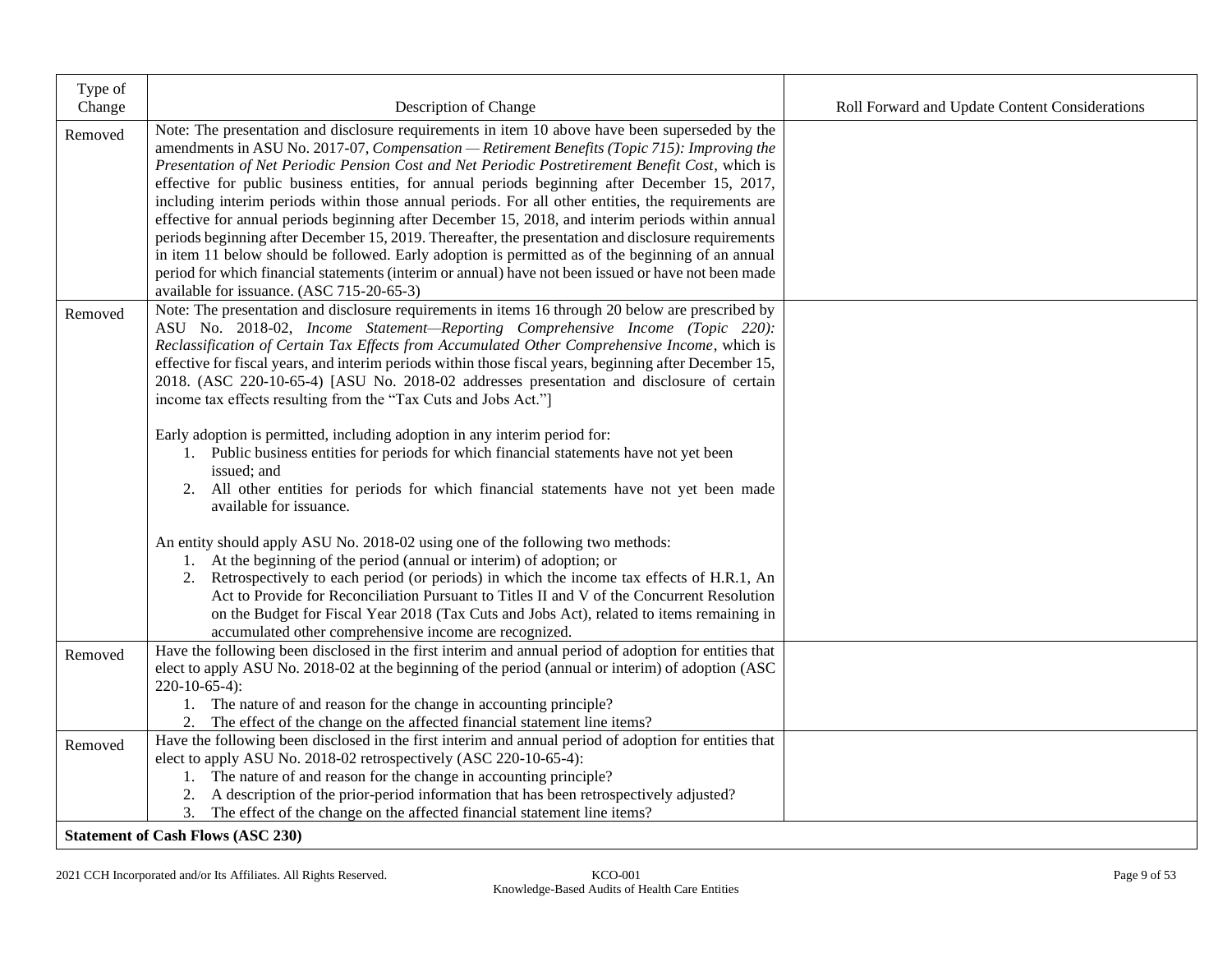| Type of |                                                                                                                                                                                                          |                                                |
|---------|----------------------------------------------------------------------------------------------------------------------------------------------------------------------------------------------------------|------------------------------------------------|
| Change  | Description of Change                                                                                                                                                                                    | Roll Forward and Update Content Considerations |
| Removed | Note: The presentation and disclosure requirements in item 10 above have been superseded by the<br>amendments in ASU No. 2017-07, Compensation - Retirement Benefits (Topic 715): Improving the          |                                                |
|         | Presentation of Net Periodic Pension Cost and Net Periodic Postretirement Benefit Cost, which is                                                                                                         |                                                |
|         | effective for public business entities, for annual periods beginning after December 15, 2017,                                                                                                            |                                                |
|         | including interim periods within those annual periods. For all other entities, the requirements are                                                                                                      |                                                |
|         | effective for annual periods beginning after December 15, 2018, and interim periods within annual                                                                                                        |                                                |
|         | periods beginning after December 15, 2019. Thereafter, the presentation and disclosure requirements<br>in item 11 below should be followed. Early adoption is permitted as of the beginning of an annual |                                                |
|         | period for which financial statements (interim or annual) have not been issued or have not been made                                                                                                     |                                                |
|         | available for issuance. (ASC 715-20-65-3)                                                                                                                                                                |                                                |
| Removed | Note: The presentation and disclosure requirements in items 16 through 20 below are prescribed by                                                                                                        |                                                |
|         | ASU No. 2018-02, Income Statement-Reporting Comprehensive Income (Topic 220):                                                                                                                            |                                                |
|         | Reclassification of Certain Tax Effects from Accumulated Other Comprehensive Income, which is                                                                                                            |                                                |
|         | effective for fiscal years, and interim periods within those fiscal years, beginning after December 15,                                                                                                  |                                                |
|         | 2018. (ASC 220-10-65-4) [ASU No. 2018-02 addresses presentation and disclosure of certain<br>income tax effects resulting from the "Tax Cuts and Jobs Act."]                                             |                                                |
|         |                                                                                                                                                                                                          |                                                |
|         | Early adoption is permitted, including adoption in any interim period for:                                                                                                                               |                                                |
|         | 1. Public business entities for periods for which financial statements have not yet been                                                                                                                 |                                                |
|         | issued; and                                                                                                                                                                                              |                                                |
|         | 2. All other entities for periods for which financial statements have not yet been made                                                                                                                  |                                                |
|         | available for issuance.                                                                                                                                                                                  |                                                |
|         | An entity should apply ASU No. 2018-02 using one of the following two methods:                                                                                                                           |                                                |
|         | 1. At the beginning of the period (annual or interim) of adoption; or                                                                                                                                    |                                                |
|         | 2. Retrospectively to each period (or periods) in which the income tax effects of H.R.1, An                                                                                                              |                                                |
|         | Act to Provide for Reconciliation Pursuant to Titles II and V of the Concurrent Resolution                                                                                                               |                                                |
|         | on the Budget for Fiscal Year 2018 (Tax Cuts and Jobs Act), related to items remaining in                                                                                                                |                                                |
|         | accumulated other comprehensive income are recognized.                                                                                                                                                   |                                                |
| Removed | Have the following been disclosed in the first interim and annual period of adoption for entities that                                                                                                   |                                                |
|         | elect to apply ASU No. 2018-02 at the beginning of the period (annual or interim) of adoption (ASC                                                                                                       |                                                |
|         | $220-10-65-4$ :<br>1. The nature of and reason for the change in accounting principle?                                                                                                                   |                                                |
|         | The effect of the change on the affected financial statement line items?                                                                                                                                 |                                                |
| Removed | Have the following been disclosed in the first interim and annual period of adoption for entities that                                                                                                   |                                                |
|         | elect to apply ASU No. 2018-02 retrospectively (ASC 220-10-65-4):                                                                                                                                        |                                                |
|         | 1. The nature of and reason for the change in accounting principle?                                                                                                                                      |                                                |
|         | A description of the prior-period information that has been retrospectively adjusted?                                                                                                                    |                                                |
|         | 3. The effect of the change on the affected financial statement line items?                                                                                                                              |                                                |
|         | <b>Statement of Cash Flows (ASC 230)</b>                                                                                                                                                                 |                                                |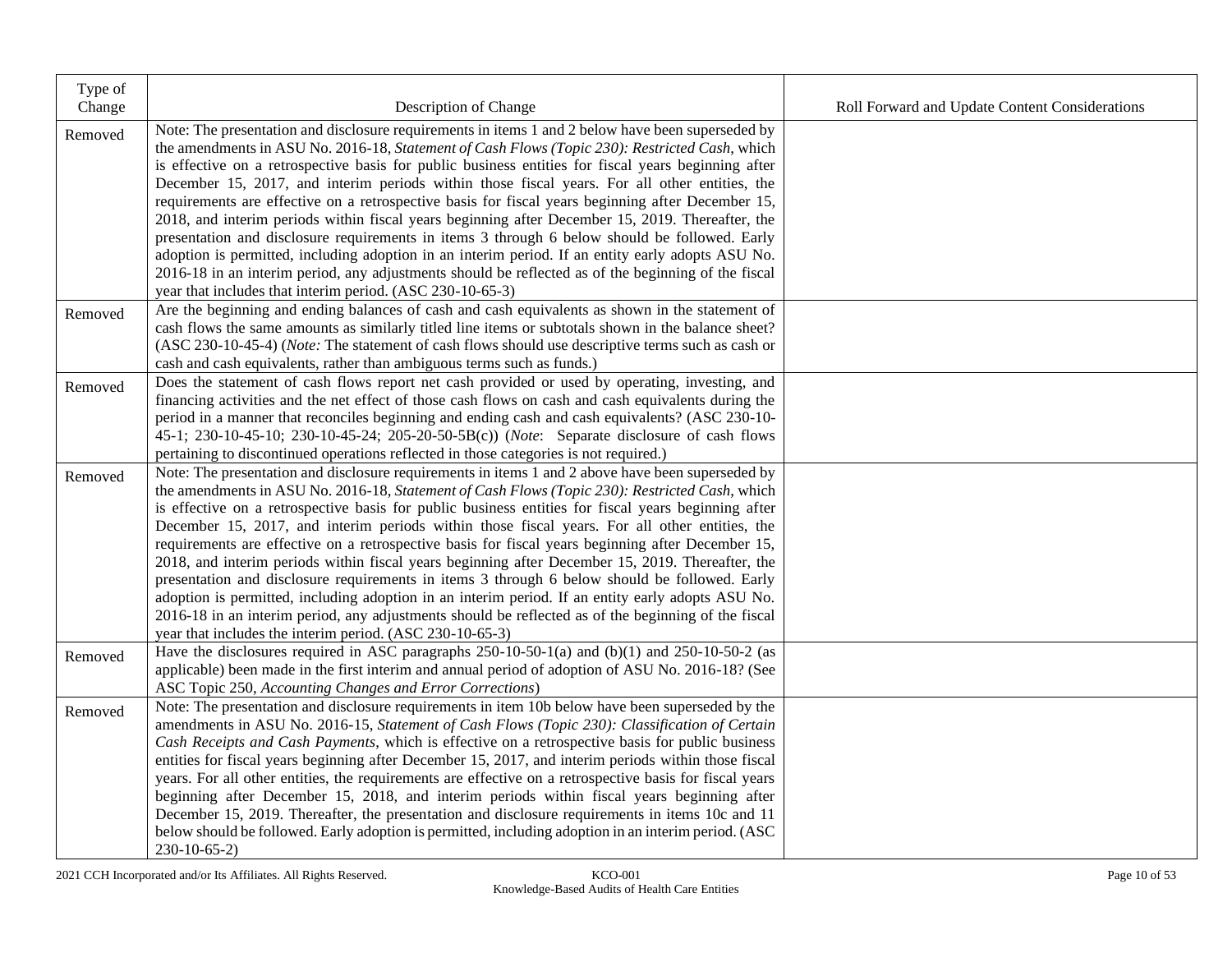| Type of<br>Change | Description of Change                                                                                                                                                                | Roll Forward and Update Content Considerations |
|-------------------|--------------------------------------------------------------------------------------------------------------------------------------------------------------------------------------|------------------------------------------------|
| Removed           | Note: The presentation and disclosure requirements in items 1 and 2 below have been superseded by                                                                                    |                                                |
|                   | the amendments in ASU No. 2016-18, Statement of Cash Flows (Topic 230): Restricted Cash, which                                                                                       |                                                |
|                   | is effective on a retrospective basis for public business entities for fiscal years beginning after                                                                                  |                                                |
|                   | December 15, 2017, and interim periods within those fiscal years. For all other entities, the                                                                                        |                                                |
|                   | requirements are effective on a retrospective basis for fiscal years beginning after December 15,                                                                                    |                                                |
|                   | 2018, and interim periods within fiscal years beginning after December 15, 2019. Thereafter, the                                                                                     |                                                |
|                   | presentation and disclosure requirements in items 3 through 6 below should be followed. Early                                                                                        |                                                |
|                   | adoption is permitted, including adoption in an interim period. If an entity early adopts ASU No.                                                                                    |                                                |
|                   | 2016-18 in an interim period, any adjustments should be reflected as of the beginning of the fiscal                                                                                  |                                                |
|                   | year that includes that interim period. (ASC 230-10-65-3)                                                                                                                            |                                                |
| Removed           | Are the beginning and ending balances of cash and cash equivalents as shown in the statement of                                                                                      |                                                |
|                   | cash flows the same amounts as similarly titled line items or subtotals shown in the balance sheet?                                                                                  |                                                |
|                   | (ASC 230-10-45-4) (Note: The statement of cash flows should use descriptive terms such as cash or                                                                                    |                                                |
|                   | cash and cash equivalents, rather than ambiguous terms such as funds.)                                                                                                               |                                                |
| Removed           | Does the statement of cash flows report net cash provided or used by operating, investing, and                                                                                       |                                                |
|                   | financing activities and the net effect of those cash flows on cash and cash equivalents during the                                                                                  |                                                |
|                   | period in a manner that reconciles beginning and ending cash and cash equivalents? (ASC 230-10-                                                                                      |                                                |
|                   | 45-1; 230-10-45-10; 230-10-45-24; 205-20-50-5B(c)) (Note: Separate disclosure of cash flows<br>pertaining to discontinued operations reflected in those categories is not required.) |                                                |
|                   | Note: The presentation and disclosure requirements in items 1 and 2 above have been superseded by                                                                                    |                                                |
| Removed           | the amendments in ASU No. 2016-18, Statement of Cash Flows (Topic 230): Restricted Cash, which                                                                                       |                                                |
|                   | is effective on a retrospective basis for public business entities for fiscal years beginning after                                                                                  |                                                |
|                   | December 15, 2017, and interim periods within those fiscal years. For all other entities, the                                                                                        |                                                |
|                   | requirements are effective on a retrospective basis for fiscal years beginning after December 15,                                                                                    |                                                |
|                   | 2018, and interim periods within fiscal years beginning after December 15, 2019. Thereafter, the                                                                                     |                                                |
|                   | presentation and disclosure requirements in items 3 through 6 below should be followed. Early                                                                                        |                                                |
|                   | adoption is permitted, including adoption in an interim period. If an entity early adopts ASU No.                                                                                    |                                                |
|                   | 2016-18 in an interim period, any adjustments should be reflected as of the beginning of the fiscal                                                                                  |                                                |
|                   | year that includes the interim period. (ASC 230-10-65-3)                                                                                                                             |                                                |
| Removed           | Have the disclosures required in ASC paragraphs $250-10-50-1$ (a) and $(b)(1)$ and $250-10-50-2$ (as                                                                                 |                                                |
|                   | applicable) been made in the first interim and annual period of adoption of ASU No. 2016-18? (See                                                                                    |                                                |
|                   | ASC Topic 250, Accounting Changes and Error Corrections)                                                                                                                             |                                                |
| Removed           | Note: The presentation and disclosure requirements in item 10b below have been superseded by the                                                                                     |                                                |
|                   | amendments in ASU No. 2016-15, Statement of Cash Flows (Topic 230): Classification of Certain                                                                                        |                                                |
|                   | Cash Receipts and Cash Payments, which is effective on a retrospective basis for public business                                                                                     |                                                |
|                   | entities for fiscal years beginning after December 15, 2017, and interim periods within those fiscal                                                                                 |                                                |
|                   | years. For all other entities, the requirements are effective on a retrospective basis for fiscal years                                                                              |                                                |
|                   | beginning after December 15, 2018, and interim periods within fiscal years beginning after                                                                                           |                                                |
|                   | December 15, 2019. Thereafter, the presentation and disclosure requirements in items 10c and 11                                                                                      |                                                |
|                   | below should be followed. Early adoption is permitted, including adoption in an interim period. (ASC                                                                                 |                                                |
|                   | $230-10-65-2$                                                                                                                                                                        |                                                |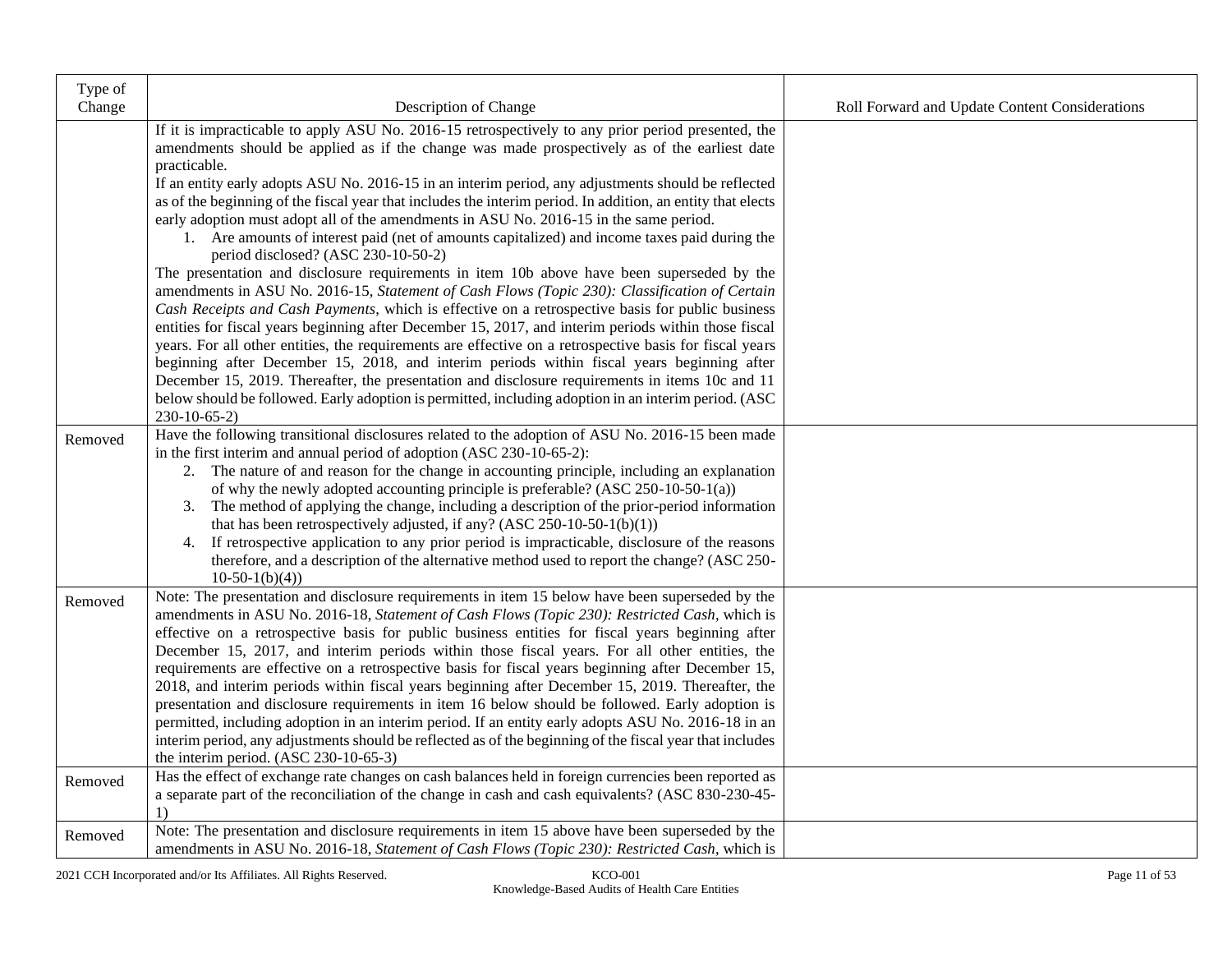| Type of |                                                                                                                                                                                                                                                                                                                                                                                                                                                                                                                                                                                                                                                                                                                                                                                                                                                                                                                                                                                                                                                                                                                                                                                                                                                                                                                                                                                                                                                                                                                            |                                                |
|---------|----------------------------------------------------------------------------------------------------------------------------------------------------------------------------------------------------------------------------------------------------------------------------------------------------------------------------------------------------------------------------------------------------------------------------------------------------------------------------------------------------------------------------------------------------------------------------------------------------------------------------------------------------------------------------------------------------------------------------------------------------------------------------------------------------------------------------------------------------------------------------------------------------------------------------------------------------------------------------------------------------------------------------------------------------------------------------------------------------------------------------------------------------------------------------------------------------------------------------------------------------------------------------------------------------------------------------------------------------------------------------------------------------------------------------------------------------------------------------------------------------------------------------|------------------------------------------------|
| Change  | Description of Change                                                                                                                                                                                                                                                                                                                                                                                                                                                                                                                                                                                                                                                                                                                                                                                                                                                                                                                                                                                                                                                                                                                                                                                                                                                                                                                                                                                                                                                                                                      | Roll Forward and Update Content Considerations |
|         | If it is impracticable to apply ASU No. 2016-15 retrospectively to any prior period presented, the<br>amendments should be applied as if the change was made prospectively as of the earliest date<br>practicable.<br>If an entity early adopts ASU No. 2016-15 in an interim period, any adjustments should be reflected<br>as of the beginning of the fiscal year that includes the interim period. In addition, an entity that elects<br>early adoption must adopt all of the amendments in ASU No. 2016-15 in the same period.<br>1. Are amounts of interest paid (net of amounts capitalized) and income taxes paid during the<br>period disclosed? (ASC 230-10-50-2)<br>The presentation and disclosure requirements in item 10b above have been superseded by the<br>amendments in ASU No. 2016-15, Statement of Cash Flows (Topic 230): Classification of Certain<br>Cash Receipts and Cash Payments, which is effective on a retrospective basis for public business<br>entities for fiscal years beginning after December 15, 2017, and interim periods within those fiscal<br>years. For all other entities, the requirements are effective on a retrospective basis for fiscal years<br>beginning after December 15, 2018, and interim periods within fiscal years beginning after<br>December 15, 2019. Thereafter, the presentation and disclosure requirements in items 10c and 11<br>below should be followed. Early adoption is permitted, including adoption in an interim period. (ASC<br>$230-10-65-2$ |                                                |
| Removed | Have the following transitional disclosures related to the adoption of ASU No. 2016-15 been made<br>in the first interim and annual period of adoption (ASC 230-10-65-2):<br>2. The nature of and reason for the change in accounting principle, including an explanation<br>of why the newly adopted accounting principle is preferable? (ASC 250-10-50-1(a))<br>The method of applying the change, including a description of the prior-period information<br>3.<br>that has been retrospectively adjusted, if any? (ASC 250-10-50-1(b)(1))<br>4. If retrospective application to any prior period is impracticable, disclosure of the reasons<br>therefore, and a description of the alternative method used to report the change? (ASC 250-<br>$10-50-1(b)(4)$                                                                                                                                                                                                                                                                                                                                                                                                                                                                                                                                                                                                                                                                                                                                                         |                                                |
| Removed | Note: The presentation and disclosure requirements in item 15 below have been superseded by the<br>amendments in ASU No. 2016-18, Statement of Cash Flows (Topic 230): Restricted Cash, which is<br>effective on a retrospective basis for public business entities for fiscal years beginning after<br>December 15, 2017, and interim periods within those fiscal years. For all other entities, the<br>requirements are effective on a retrospective basis for fiscal years beginning after December 15,<br>2018, and interim periods within fiscal years beginning after December 15, 2019. Thereafter, the<br>presentation and disclosure requirements in item 16 below should be followed. Early adoption is<br>permitted, including adoption in an interim period. If an entity early adopts ASU No. 2016-18 in an<br>interim period, any adjustments should be reflected as of the beginning of the fiscal year that includes<br>the interim period. $(ASC 230-10-65-3)$                                                                                                                                                                                                                                                                                                                                                                                                                                                                                                                                            |                                                |
| Removed | Has the effect of exchange rate changes on cash balances held in foreign currencies been reported as<br>a separate part of the reconciliation of the change in cash and cash equivalents? (ASC 830-230-45-<br>1)                                                                                                                                                                                                                                                                                                                                                                                                                                                                                                                                                                                                                                                                                                                                                                                                                                                                                                                                                                                                                                                                                                                                                                                                                                                                                                           |                                                |
| Removed | Note: The presentation and disclosure requirements in item 15 above have been superseded by the<br>amendments in ASU No. 2016-18, Statement of Cash Flows (Topic 230): Restricted Cash, which is                                                                                                                                                                                                                                                                                                                                                                                                                                                                                                                                                                                                                                                                                                                                                                                                                                                                                                                                                                                                                                                                                                                                                                                                                                                                                                                           |                                                |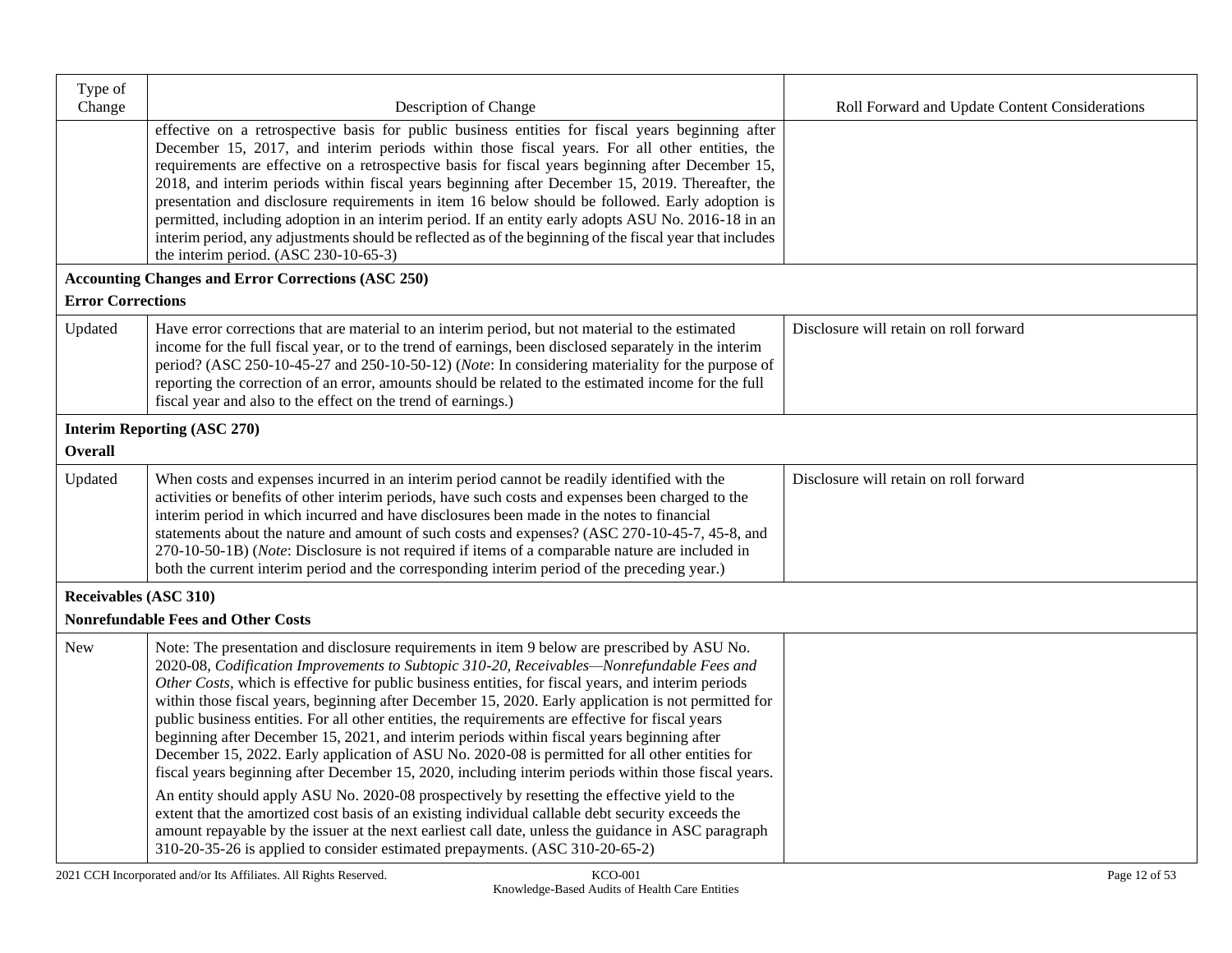| Type of<br>Change            | Description of Change                                                                                                                                                                                                                                                                                                                                                                                                                                                                                                                                                                                                                                                                                                                                                                                                                                                                                                                                                                                                                                                                                                                                                                                              | Roll Forward and Update Content Considerations |
|------------------------------|--------------------------------------------------------------------------------------------------------------------------------------------------------------------------------------------------------------------------------------------------------------------------------------------------------------------------------------------------------------------------------------------------------------------------------------------------------------------------------------------------------------------------------------------------------------------------------------------------------------------------------------------------------------------------------------------------------------------------------------------------------------------------------------------------------------------------------------------------------------------------------------------------------------------------------------------------------------------------------------------------------------------------------------------------------------------------------------------------------------------------------------------------------------------------------------------------------------------|------------------------------------------------|
|                              | effective on a retrospective basis for public business entities for fiscal years beginning after<br>December 15, 2017, and interim periods within those fiscal years. For all other entities, the<br>requirements are effective on a retrospective basis for fiscal years beginning after December 15,<br>2018, and interim periods within fiscal years beginning after December 15, 2019. Thereafter, the<br>presentation and disclosure requirements in item 16 below should be followed. Early adoption is<br>permitted, including adoption in an interim period. If an entity early adopts ASU No. 2016-18 in an<br>interim period, any adjustments should be reflected as of the beginning of the fiscal year that includes<br>the interim period. $(ASC 230-10-65-3)$                                                                                                                                                                                                                                                                                                                                                                                                                                        |                                                |
|                              | <b>Accounting Changes and Error Corrections (ASC 250)</b>                                                                                                                                                                                                                                                                                                                                                                                                                                                                                                                                                                                                                                                                                                                                                                                                                                                                                                                                                                                                                                                                                                                                                          |                                                |
| <b>Error Corrections</b>     |                                                                                                                                                                                                                                                                                                                                                                                                                                                                                                                                                                                                                                                                                                                                                                                                                                                                                                                                                                                                                                                                                                                                                                                                                    |                                                |
| Updated                      | Have error corrections that are material to an interim period, but not material to the estimated<br>income for the full fiscal year, or to the trend of earnings, been disclosed separately in the interim<br>period? (ASC 250-10-45-27 and 250-10-50-12) (Note: In considering materiality for the purpose of<br>reporting the correction of an error, amounts should be related to the estimated income for the full<br>fiscal year and also to the effect on the trend of earnings.)                                                                                                                                                                                                                                                                                                                                                                                                                                                                                                                                                                                                                                                                                                                            | Disclosure will retain on roll forward         |
|                              | <b>Interim Reporting (ASC 270)</b>                                                                                                                                                                                                                                                                                                                                                                                                                                                                                                                                                                                                                                                                                                                                                                                                                                                                                                                                                                                                                                                                                                                                                                                 |                                                |
| <b>Overall</b>               |                                                                                                                                                                                                                                                                                                                                                                                                                                                                                                                                                                                                                                                                                                                                                                                                                                                                                                                                                                                                                                                                                                                                                                                                                    |                                                |
| Updated                      | When costs and expenses incurred in an interim period cannot be readily identified with the<br>activities or benefits of other interim periods, have such costs and expenses been charged to the<br>interim period in which incurred and have disclosures been made in the notes to financial<br>statements about the nature and amount of such costs and expenses? (ASC 270-10-45-7, 45-8, and<br>270-10-50-1B) (Note: Disclosure is not required if items of a comparable nature are included in<br>both the current interim period and the corresponding interim period of the preceding year.)                                                                                                                                                                                                                                                                                                                                                                                                                                                                                                                                                                                                                 | Disclosure will retain on roll forward         |
| <b>Receivables (ASC 310)</b> |                                                                                                                                                                                                                                                                                                                                                                                                                                                                                                                                                                                                                                                                                                                                                                                                                                                                                                                                                                                                                                                                                                                                                                                                                    |                                                |
|                              | <b>Nonrefundable Fees and Other Costs</b>                                                                                                                                                                                                                                                                                                                                                                                                                                                                                                                                                                                                                                                                                                                                                                                                                                                                                                                                                                                                                                                                                                                                                                          |                                                |
| <b>New</b>                   | Note: The presentation and disclosure requirements in item 9 below are prescribed by ASU No.<br>2020-08, Codification Improvements to Subtopic 310-20, Receivables-Nonrefundable Fees and<br>Other Costs, which is effective for public business entities, for fiscal years, and interim periods<br>within those fiscal years, beginning after December 15, 2020. Early application is not permitted for<br>public business entities. For all other entities, the requirements are effective for fiscal years<br>beginning after December 15, 2021, and interim periods within fiscal years beginning after<br>December 15, 2022. Early application of ASU No. 2020-08 is permitted for all other entities for<br>fiscal years beginning after December 15, 2020, including interim periods within those fiscal years.<br>An entity should apply ASU No. 2020-08 prospectively by resetting the effective yield to the<br>extent that the amortized cost basis of an existing individual callable debt security exceeds the<br>amount repayable by the issuer at the next earliest call date, unless the guidance in ASC paragraph<br>310-20-35-26 is applied to consider estimated prepayments. (ASC 310-20-65-2) |                                                |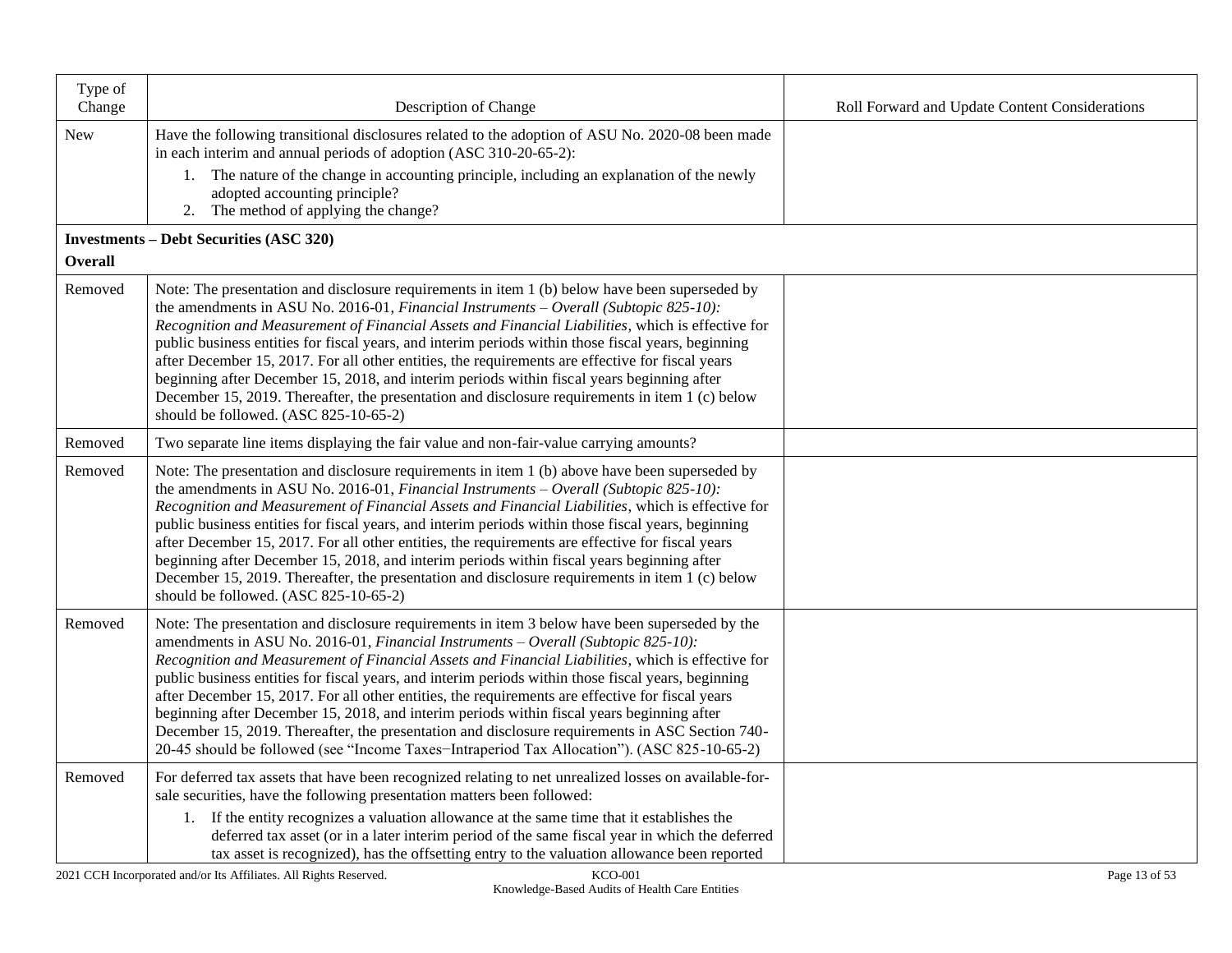| Type of<br>Change | Description of Change                                                                                                                                                                                                                                                                                                                                                                                                                                                                                                                                                                                                                                                                                                                                                                               | Roll Forward and Update Content Considerations |
|-------------------|-----------------------------------------------------------------------------------------------------------------------------------------------------------------------------------------------------------------------------------------------------------------------------------------------------------------------------------------------------------------------------------------------------------------------------------------------------------------------------------------------------------------------------------------------------------------------------------------------------------------------------------------------------------------------------------------------------------------------------------------------------------------------------------------------------|------------------------------------------------|
| New               | Have the following transitional disclosures related to the adoption of ASU No. 2020-08 been made<br>in each interim and annual periods of adoption (ASC 310-20-65-2):                                                                                                                                                                                                                                                                                                                                                                                                                                                                                                                                                                                                                               |                                                |
|                   | 1. The nature of the change in accounting principle, including an explanation of the newly<br>adopted accounting principle?<br>2. The method of applying the change?                                                                                                                                                                                                                                                                                                                                                                                                                                                                                                                                                                                                                                |                                                |
|                   | <b>Investments – Debt Securities (ASC 320)</b>                                                                                                                                                                                                                                                                                                                                                                                                                                                                                                                                                                                                                                                                                                                                                      |                                                |
| <b>Overall</b>    |                                                                                                                                                                                                                                                                                                                                                                                                                                                                                                                                                                                                                                                                                                                                                                                                     |                                                |
| Removed           | Note: The presentation and disclosure requirements in item 1 (b) below have been superseded by<br>the amendments in ASU No. 2016-01, <i>Financial Instruments – Overall (Subtopic 825-10)</i> :<br>Recognition and Measurement of Financial Assets and Financial Liabilities, which is effective for<br>public business entities for fiscal years, and interim periods within those fiscal years, beginning<br>after December 15, 2017. For all other entities, the requirements are effective for fiscal years<br>beginning after December 15, 2018, and interim periods within fiscal years beginning after<br>December 15, 2019. Thereafter, the presentation and disclosure requirements in item 1 (c) below<br>should be followed. (ASC 825-10-65-2)                                           |                                                |
| Removed           | Two separate line items displaying the fair value and non-fair-value carrying amounts?                                                                                                                                                                                                                                                                                                                                                                                                                                                                                                                                                                                                                                                                                                              |                                                |
| Removed           | Note: The presentation and disclosure requirements in item 1 (b) above have been superseded by<br>the amendments in ASU No. 2016-01, Financial Instruments – Overall (Subtopic 825-10):<br>Recognition and Measurement of Financial Assets and Financial Liabilities, which is effective for<br>public business entities for fiscal years, and interim periods within those fiscal years, beginning<br>after December 15, 2017. For all other entities, the requirements are effective for fiscal years<br>beginning after December 15, 2018, and interim periods within fiscal years beginning after<br>December 15, 2019. Thereafter, the presentation and disclosure requirements in item 1 (c) below<br>should be followed. (ASC 825-10-65-2)                                                   |                                                |
| Removed           | Note: The presentation and disclosure requirements in item 3 below have been superseded by the<br>amendments in ASU No. 2016-01, Financial Instruments - Overall (Subtopic 825-10):<br>Recognition and Measurement of Financial Assets and Financial Liabilities, which is effective for<br>public business entities for fiscal years, and interim periods within those fiscal years, beginning<br>after December 15, 2017. For all other entities, the requirements are effective for fiscal years<br>beginning after December 15, 2018, and interim periods within fiscal years beginning after<br>December 15, 2019. Thereafter, the presentation and disclosure requirements in ASC Section 740-<br>20-45 should be followed (see "Income Taxes-Intraperiod Tax Allocation"). (ASC 825-10-65-2) |                                                |
| Removed           | For deferred tax assets that have been recognized relating to net unrealized losses on available-for-<br>sale securities, have the following presentation matters been followed:                                                                                                                                                                                                                                                                                                                                                                                                                                                                                                                                                                                                                    |                                                |
|                   | 1. If the entity recognizes a valuation allowance at the same time that it establishes the<br>deferred tax asset (or in a later interim period of the same fiscal year in which the deferred<br>tax asset is recognized), has the offsetting entry to the valuation allowance been reported                                                                                                                                                                                                                                                                                                                                                                                                                                                                                                         |                                                |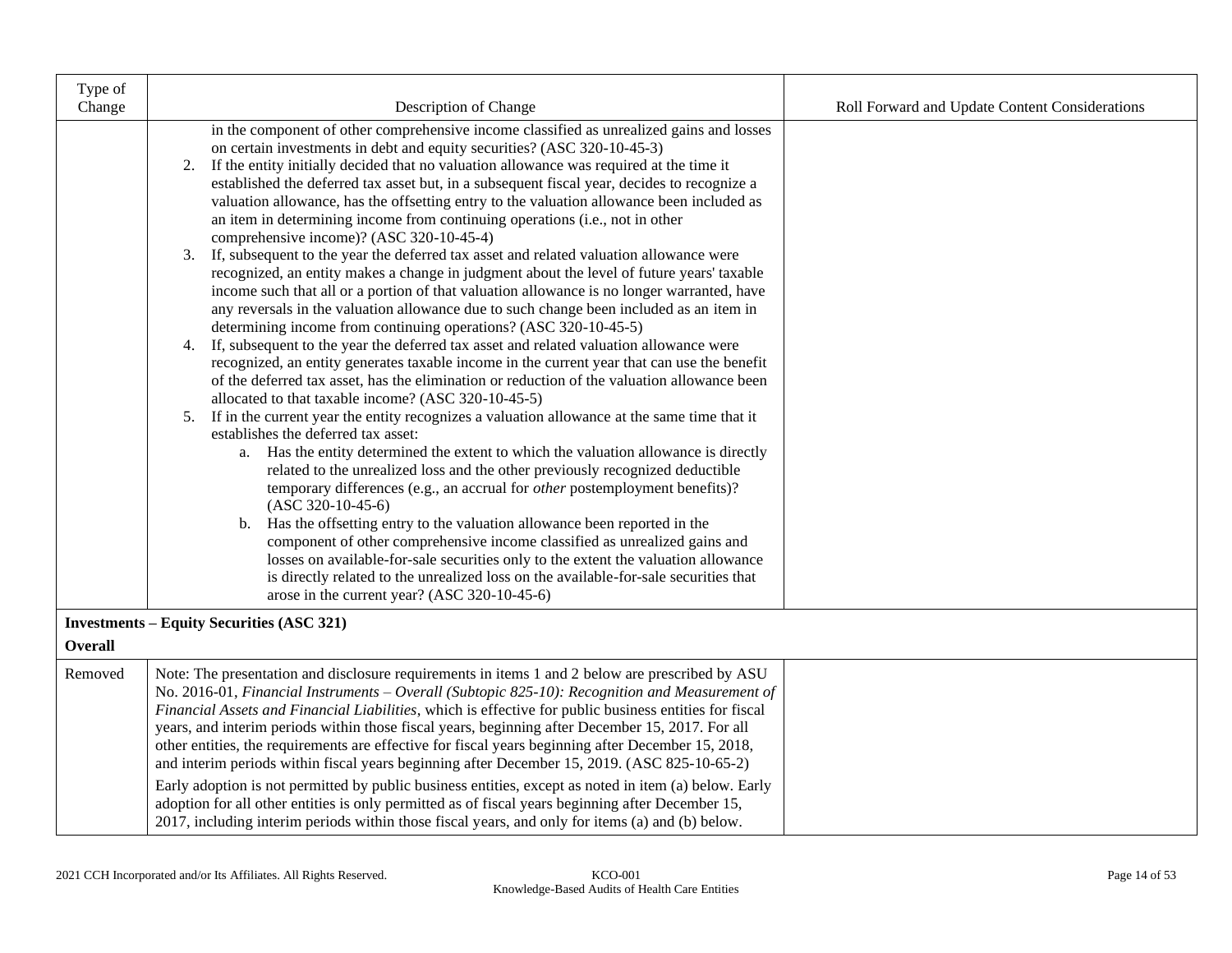| Type of        |                                                                                                                                                                                                                                                                                                                                                                                                                                                                                                                                                                                                                                                                                                                                                                                                                                                                                                                                                                                                                                                                                                                                                                                                                                                                                                                                                                                                                                                                                                                                                                                                                                                                                                                                                                                                                                                                                                                                                                                                                                                                                                                                                                                                          |                                                |
|----------------|----------------------------------------------------------------------------------------------------------------------------------------------------------------------------------------------------------------------------------------------------------------------------------------------------------------------------------------------------------------------------------------------------------------------------------------------------------------------------------------------------------------------------------------------------------------------------------------------------------------------------------------------------------------------------------------------------------------------------------------------------------------------------------------------------------------------------------------------------------------------------------------------------------------------------------------------------------------------------------------------------------------------------------------------------------------------------------------------------------------------------------------------------------------------------------------------------------------------------------------------------------------------------------------------------------------------------------------------------------------------------------------------------------------------------------------------------------------------------------------------------------------------------------------------------------------------------------------------------------------------------------------------------------------------------------------------------------------------------------------------------------------------------------------------------------------------------------------------------------------------------------------------------------------------------------------------------------------------------------------------------------------------------------------------------------------------------------------------------------------------------------------------------------------------------------------------------------|------------------------------------------------|
| Change         | Description of Change<br>in the component of other comprehensive income classified as unrealized gains and losses<br>on certain investments in debt and equity securities? (ASC 320-10-45-3)<br>If the entity initially decided that no valuation allowance was required at the time it<br>2.<br>established the deferred tax asset but, in a subsequent fiscal year, decides to recognize a<br>valuation allowance, has the offsetting entry to the valuation allowance been included as<br>an item in determining income from continuing operations (i.e., not in other<br>comprehensive income)? (ASC 320-10-45-4)<br>3. If, subsequent to the year the deferred tax asset and related valuation allowance were<br>recognized, an entity makes a change in judgment about the level of future years' taxable<br>income such that all or a portion of that valuation allowance is no longer warranted, have<br>any reversals in the valuation allowance due to such change been included as an item in<br>determining income from continuing operations? (ASC 320-10-45-5)<br>4. If, subsequent to the year the deferred tax asset and related valuation allowance were<br>recognized, an entity generates taxable income in the current year that can use the benefit<br>of the deferred tax asset, has the elimination or reduction of the valuation allowance been<br>allocated to that taxable income? (ASC 320-10-45-5)<br>5. If in the current year the entity recognizes a valuation allowance at the same time that it<br>establishes the deferred tax asset:<br>a. Has the entity determined the extent to which the valuation allowance is directly<br>related to the unrealized loss and the other previously recognized deductible<br>temporary differences (e.g., an accrual for <i>other</i> postemployment benefits)?<br>$(ASC 320-10-45-6)$<br>b. Has the offsetting entry to the valuation allowance been reported in the<br>component of other comprehensive income classified as unrealized gains and<br>losses on available-for-sale securities only to the extent the valuation allowance<br>is directly related to the unrealized loss on the available-for-sale securities that | Roll Forward and Update Content Considerations |
|                | arose in the current year? (ASC 320-10-45-6)                                                                                                                                                                                                                                                                                                                                                                                                                                                                                                                                                                                                                                                                                                                                                                                                                                                                                                                                                                                                                                                                                                                                                                                                                                                                                                                                                                                                                                                                                                                                                                                                                                                                                                                                                                                                                                                                                                                                                                                                                                                                                                                                                             |                                                |
| <b>Overall</b> | <b>Investments - Equity Securities (ASC 321)</b>                                                                                                                                                                                                                                                                                                                                                                                                                                                                                                                                                                                                                                                                                                                                                                                                                                                                                                                                                                                                                                                                                                                                                                                                                                                                                                                                                                                                                                                                                                                                                                                                                                                                                                                                                                                                                                                                                                                                                                                                                                                                                                                                                         |                                                |
| Removed        | Note: The presentation and disclosure requirements in items 1 and 2 below are prescribed by ASU<br>No. 2016-01, Financial Instruments - Overall (Subtopic 825-10): Recognition and Measurement of<br>Financial Assets and Financial Liabilities, which is effective for public business entities for fiscal<br>years, and interim periods within those fiscal years, beginning after December 15, 2017. For all<br>other entities, the requirements are effective for fiscal years beginning after December 15, 2018,<br>and interim periods within fiscal years beginning after December 15, 2019. (ASC 825-10-65-2)<br>Early adoption is not permitted by public business entities, except as noted in item (a) below. Early<br>adoption for all other entities is only permitted as of fiscal years beginning after December 15,<br>2017, including interim periods within those fiscal years, and only for items (a) and (b) below.                                                                                                                                                                                                                                                                                                                                                                                                                                                                                                                                                                                                                                                                                                                                                                                                                                                                                                                                                                                                                                                                                                                                                                                                                                                                  |                                                |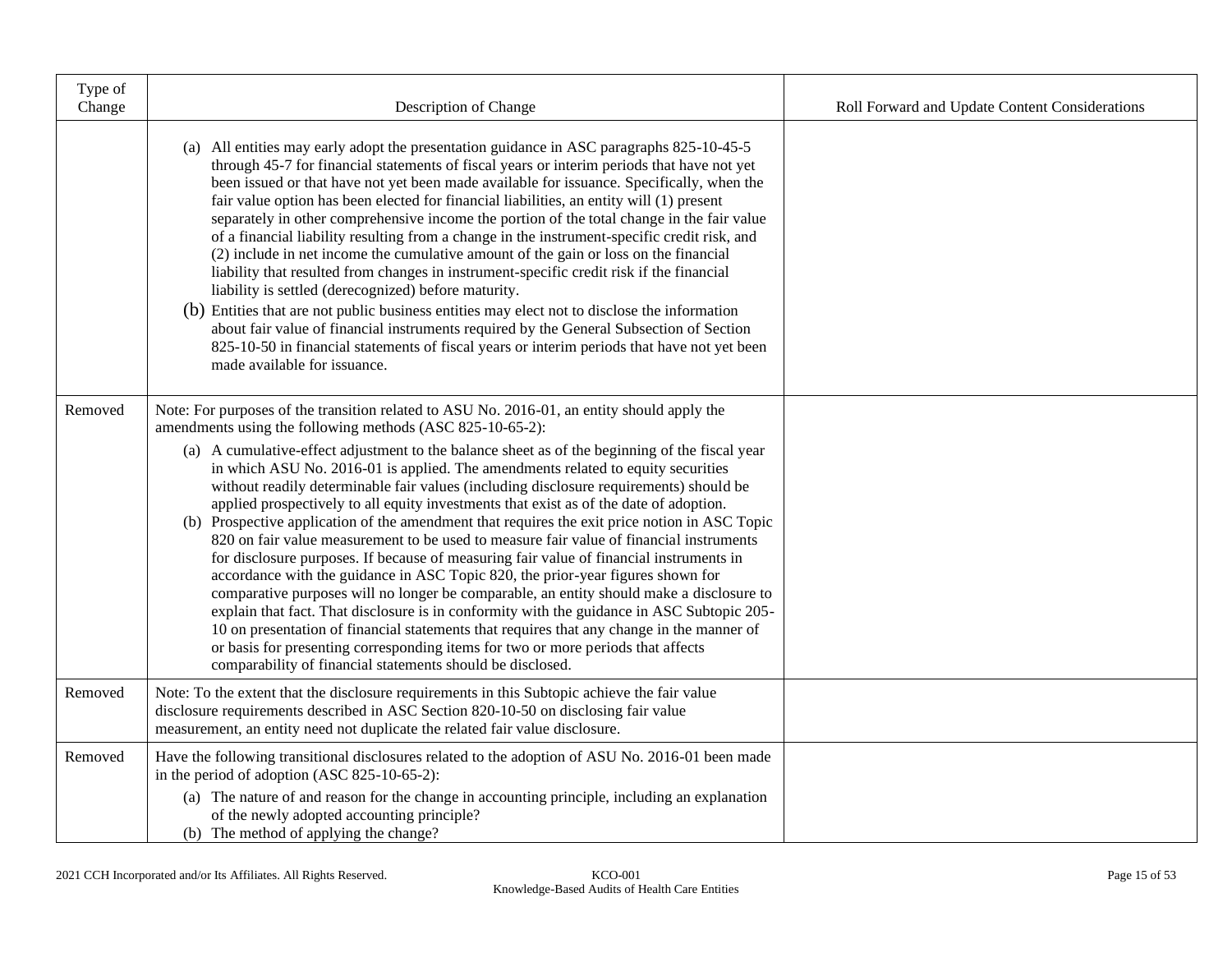| Type of<br>Change | Description of Change                                                                                                                                                                                                                                                                                                                                                                                                                                                                                                                                                                                                                                                                                                                                                                                                                                                                                                                                                                                                                                                                                                                                                                                                                                                                                                                                 | Roll Forward and Update Content Considerations |
|-------------------|-------------------------------------------------------------------------------------------------------------------------------------------------------------------------------------------------------------------------------------------------------------------------------------------------------------------------------------------------------------------------------------------------------------------------------------------------------------------------------------------------------------------------------------------------------------------------------------------------------------------------------------------------------------------------------------------------------------------------------------------------------------------------------------------------------------------------------------------------------------------------------------------------------------------------------------------------------------------------------------------------------------------------------------------------------------------------------------------------------------------------------------------------------------------------------------------------------------------------------------------------------------------------------------------------------------------------------------------------------|------------------------------------------------|
|                   | (a) All entities may early adopt the presentation guidance in ASC paragraphs 825-10-45-5<br>through 45-7 for financial statements of fiscal years or interim periods that have not yet<br>been issued or that have not yet been made available for issuance. Specifically, when the<br>fair value option has been elected for financial liabilities, an entity will (1) present<br>separately in other comprehensive income the portion of the total change in the fair value<br>of a financial liability resulting from a change in the instrument-specific credit risk, and<br>(2) include in net income the cumulative amount of the gain or loss on the financial<br>liability that resulted from changes in instrument-specific credit risk if the financial<br>liability is settled (derecognized) before maturity.<br>(b) Entities that are not public business entities may elect not to disclose the information<br>about fair value of financial instruments required by the General Subsection of Section<br>825-10-50 in financial statements of fiscal years or interim periods that have not yet been<br>made available for issuance.                                                                                                                                                                                                   |                                                |
| Removed           | Note: For purposes of the transition related to ASU No. 2016-01, an entity should apply the<br>amendments using the following methods (ASC 825-10-65-2):<br>(a) A cumulative-effect adjustment to the balance sheet as of the beginning of the fiscal year<br>in which ASU No. 2016-01 is applied. The amendments related to equity securities<br>without readily determinable fair values (including disclosure requirements) should be<br>applied prospectively to all equity investments that exist as of the date of adoption.<br>(b) Prospective application of the amendment that requires the exit price notion in ASC Topic<br>820 on fair value measurement to be used to measure fair value of financial instruments<br>for disclosure purposes. If because of measuring fair value of financial instruments in<br>accordance with the guidance in ASC Topic 820, the prior-year figures shown for<br>comparative purposes will no longer be comparable, an entity should make a disclosure to<br>explain that fact. That disclosure is in conformity with the guidance in ASC Subtopic 205-<br>10 on presentation of financial statements that requires that any change in the manner of<br>or basis for presenting corresponding items for two or more periods that affects<br>comparability of financial statements should be disclosed. |                                                |
| Removed           | Note: To the extent that the disclosure requirements in this Subtopic achieve the fair value<br>disclosure requirements described in ASC Section 820-10-50 on disclosing fair value<br>measurement, an entity need not duplicate the related fair value disclosure.                                                                                                                                                                                                                                                                                                                                                                                                                                                                                                                                                                                                                                                                                                                                                                                                                                                                                                                                                                                                                                                                                   |                                                |
| Removed           | Have the following transitional disclosures related to the adoption of ASU No. 2016-01 been made<br>in the period of adoption (ASC 825-10-65-2):<br>(a) The nature of and reason for the change in accounting principle, including an explanation<br>of the newly adopted accounting principle?<br>(b) The method of applying the change?                                                                                                                                                                                                                                                                                                                                                                                                                                                                                                                                                                                                                                                                                                                                                                                                                                                                                                                                                                                                             |                                                |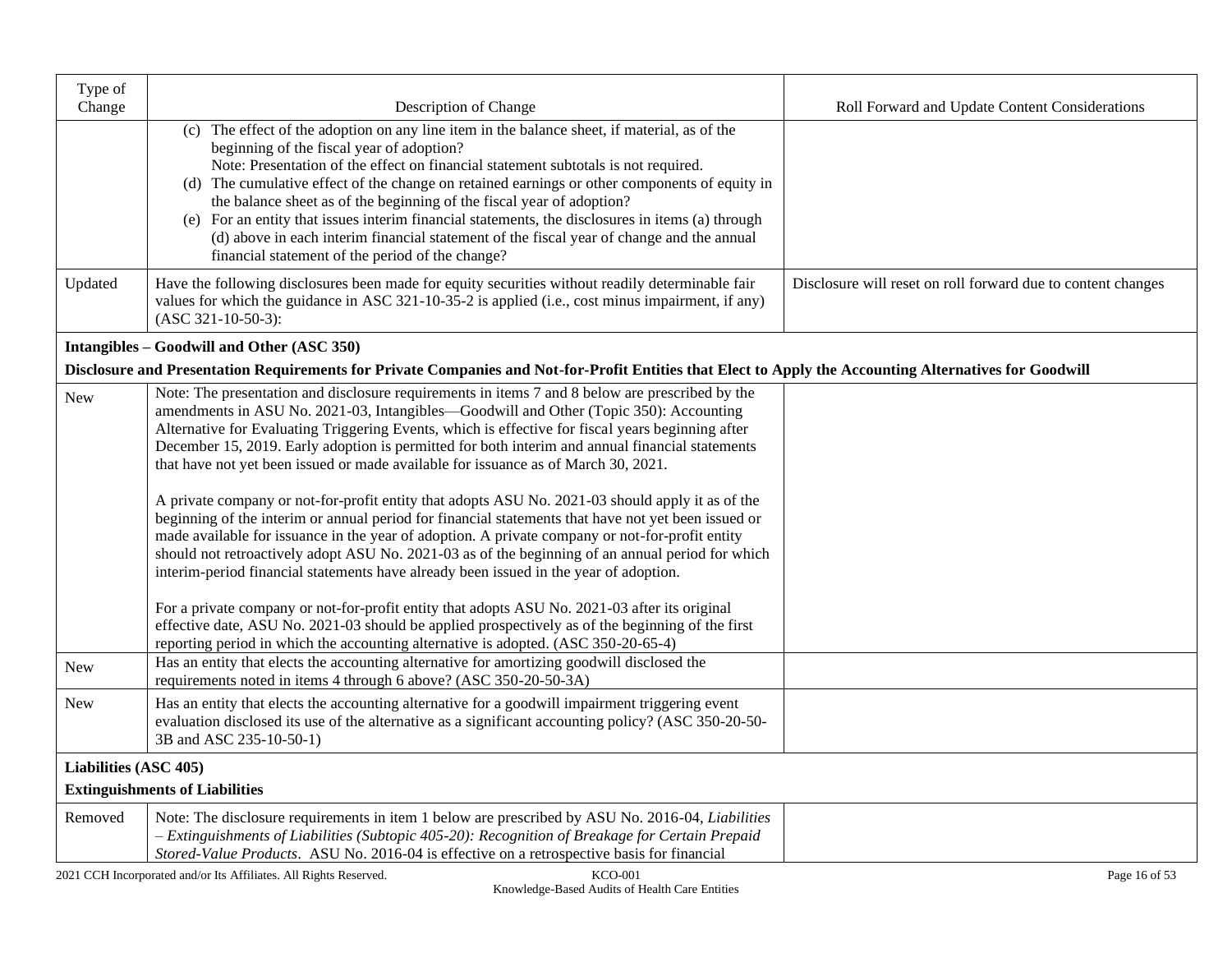| Type of               |                                                                                                                                                                                                                                                                                                                                                                                                                                                                                                                                                                                                                                                                                                                                                                                                                                                                                                                                                                                                                                                                                                                                                                                                                                                                                              |                                                              |
|-----------------------|----------------------------------------------------------------------------------------------------------------------------------------------------------------------------------------------------------------------------------------------------------------------------------------------------------------------------------------------------------------------------------------------------------------------------------------------------------------------------------------------------------------------------------------------------------------------------------------------------------------------------------------------------------------------------------------------------------------------------------------------------------------------------------------------------------------------------------------------------------------------------------------------------------------------------------------------------------------------------------------------------------------------------------------------------------------------------------------------------------------------------------------------------------------------------------------------------------------------------------------------------------------------------------------------|--------------------------------------------------------------|
| Change                | Description of Change                                                                                                                                                                                                                                                                                                                                                                                                                                                                                                                                                                                                                                                                                                                                                                                                                                                                                                                                                                                                                                                                                                                                                                                                                                                                        | Roll Forward and Update Content Considerations               |
|                       | (c) The effect of the adoption on any line item in the balance sheet, if material, as of the<br>beginning of the fiscal year of adoption?<br>Note: Presentation of the effect on financial statement subtotals is not required.<br>(d) The cumulative effect of the change on retained earnings or other components of equity in<br>the balance sheet as of the beginning of the fiscal year of adoption?<br>(e) For an entity that issues interim financial statements, the disclosures in items (a) through<br>(d) above in each interim financial statement of the fiscal year of change and the annual<br>financial statement of the period of the change?                                                                                                                                                                                                                                                                                                                                                                                                                                                                                                                                                                                                                               |                                                              |
| Updated               | Have the following disclosures been made for equity securities without readily determinable fair<br>values for which the guidance in ASC 321-10-35-2 is applied (i.e., cost minus impairment, if any)<br>$(ASC 321-10-50-3):$                                                                                                                                                                                                                                                                                                                                                                                                                                                                                                                                                                                                                                                                                                                                                                                                                                                                                                                                                                                                                                                                | Disclosure will reset on roll forward due to content changes |
|                       | Intangibles - Goodwill and Other (ASC 350)                                                                                                                                                                                                                                                                                                                                                                                                                                                                                                                                                                                                                                                                                                                                                                                                                                                                                                                                                                                                                                                                                                                                                                                                                                                   |                                                              |
|                       | Disclosure and Presentation Requirements for Private Companies and Not-for-Profit Entities that Elect to Apply the Accounting Alternatives for Goodwill                                                                                                                                                                                                                                                                                                                                                                                                                                                                                                                                                                                                                                                                                                                                                                                                                                                                                                                                                                                                                                                                                                                                      |                                                              |
| <b>New</b>            | Note: The presentation and disclosure requirements in items 7 and 8 below are prescribed by the<br>amendments in ASU No. 2021-03, Intangibles—Goodwill and Other (Topic 350): Accounting<br>Alternative for Evaluating Triggering Events, which is effective for fiscal years beginning after<br>December 15, 2019. Early adoption is permitted for both interim and annual financial statements<br>that have not yet been issued or made available for issuance as of March 30, 2021.<br>A private company or not-for-profit entity that adopts ASU No. 2021-03 should apply it as of the<br>beginning of the interim or annual period for financial statements that have not yet been issued or<br>made available for issuance in the year of adoption. A private company or not-for-profit entity<br>should not retroactively adopt ASU No. 2021-03 as of the beginning of an annual period for which<br>interim-period financial statements have already been issued in the year of adoption.<br>For a private company or not-for-profit entity that adopts ASU No. 2021-03 after its original<br>effective date, ASU No. 2021-03 should be applied prospectively as of the beginning of the first<br>reporting period in which the accounting alternative is adopted. (ASC 350-20-65-4) |                                                              |
| <b>New</b>            | Has an entity that elects the accounting alternative for amortizing goodwill disclosed the<br>requirements noted in items 4 through 6 above? (ASC 350-20-50-3A)                                                                                                                                                                                                                                                                                                                                                                                                                                                                                                                                                                                                                                                                                                                                                                                                                                                                                                                                                                                                                                                                                                                              |                                                              |
| New                   | Has an entity that elects the accounting alternative for a goodwill impairment triggering event<br>evaluation disclosed its use of the alternative as a significant accounting policy? (ASC 350-20-50-<br>3B and ASC 235-10-50-1)                                                                                                                                                                                                                                                                                                                                                                                                                                                                                                                                                                                                                                                                                                                                                                                                                                                                                                                                                                                                                                                            |                                                              |
| Liabilities (ASC 405) |                                                                                                                                                                                                                                                                                                                                                                                                                                                                                                                                                                                                                                                                                                                                                                                                                                                                                                                                                                                                                                                                                                                                                                                                                                                                                              |                                                              |
|                       | <b>Extinguishments of Liabilities</b>                                                                                                                                                                                                                                                                                                                                                                                                                                                                                                                                                                                                                                                                                                                                                                                                                                                                                                                                                                                                                                                                                                                                                                                                                                                        |                                                              |
| Removed               | Note: The disclosure requirements in item 1 below are prescribed by ASU No. 2016-04, Liabilities<br>- Extinguishments of Liabilities (Subtopic 405-20): Recognition of Breakage for Certain Prepaid<br>Stored-Value Products. ASU No. 2016-04 is effective on a retrospective basis for financial                                                                                                                                                                                                                                                                                                                                                                                                                                                                                                                                                                                                                                                                                                                                                                                                                                                                                                                                                                                            |                                                              |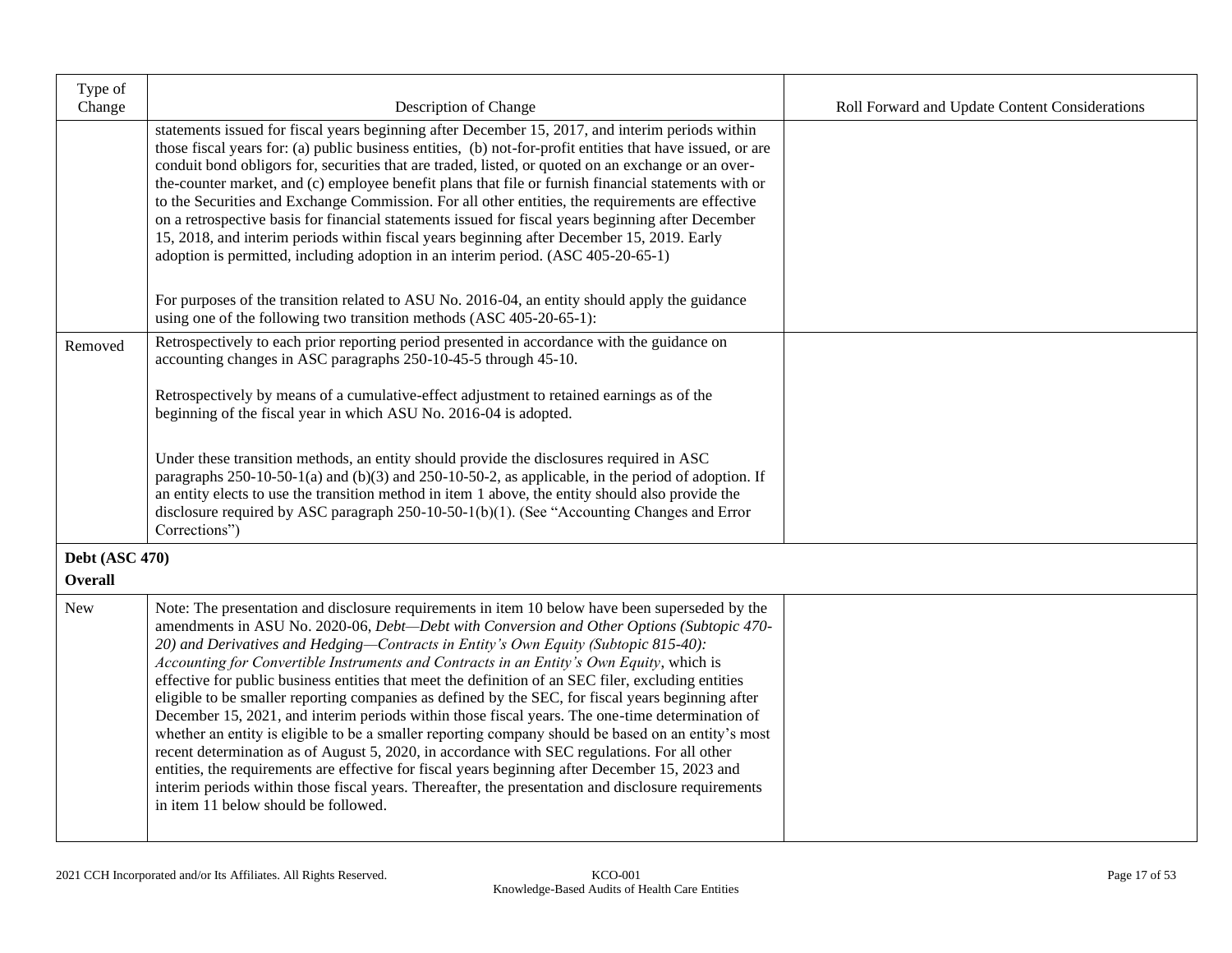| Type of<br>Change            | Description of Change                                                                                                                                                                                                                                                                                                                                                                                                                                                                                                                                                                                                                                                                                                                                                                                                                                                                                                                                                                                                                                                                                                                                    | Roll Forward and Update Content Considerations |
|------------------------------|----------------------------------------------------------------------------------------------------------------------------------------------------------------------------------------------------------------------------------------------------------------------------------------------------------------------------------------------------------------------------------------------------------------------------------------------------------------------------------------------------------------------------------------------------------------------------------------------------------------------------------------------------------------------------------------------------------------------------------------------------------------------------------------------------------------------------------------------------------------------------------------------------------------------------------------------------------------------------------------------------------------------------------------------------------------------------------------------------------------------------------------------------------|------------------------------------------------|
|                              | statements issued for fiscal years beginning after December 15, 2017, and interim periods within<br>those fiscal years for: (a) public business entities, (b) not-for-profit entities that have issued, or are<br>conduit bond obligors for, securities that are traded, listed, or quoted on an exchange or an over-<br>the-counter market, and (c) employee benefit plans that file or furnish financial statements with or<br>to the Securities and Exchange Commission. For all other entities, the requirements are effective<br>on a retrospective basis for financial statements issued for fiscal years beginning after December<br>15, 2018, and interim periods within fiscal years beginning after December 15, 2019. Early<br>adoption is permitted, including adoption in an interim period. (ASC 405-20-65-1)                                                                                                                                                                                                                                                                                                                              |                                                |
|                              | For purposes of the transition related to ASU No. 2016-04, an entity should apply the guidance<br>using one of the following two transition methods (ASC 405-20-65-1):                                                                                                                                                                                                                                                                                                                                                                                                                                                                                                                                                                                                                                                                                                                                                                                                                                                                                                                                                                                   |                                                |
| Removed                      | Retrospectively to each prior reporting period presented in accordance with the guidance on<br>accounting changes in ASC paragraphs 250-10-45-5 through 45-10.                                                                                                                                                                                                                                                                                                                                                                                                                                                                                                                                                                                                                                                                                                                                                                                                                                                                                                                                                                                           |                                                |
|                              | Retrospectively by means of a cumulative-effect adjustment to retained earnings as of the<br>beginning of the fiscal year in which ASU No. 2016-04 is adopted.                                                                                                                                                                                                                                                                                                                                                                                                                                                                                                                                                                                                                                                                                                                                                                                                                                                                                                                                                                                           |                                                |
|                              | Under these transition methods, an entity should provide the disclosures required in ASC<br>paragraphs $250-10-50-1$ (a) and $(b)(3)$ and $250-10-50-2$ , as applicable, in the period of adoption. If<br>an entity elects to use the transition method in item 1 above, the entity should also provide the<br>disclosure required by ASC paragraph 250-10-50-1(b)(1). (See "Accounting Changes and Error<br>Corrections")                                                                                                                                                                                                                                                                                                                                                                                                                                                                                                                                                                                                                                                                                                                               |                                                |
| <b>Debt</b> (ASC 470)        |                                                                                                                                                                                                                                                                                                                                                                                                                                                                                                                                                                                                                                                                                                                                                                                                                                                                                                                                                                                                                                                                                                                                                          |                                                |
| <b>Overall</b><br><b>New</b> | Note: The presentation and disclosure requirements in item 10 below have been superseded by the<br>amendments in ASU No. 2020-06, Debt-Debt with Conversion and Other Options (Subtopic 470-<br>20) and Derivatives and Hedging-Contracts in Entity's Own Equity (Subtopic 815-40):<br>Accounting for Convertible Instruments and Contracts in an Entity's Own Equity, which is<br>effective for public business entities that meet the definition of an SEC filer, excluding entities<br>eligible to be smaller reporting companies as defined by the SEC, for fiscal years beginning after<br>December 15, 2021, and interim periods within those fiscal years. The one-time determination of<br>whether an entity is eligible to be a smaller reporting company should be based on an entity's most<br>recent determination as of August 5, 2020, in accordance with SEC regulations. For all other<br>entities, the requirements are effective for fiscal years beginning after December 15, 2023 and<br>interim periods within those fiscal years. Thereafter, the presentation and disclosure requirements<br>in item 11 below should be followed. |                                                |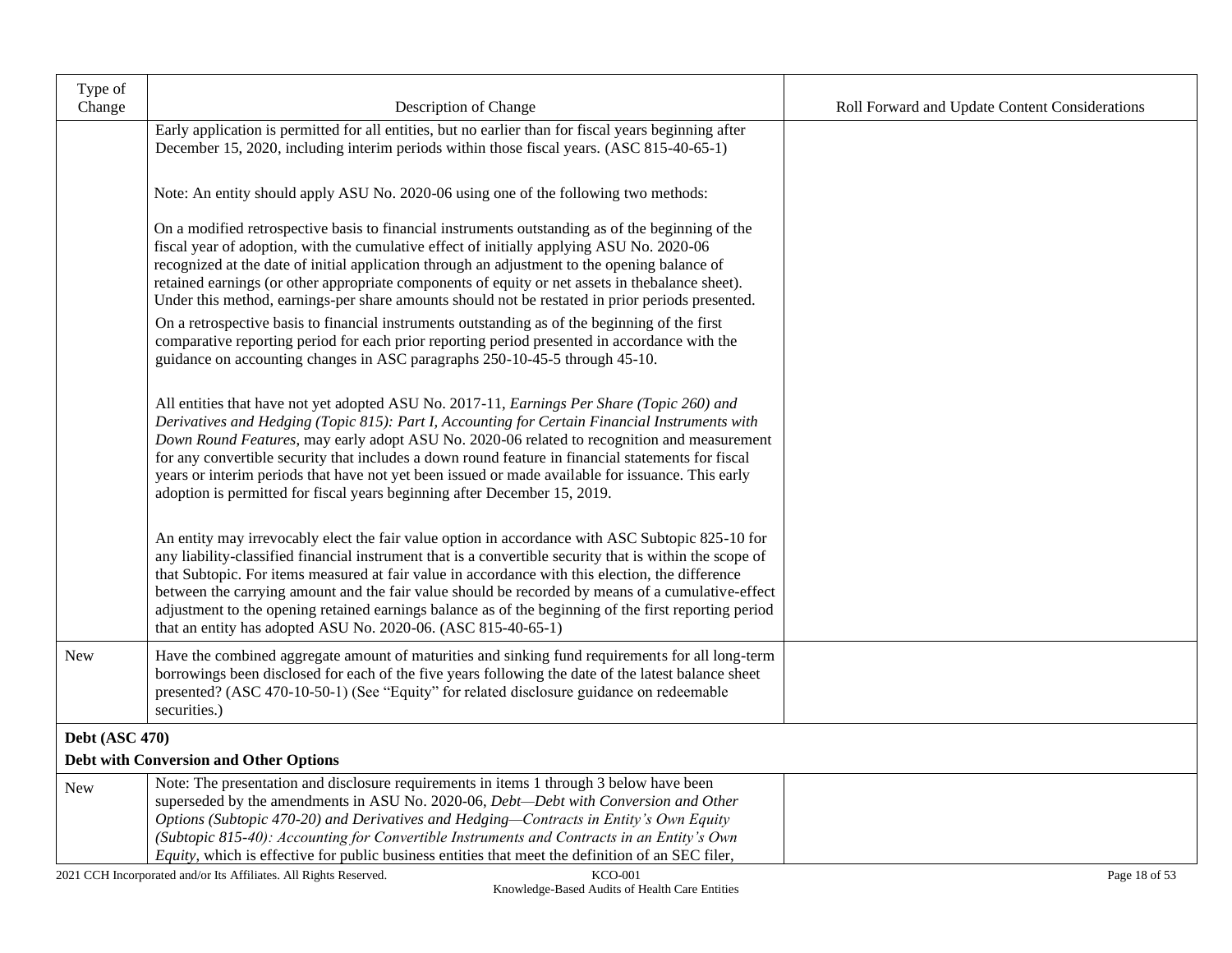| Type of<br>Change     | Description of Change                                                                                                                                                                                                                                                                                                                                                                                                                                                                                                                                                                           | Roll Forward and Update Content Considerations |
|-----------------------|-------------------------------------------------------------------------------------------------------------------------------------------------------------------------------------------------------------------------------------------------------------------------------------------------------------------------------------------------------------------------------------------------------------------------------------------------------------------------------------------------------------------------------------------------------------------------------------------------|------------------------------------------------|
|                       | Early application is permitted for all entities, but no earlier than for fiscal years beginning after<br>December 15, 2020, including interim periods within those fiscal years. (ASC 815-40-65-1)                                                                                                                                                                                                                                                                                                                                                                                              |                                                |
|                       | Note: An entity should apply ASU No. 2020-06 using one of the following two methods:                                                                                                                                                                                                                                                                                                                                                                                                                                                                                                            |                                                |
|                       | On a modified retrospective basis to financial instruments outstanding as of the beginning of the<br>fiscal year of adoption, with the cumulative effect of initially applying ASU No. 2020-06<br>recognized at the date of initial application through an adjustment to the opening balance of<br>retained earnings (or other appropriate components of equity or net assets in thebalance sheet).<br>Under this method, earnings-per share amounts should not be restated in prior periods presented.                                                                                         |                                                |
|                       | On a retrospective basis to financial instruments outstanding as of the beginning of the first<br>comparative reporting period for each prior reporting period presented in accordance with the<br>guidance on accounting changes in ASC paragraphs 250-10-45-5 through 45-10.                                                                                                                                                                                                                                                                                                                  |                                                |
|                       | All entities that have not yet adopted ASU No. 2017-11, Earnings Per Share (Topic 260) and<br>Derivatives and Hedging (Topic 815): Part I, Accounting for Certain Financial Instruments with<br>Down Round Features, may early adopt ASU No. 2020-06 related to recognition and measurement<br>for any convertible security that includes a down round feature in financial statements for fiscal<br>years or interim periods that have not yet been issued or made available for issuance. This early<br>adoption is permitted for fiscal years beginning after December 15, 2019.             |                                                |
|                       | An entity may irrevocably elect the fair value option in accordance with ASC Subtopic 825-10 for<br>any liability-classified financial instrument that is a convertible security that is within the scope of<br>that Subtopic. For items measured at fair value in accordance with this election, the difference<br>between the carrying amount and the fair value should be recorded by means of a cumulative-effect<br>adjustment to the opening retained earnings balance as of the beginning of the first reporting period<br>that an entity has adopted ASU No. 2020-06. (ASC 815-40-65-1) |                                                |
| New                   | Have the combined aggregate amount of maturities and sinking fund requirements for all long-term<br>borrowings been disclosed for each of the five years following the date of the latest balance sheet<br>presented? (ASC 470-10-50-1) (See "Equity" for related disclosure guidance on redeemable<br>securities.)                                                                                                                                                                                                                                                                             |                                                |
| <b>Debt</b> (ASC 470) |                                                                                                                                                                                                                                                                                                                                                                                                                                                                                                                                                                                                 |                                                |
|                       | <b>Debt with Conversion and Other Options</b><br>Note: The presentation and disclosure requirements in items 1 through 3 below have been                                                                                                                                                                                                                                                                                                                                                                                                                                                        |                                                |
| New                   | superseded by the amendments in ASU No. 2020-06, Debt-Debt with Conversion and Other<br>Options (Subtopic 470-20) and Derivatives and Hedging-Contracts in Entity's Own Equity<br>(Subtopic 815-40): Accounting for Convertible Instruments and Contracts in an Entity's Own<br>Equity, which is effective for public business entities that meet the definition of an SEC filer,                                                                                                                                                                                                               |                                                |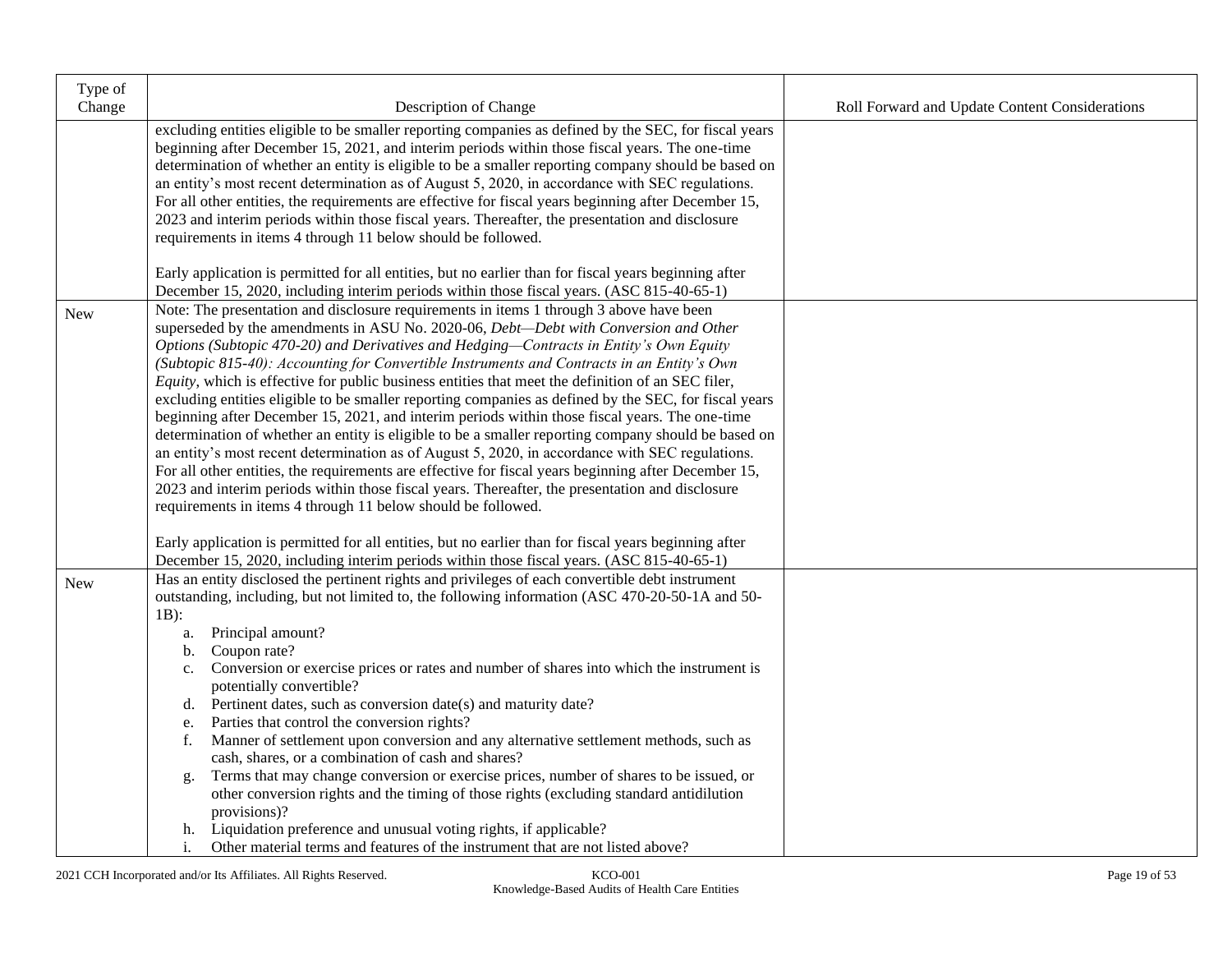| Type of    |                                                                                                                                                                                                                                                                                                                                                                                                                                                                                                                                                                                                                                                                                                                                                                                                                                                                                                                                                                                                                                                                                                                                                                                                                                                                                       |                                                |
|------------|---------------------------------------------------------------------------------------------------------------------------------------------------------------------------------------------------------------------------------------------------------------------------------------------------------------------------------------------------------------------------------------------------------------------------------------------------------------------------------------------------------------------------------------------------------------------------------------------------------------------------------------------------------------------------------------------------------------------------------------------------------------------------------------------------------------------------------------------------------------------------------------------------------------------------------------------------------------------------------------------------------------------------------------------------------------------------------------------------------------------------------------------------------------------------------------------------------------------------------------------------------------------------------------|------------------------------------------------|
| Change     | Description of Change                                                                                                                                                                                                                                                                                                                                                                                                                                                                                                                                                                                                                                                                                                                                                                                                                                                                                                                                                                                                                                                                                                                                                                                                                                                                 | Roll Forward and Update Content Considerations |
|            | excluding entities eligible to be smaller reporting companies as defined by the SEC, for fiscal years<br>beginning after December 15, 2021, and interim periods within those fiscal years. The one-time<br>determination of whether an entity is eligible to be a smaller reporting company should be based on<br>an entity's most recent determination as of August 5, 2020, in accordance with SEC regulations.<br>For all other entities, the requirements are effective for fiscal years beginning after December 15,<br>2023 and interim periods within those fiscal years. Thereafter, the presentation and disclosure<br>requirements in items 4 through 11 below should be followed.                                                                                                                                                                                                                                                                                                                                                                                                                                                                                                                                                                                          |                                                |
|            | Early application is permitted for all entities, but no earlier than for fiscal years beginning after<br>December 15, 2020, including interim periods within those fiscal years. (ASC 815-40-65-1)                                                                                                                                                                                                                                                                                                                                                                                                                                                                                                                                                                                                                                                                                                                                                                                                                                                                                                                                                                                                                                                                                    |                                                |
| New        | Note: The presentation and disclosure requirements in items 1 through 3 above have been<br>superseded by the amendments in ASU No. 2020-06, Debt-Debt with Conversion and Other<br>Options (Subtopic 470-20) and Derivatives and Hedging-Contracts in Entity's Own Equity<br>(Subtopic 815-40): Accounting for Convertible Instruments and Contracts in an Entity's Own<br>Equity, which is effective for public business entities that meet the definition of an SEC filer,<br>excluding entities eligible to be smaller reporting companies as defined by the SEC, for fiscal years<br>beginning after December 15, 2021, and interim periods within those fiscal years. The one-time<br>determination of whether an entity is eligible to be a smaller reporting company should be based on<br>an entity's most recent determination as of August 5, 2020, in accordance with SEC regulations.<br>For all other entities, the requirements are effective for fiscal years beginning after December 15,<br>2023 and interim periods within those fiscal years. Thereafter, the presentation and disclosure<br>requirements in items 4 through 11 below should be followed.<br>Early application is permitted for all entities, but no earlier than for fiscal years beginning after |                                                |
| <b>New</b> | December 15, 2020, including interim periods within those fiscal years. (ASC 815-40-65-1)<br>Has an entity disclosed the pertinent rights and privileges of each convertible debt instrument<br>outstanding, including, but not limited to, the following information (ASC 470-20-50-1A and 50-<br>$1B$ :<br>Principal amount?<br>a.<br>Coupon rate?<br>b.<br>Conversion or exercise prices or rates and number of shares into which the instrument is<br>$\mathbf{c}$ .<br>potentially convertible?<br>Pertinent dates, such as conversion date(s) and maturity date?<br>d.<br>Parties that control the conversion rights?<br>e.<br>Manner of settlement upon conversion and any alternative settlement methods, such as<br>f.<br>cash, shares, or a combination of cash and shares?<br>Terms that may change conversion or exercise prices, number of shares to be issued, or<br>g.<br>other conversion rights and the timing of those rights (excluding standard antidilution<br>provisions)?<br>Liquidation preference and unusual voting rights, if applicable?<br>h.                                                                                                                                                                                                            |                                                |
|            | Other material terms and features of the instrument that are not listed above?<br>i.                                                                                                                                                                                                                                                                                                                                                                                                                                                                                                                                                                                                                                                                                                                                                                                                                                                                                                                                                                                                                                                                                                                                                                                                  |                                                |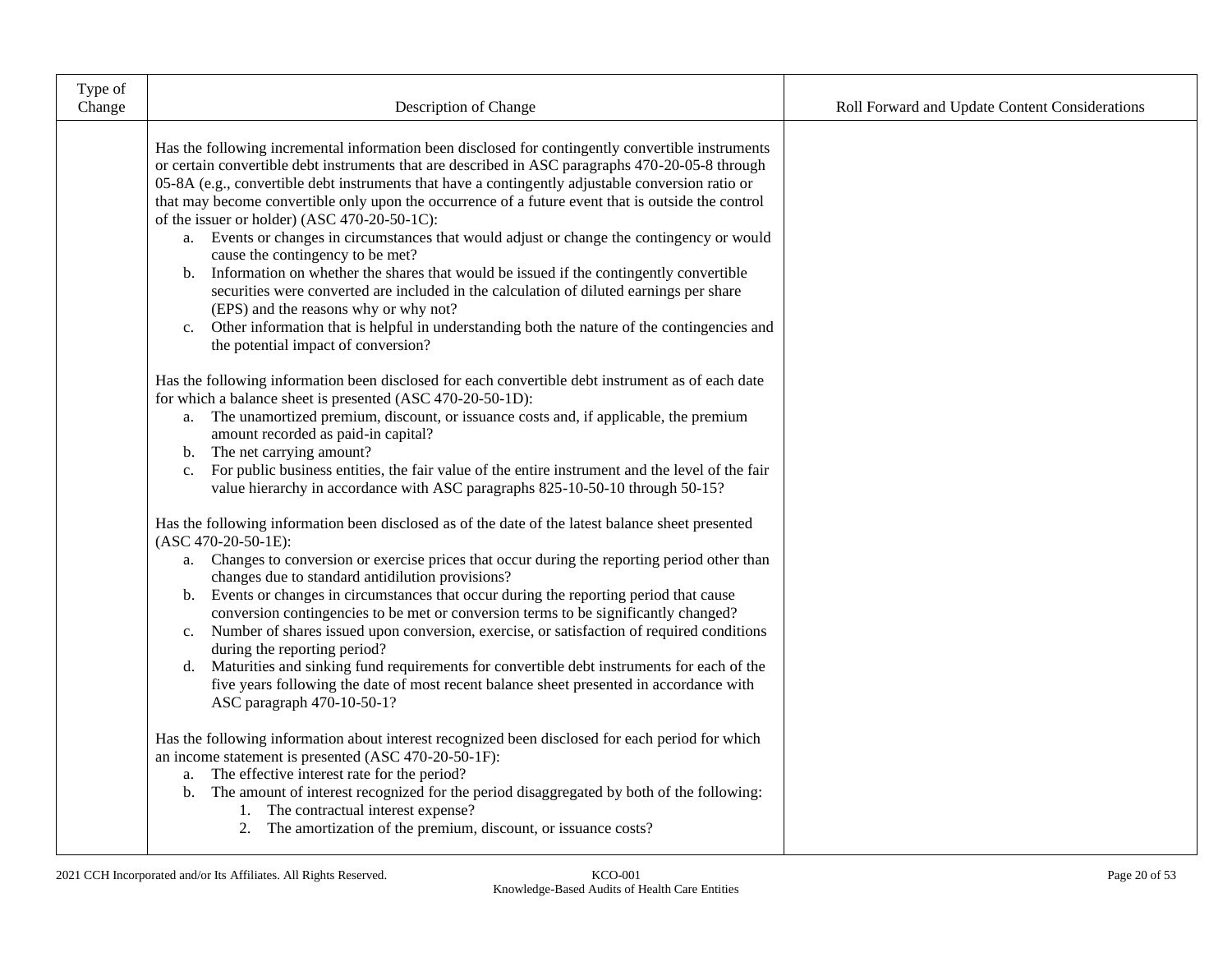| Type of<br>Change | Description of Change                                                                                                                                                                                                                                                                                                                                                                                                                                                                                                                                                                                                                                                                                                                                                                                                                                                                                                                                                                       | Roll Forward and Update Content Considerations |
|-------------------|---------------------------------------------------------------------------------------------------------------------------------------------------------------------------------------------------------------------------------------------------------------------------------------------------------------------------------------------------------------------------------------------------------------------------------------------------------------------------------------------------------------------------------------------------------------------------------------------------------------------------------------------------------------------------------------------------------------------------------------------------------------------------------------------------------------------------------------------------------------------------------------------------------------------------------------------------------------------------------------------|------------------------------------------------|
|                   | Has the following incremental information been disclosed for contingently convertible instruments<br>or certain convertible debt instruments that are described in ASC paragraphs 470-20-05-8 through<br>05-8A (e.g., convertible debt instruments that have a contingently adjustable conversion ratio or<br>that may become convertible only upon the occurrence of a future event that is outside the control<br>of the issuer or holder) (ASC 470-20-50-1C):<br>a. Events or changes in circumstances that would adjust or change the contingency or would<br>cause the contingency to be met?<br>Information on whether the shares that would be issued if the contingently convertible<br>b.<br>securities were converted are included in the calculation of diluted earnings per share<br>(EPS) and the reasons why or why not?<br>Other information that is helpful in understanding both the nature of the contingencies and<br>$c_{\cdot}$<br>the potential impact of conversion? |                                                |
|                   | Has the following information been disclosed for each convertible debt instrument as of each date<br>for which a balance sheet is presented (ASC 470-20-50-1D):<br>a. The unamortized premium, discount, or issuance costs and, if applicable, the premium<br>amount recorded as paid-in capital?<br>b. The net carrying amount?<br>For public business entities, the fair value of the entire instrument and the level of the fair<br>$c_{\cdot}$<br>value hierarchy in accordance with ASC paragraphs 825-10-50-10 through 50-15?                                                                                                                                                                                                                                                                                                                                                                                                                                                         |                                                |
|                   | Has the following information been disclosed as of the date of the latest balance sheet presented<br>$(ASC 470-20-50-1E):$<br>a. Changes to conversion or exercise prices that occur during the reporting period other than<br>changes due to standard antidilution provisions?<br>b. Events or changes in circumstances that occur during the reporting period that cause<br>conversion contingencies to be met or conversion terms to be significantly changed?<br>c. Number of shares issued upon conversion, exercise, or satisfaction of required conditions<br>during the reporting period?<br>d. Maturities and sinking fund requirements for convertible debt instruments for each of the<br>five years following the date of most recent balance sheet presented in accordance with<br>ASC paragraph 470-10-50-1?                                                                                                                                                                  |                                                |
|                   | Has the following information about interest recognized been disclosed for each period for which<br>an income statement is presented (ASC 470-20-50-1F):<br>a. The effective interest rate for the period?<br>b. The amount of interest recognized for the period disaggregated by both of the following:<br>1. The contractual interest expense?<br>2. The amortization of the premium, discount, or issuance costs?                                                                                                                                                                                                                                                                                                                                                                                                                                                                                                                                                                       |                                                |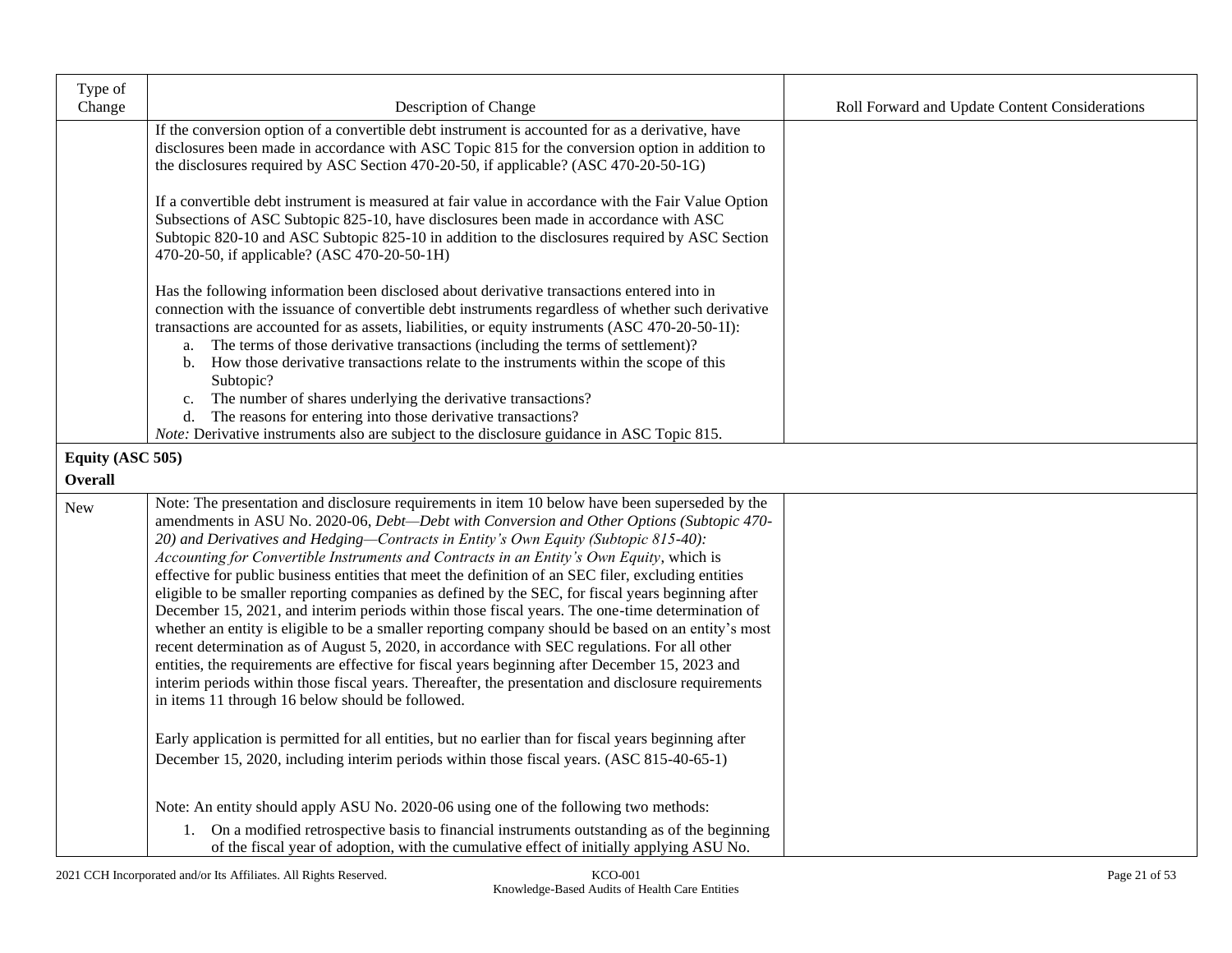| Type of<br>Change | Description of Change                                                                                                                                                                                                                                                                                                                                                                                                                                                                                                                                                                                                                                                                                                                                                                                                                                                                                                                                                                                                                                                                                                                                                | Roll Forward and Update Content Considerations |
|-------------------|----------------------------------------------------------------------------------------------------------------------------------------------------------------------------------------------------------------------------------------------------------------------------------------------------------------------------------------------------------------------------------------------------------------------------------------------------------------------------------------------------------------------------------------------------------------------------------------------------------------------------------------------------------------------------------------------------------------------------------------------------------------------------------------------------------------------------------------------------------------------------------------------------------------------------------------------------------------------------------------------------------------------------------------------------------------------------------------------------------------------------------------------------------------------|------------------------------------------------|
|                   | If the conversion option of a convertible debt instrument is accounted for as a derivative, have<br>disclosures been made in accordance with ASC Topic 815 for the conversion option in addition to<br>the disclosures required by ASC Section 470-20-50, if applicable? (ASC 470-20-50-1G)                                                                                                                                                                                                                                                                                                                                                                                                                                                                                                                                                                                                                                                                                                                                                                                                                                                                          |                                                |
|                   | If a convertible debt instrument is measured at fair value in accordance with the Fair Value Option<br>Subsections of ASC Subtopic 825-10, have disclosures been made in accordance with ASC<br>Subtopic 820-10 and ASC Subtopic 825-10 in addition to the disclosures required by ASC Section<br>470-20-50, if applicable? (ASC 470-20-50-1H)                                                                                                                                                                                                                                                                                                                                                                                                                                                                                                                                                                                                                                                                                                                                                                                                                       |                                                |
|                   | Has the following information been disclosed about derivative transactions entered into in<br>connection with the issuance of convertible debt instruments regardless of whether such derivative<br>transactions are accounted for as assets, liabilities, or equity instruments (ASC 470-20-50-1I):<br>The terms of those derivative transactions (including the terms of settlement)?<br>a.<br>b. How those derivative transactions relate to the instruments within the scope of this                                                                                                                                                                                                                                                                                                                                                                                                                                                                                                                                                                                                                                                                             |                                                |
|                   | Subtopic?<br>The number of shares underlying the derivative transactions?<br>c.<br>The reasons for entering into those derivative transactions?<br>d.<br><i>Note:</i> Derivative instruments also are subject to the disclosure guidance in ASC Topic 815.                                                                                                                                                                                                                                                                                                                                                                                                                                                                                                                                                                                                                                                                                                                                                                                                                                                                                                           |                                                |
| Equity (ASC 505)  |                                                                                                                                                                                                                                                                                                                                                                                                                                                                                                                                                                                                                                                                                                                                                                                                                                                                                                                                                                                                                                                                                                                                                                      |                                                |
| <b>Overall</b>    |                                                                                                                                                                                                                                                                                                                                                                                                                                                                                                                                                                                                                                                                                                                                                                                                                                                                                                                                                                                                                                                                                                                                                                      |                                                |
| New               | Note: The presentation and disclosure requirements in item 10 below have been superseded by the<br>amendments in ASU No. 2020-06, Debt-Debt with Conversion and Other Options (Subtopic 470-<br>20) and Derivatives and Hedging-Contracts in Entity's Own Equity (Subtopic 815-40):<br>Accounting for Convertible Instruments and Contracts in an Entity's Own Equity, which is<br>effective for public business entities that meet the definition of an SEC filer, excluding entities<br>eligible to be smaller reporting companies as defined by the SEC, for fiscal years beginning after<br>December 15, 2021, and interim periods within those fiscal years. The one-time determination of<br>whether an entity is eligible to be a smaller reporting company should be based on an entity's most<br>recent determination as of August 5, 2020, in accordance with SEC regulations. For all other<br>entities, the requirements are effective for fiscal years beginning after December 15, 2023 and<br>interim periods within those fiscal years. Thereafter, the presentation and disclosure requirements<br>in items 11 through 16 below should be followed. |                                                |
|                   | Early application is permitted for all entities, but no earlier than for fiscal years beginning after<br>December 15, 2020, including interim periods within those fiscal years. (ASC 815-40-65-1)                                                                                                                                                                                                                                                                                                                                                                                                                                                                                                                                                                                                                                                                                                                                                                                                                                                                                                                                                                   |                                                |
|                   | Note: An entity should apply ASU No. 2020-06 using one of the following two methods:                                                                                                                                                                                                                                                                                                                                                                                                                                                                                                                                                                                                                                                                                                                                                                                                                                                                                                                                                                                                                                                                                 |                                                |
|                   | 1. On a modified retrospective basis to financial instruments outstanding as of the beginning<br>of the fiscal year of adoption, with the cumulative effect of initially applying ASU No.                                                                                                                                                                                                                                                                                                                                                                                                                                                                                                                                                                                                                                                                                                                                                                                                                                                                                                                                                                            |                                                |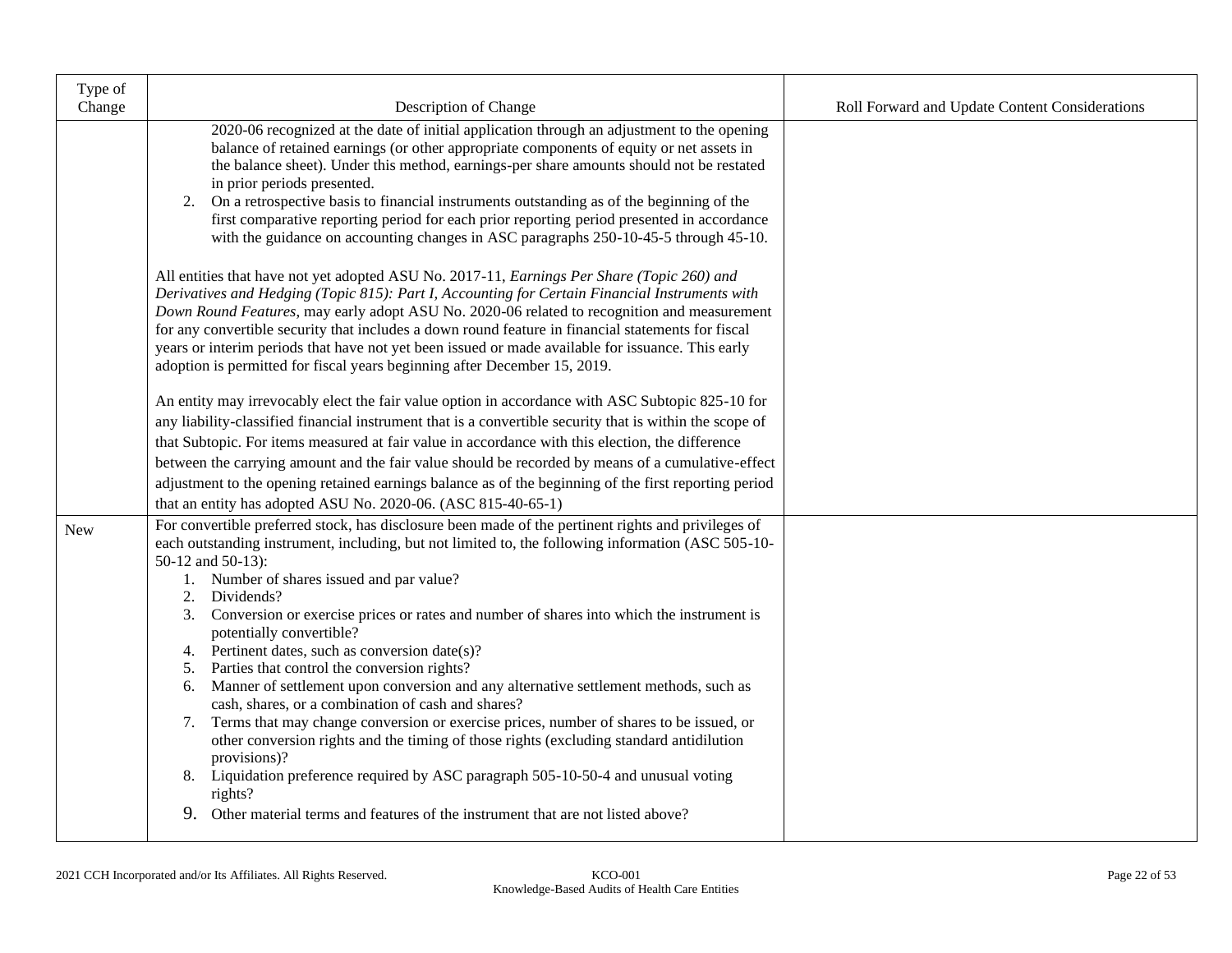| Type of<br>Change | Description of Change                                                                                                                                                                                                                                                                                                                                                                                                                                                                                                                                                                                                                                                                                                                                                                                                                                                                                                                                                                                                                                                                                                                                                                         | Roll Forward and Update Content Considerations |
|-------------------|-----------------------------------------------------------------------------------------------------------------------------------------------------------------------------------------------------------------------------------------------------------------------------------------------------------------------------------------------------------------------------------------------------------------------------------------------------------------------------------------------------------------------------------------------------------------------------------------------------------------------------------------------------------------------------------------------------------------------------------------------------------------------------------------------------------------------------------------------------------------------------------------------------------------------------------------------------------------------------------------------------------------------------------------------------------------------------------------------------------------------------------------------------------------------------------------------|------------------------------------------------|
|                   | 2020-06 recognized at the date of initial application through an adjustment to the opening<br>balance of retained earnings (or other appropriate components of equity or net assets in<br>the balance sheet). Under this method, earnings-per share amounts should not be restated<br>in prior periods presented.<br>2. On a retrospective basis to financial instruments outstanding as of the beginning of the<br>first comparative reporting period for each prior reporting period presented in accordance<br>with the guidance on accounting changes in ASC paragraphs 250-10-45-5 through 45-10.<br>All entities that have not yet adopted ASU No. 2017-11, Earnings Per Share (Topic 260) and<br>Derivatives and Hedging (Topic 815): Part I, Accounting for Certain Financial Instruments with<br>Down Round Features, may early adopt ASU No. 2020-06 related to recognition and measurement<br>for any convertible security that includes a down round feature in financial statements for fiscal<br>years or interim periods that have not yet been issued or made available for issuance. This early<br>adoption is permitted for fiscal years beginning after December 15, 2019. |                                                |
|                   | An entity may irrevocably elect the fair value option in accordance with ASC Subtopic 825-10 for<br>any liability-classified financial instrument that is a convertible security that is within the scope of<br>that Subtopic. For items measured at fair value in accordance with this election, the difference                                                                                                                                                                                                                                                                                                                                                                                                                                                                                                                                                                                                                                                                                                                                                                                                                                                                              |                                                |
|                   | between the carrying amount and the fair value should be recorded by means of a cumulative-effect<br>adjustment to the opening retained earnings balance as of the beginning of the first reporting period<br>that an entity has adopted ASU No. 2020-06. (ASC 815-40-65-1)                                                                                                                                                                                                                                                                                                                                                                                                                                                                                                                                                                                                                                                                                                                                                                                                                                                                                                                   |                                                |
| New               | For convertible preferred stock, has disclosure been made of the pertinent rights and privileges of<br>each outstanding instrument, including, but not limited to, the following information (ASC 505-10-<br>50-12 and 50-13):<br>Number of shares issued and par value?<br>1.<br>Dividends?<br>2.<br>Conversion or exercise prices or rates and number of shares into which the instrument is<br>3.<br>potentially convertible?<br>4. Pertinent dates, such as conversion date(s)?<br>5. Parties that control the conversion rights?<br>Manner of settlement upon conversion and any alternative settlement methods, such as<br>6.<br>cash, shares, or a combination of cash and shares?<br>7. Terms that may change conversion or exercise prices, number of shares to be issued, or<br>other conversion rights and the timing of those rights (excluding standard antidilution<br>provisions)?<br>8. Liquidation preference required by ASC paragraph 505-10-50-4 and unusual voting<br>rights?<br>Other material terms and features of the instrument that are not listed above?<br>9.                                                                                                    |                                                |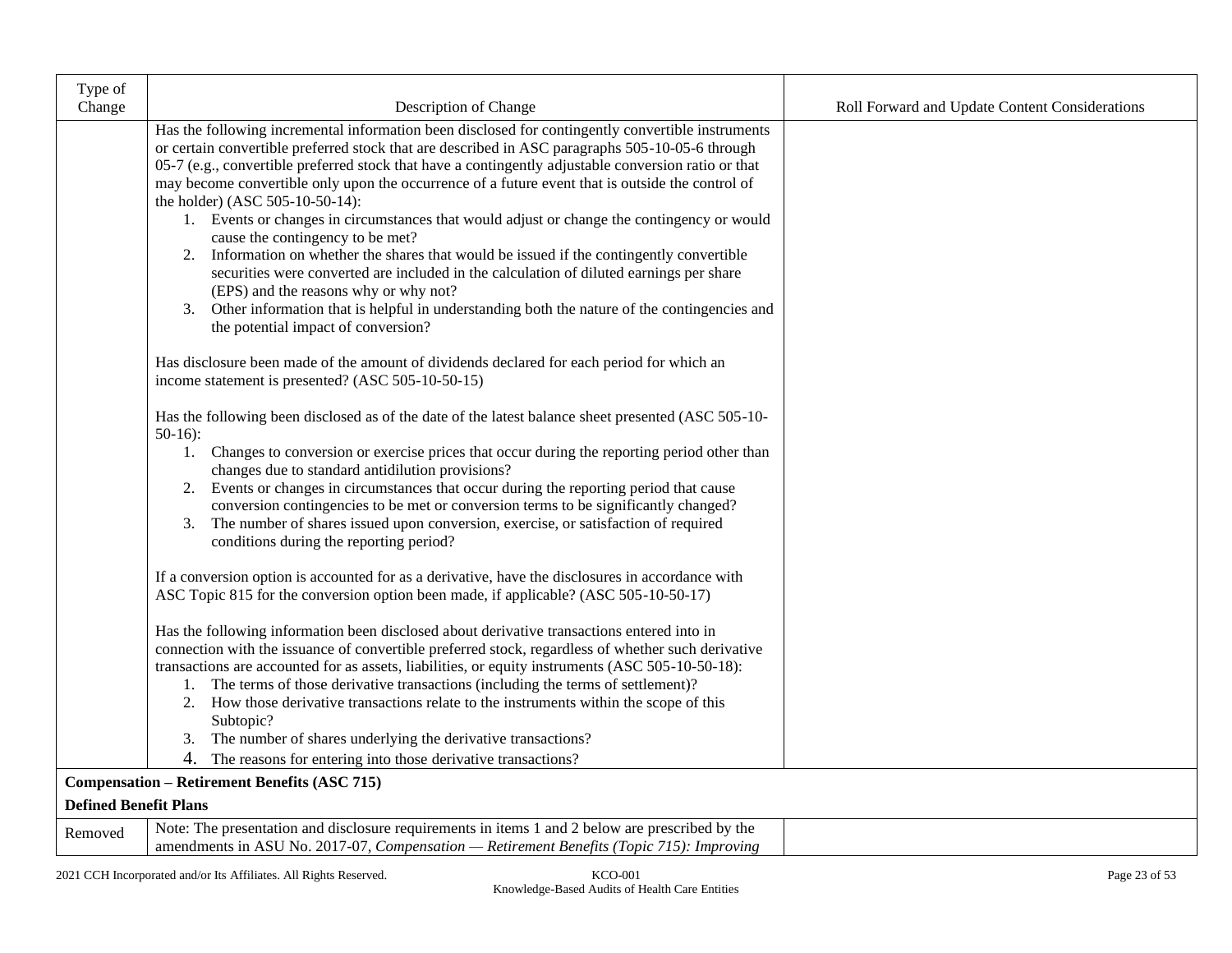| Type of                      |                                                                                                                                                                                                                                                                                                                                                                                                                                                                                                                                                                                                                                                                                       |                                                |
|------------------------------|---------------------------------------------------------------------------------------------------------------------------------------------------------------------------------------------------------------------------------------------------------------------------------------------------------------------------------------------------------------------------------------------------------------------------------------------------------------------------------------------------------------------------------------------------------------------------------------------------------------------------------------------------------------------------------------|------------------------------------------------|
| Change                       | Description of Change                                                                                                                                                                                                                                                                                                                                                                                                                                                                                                                                                                                                                                                                 | Roll Forward and Update Content Considerations |
|                              | Has the following incremental information been disclosed for contingently convertible instruments<br>or certain convertible preferred stock that are described in ASC paragraphs 505-10-05-6 through<br>05-7 (e.g., convertible preferred stock that have a contingently adjustable conversion ratio or that<br>may become convertible only upon the occurrence of a future event that is outside the control of<br>the holder) (ASC 505-10-50-14):<br>1. Events or changes in circumstances that would adjust or change the contingency or would<br>cause the contingency to be met?<br>Information on whether the shares that would be issued if the contingently convertible<br>2. |                                                |
|                              | securities were converted are included in the calculation of diluted earnings per share<br>(EPS) and the reasons why or why not?<br>3. Other information that is helpful in understanding both the nature of the contingencies and<br>the potential impact of conversion?                                                                                                                                                                                                                                                                                                                                                                                                             |                                                |
|                              | Has disclosure been made of the amount of dividends declared for each period for which an<br>income statement is presented? (ASC 505-10-50-15)                                                                                                                                                                                                                                                                                                                                                                                                                                                                                                                                        |                                                |
|                              | Has the following been disclosed as of the date of the latest balance sheet presented (ASC 505-10-<br>$50-16$ :                                                                                                                                                                                                                                                                                                                                                                                                                                                                                                                                                                       |                                                |
|                              | 1. Changes to conversion or exercise prices that occur during the reporting period other than<br>changes due to standard antidilution provisions?                                                                                                                                                                                                                                                                                                                                                                                                                                                                                                                                     |                                                |
|                              | 2. Events or changes in circumstances that occur during the reporting period that cause<br>conversion contingencies to be met or conversion terms to be significantly changed?<br>The number of shares issued upon conversion, exercise, or satisfaction of required<br>3.<br>conditions during the reporting period?                                                                                                                                                                                                                                                                                                                                                                 |                                                |
|                              | If a conversion option is accounted for as a derivative, have the disclosures in accordance with<br>ASC Topic 815 for the conversion option been made, if applicable? (ASC 505-10-50-17)                                                                                                                                                                                                                                                                                                                                                                                                                                                                                              |                                                |
|                              | Has the following information been disclosed about derivative transactions entered into in<br>connection with the issuance of convertible preferred stock, regardless of whether such derivative<br>transactions are accounted for as assets, liabilities, or equity instruments (ASC 505-10-50-18):<br>1. The terms of those derivative transactions (including the terms of settlement)?<br>2. How those derivative transactions relate to the instruments within the scope of this<br>Subtopic?<br>The number of shares underlying the derivative transactions?<br>3.<br>4.<br>The reasons for entering into those derivative transactions?                                        |                                                |
|                              | <b>Compensation - Retirement Benefits (ASC 715)</b>                                                                                                                                                                                                                                                                                                                                                                                                                                                                                                                                                                                                                                   |                                                |
| <b>Defined Benefit Plans</b> |                                                                                                                                                                                                                                                                                                                                                                                                                                                                                                                                                                                                                                                                                       |                                                |
| Removed                      | Note: The presentation and disclosure requirements in items 1 and 2 below are prescribed by the<br>amendments in ASU No. 2017-07, Compensation - Retirement Benefits (Topic 715): Improving                                                                                                                                                                                                                                                                                                                                                                                                                                                                                           |                                                |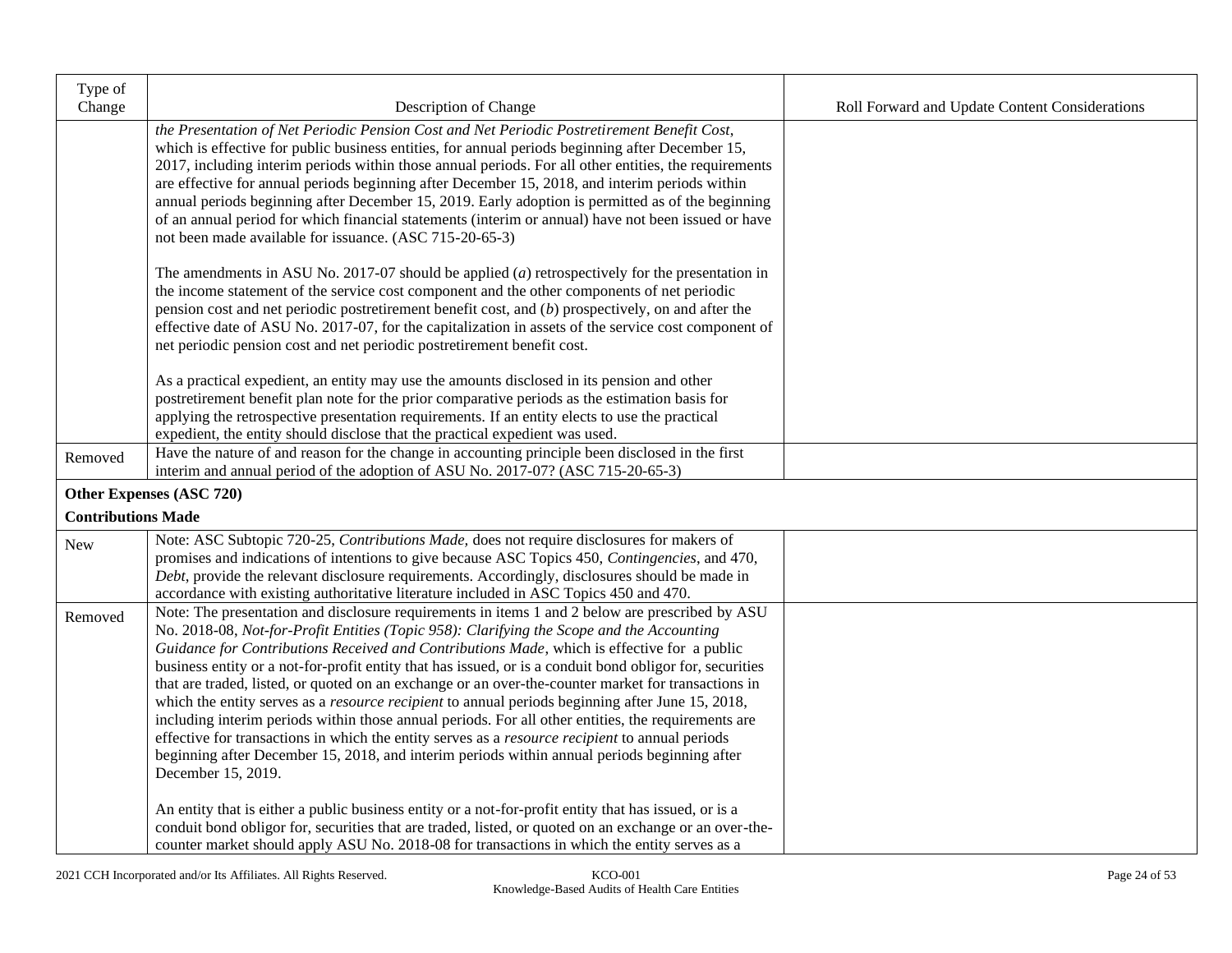| Type of<br>Change         | Description of Change                                                                                                                                                                                                                                                                                                                                                                                                                                                                                                                                                                                                                                                                                                                                                                                                                                                                                                                                            | Roll Forward and Update Content Considerations |
|---------------------------|------------------------------------------------------------------------------------------------------------------------------------------------------------------------------------------------------------------------------------------------------------------------------------------------------------------------------------------------------------------------------------------------------------------------------------------------------------------------------------------------------------------------------------------------------------------------------------------------------------------------------------------------------------------------------------------------------------------------------------------------------------------------------------------------------------------------------------------------------------------------------------------------------------------------------------------------------------------|------------------------------------------------|
|                           | the Presentation of Net Periodic Pension Cost and Net Periodic Postretirement Benefit Cost,<br>which is effective for public business entities, for annual periods beginning after December 15,<br>2017, including interim periods within those annual periods. For all other entities, the requirements<br>are effective for annual periods beginning after December 15, 2018, and interim periods within<br>annual periods beginning after December 15, 2019. Early adoption is permitted as of the beginning<br>of an annual period for which financial statements (interim or annual) have not been issued or have<br>not been made available for issuance. (ASC 715-20-65-3)                                                                                                                                                                                                                                                                                |                                                |
|                           | The amendments in ASU No. 2017-07 should be applied $(a)$ retrospectively for the presentation in<br>the income statement of the service cost component and the other components of net periodic<br>pension cost and net periodic postretirement benefit cost, and $(b)$ prospectively, on and after the<br>effective date of ASU No. 2017-07, for the capitalization in assets of the service cost component of<br>net periodic pension cost and net periodic postretirement benefit cost.                                                                                                                                                                                                                                                                                                                                                                                                                                                                      |                                                |
|                           | As a practical expedient, an entity may use the amounts disclosed in its pension and other<br>postretirement benefit plan note for the prior comparative periods as the estimation basis for<br>applying the retrospective presentation requirements. If an entity elects to use the practical<br>expedient, the entity should disclose that the practical expedient was used.                                                                                                                                                                                                                                                                                                                                                                                                                                                                                                                                                                                   |                                                |
| Removed                   | Have the nature of and reason for the change in accounting principle been disclosed in the first<br>interim and annual period of the adoption of ASU No. 2017-07? (ASC 715-20-65-3)                                                                                                                                                                                                                                                                                                                                                                                                                                                                                                                                                                                                                                                                                                                                                                              |                                                |
|                           | Other Expenses (ASC 720)                                                                                                                                                                                                                                                                                                                                                                                                                                                                                                                                                                                                                                                                                                                                                                                                                                                                                                                                         |                                                |
| <b>Contributions Made</b> |                                                                                                                                                                                                                                                                                                                                                                                                                                                                                                                                                                                                                                                                                                                                                                                                                                                                                                                                                                  |                                                |
| New                       | Note: ASC Subtopic 720-25, Contributions Made, does not require disclosures for makers of<br>promises and indications of intentions to give because ASC Topics 450, Contingencies, and 470,<br>Debt, provide the relevant disclosure requirements. Accordingly, disclosures should be made in<br>accordance with existing authoritative literature included in ASC Topics 450 and 470.                                                                                                                                                                                                                                                                                                                                                                                                                                                                                                                                                                           |                                                |
| Removed                   | Note: The presentation and disclosure requirements in items 1 and 2 below are prescribed by ASU<br>No. 2018-08, Not-for-Profit Entities (Topic 958): Clarifying the Scope and the Accounting<br>Guidance for Contributions Received and Contributions Made, which is effective for a public<br>business entity or a not-for-profit entity that has issued, or is a conduit bond obligor for, securities<br>that are traded, listed, or quoted on an exchange or an over-the-counter market for transactions in<br>which the entity serves as a <i>resource recipient</i> to annual periods beginning after June 15, 2018,<br>including interim periods within those annual periods. For all other entities, the requirements are<br>effective for transactions in which the entity serves as a <i>resource recipient</i> to annual periods<br>beginning after December 15, 2018, and interim periods within annual periods beginning after<br>December 15, 2019. |                                                |
|                           | An entity that is either a public business entity or a not-for-profit entity that has issued, or is a<br>conduit bond obligor for, securities that are traded, listed, or quoted on an exchange or an over-the-<br>counter market should apply ASU No. 2018-08 for transactions in which the entity serves as a                                                                                                                                                                                                                                                                                                                                                                                                                                                                                                                                                                                                                                                  |                                                |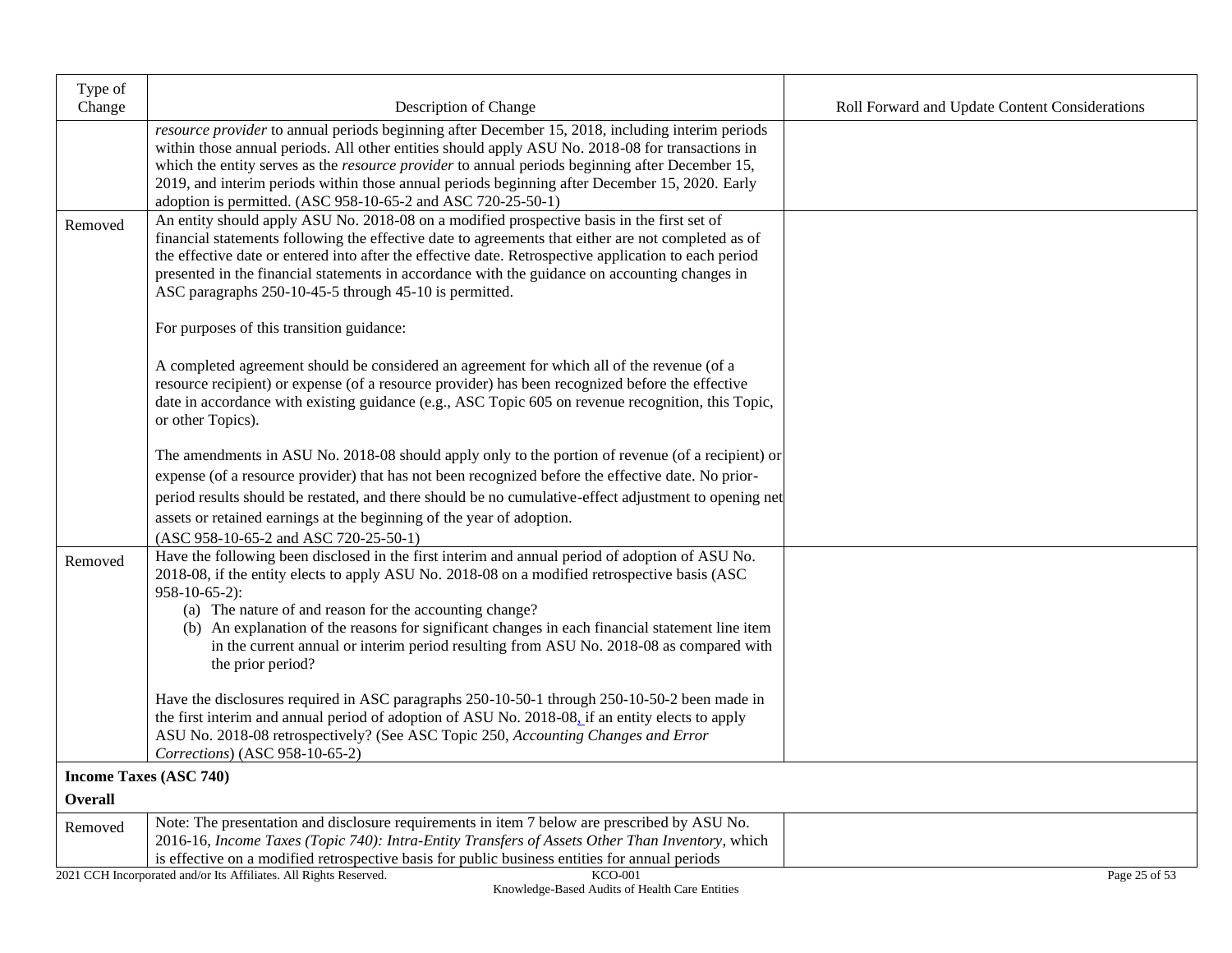| Type of        |                                                                                                                                                                                                                                                                                                                                                                                                                                                                                                   |                                                |
|----------------|---------------------------------------------------------------------------------------------------------------------------------------------------------------------------------------------------------------------------------------------------------------------------------------------------------------------------------------------------------------------------------------------------------------------------------------------------------------------------------------------------|------------------------------------------------|
| Change         | Description of Change                                                                                                                                                                                                                                                                                                                                                                                                                                                                             | Roll Forward and Update Content Considerations |
|                | resource provider to annual periods beginning after December 15, 2018, including interim periods<br>within those annual periods. All other entities should apply ASU No. 2018-08 for transactions in<br>which the entity serves as the <i>resource provider</i> to annual periods beginning after December 15,<br>2019, and interim periods within those annual periods beginning after December 15, 2020. Early<br>adoption is permitted. (ASC 958-10-65-2 and ASC 720-25-50-1)                  |                                                |
| Removed        | An entity should apply ASU No. 2018-08 on a modified prospective basis in the first set of<br>financial statements following the effective date to agreements that either are not completed as of<br>the effective date or entered into after the effective date. Retrospective application to each period<br>presented in the financial statements in accordance with the guidance on accounting changes in<br>ASC paragraphs 250-10-45-5 through 45-10 is permitted.                            |                                                |
|                | For purposes of this transition guidance:                                                                                                                                                                                                                                                                                                                                                                                                                                                         |                                                |
|                | A completed agreement should be considered an agreement for which all of the revenue (of a<br>resource recipient) or expense (of a resource provider) has been recognized before the effective<br>date in accordance with existing guidance (e.g., ASC Topic 605 on revenue recognition, this Topic,<br>or other Topics).                                                                                                                                                                         |                                                |
|                | The amendments in ASU No. 2018-08 should apply only to the portion of revenue (of a recipient) or                                                                                                                                                                                                                                                                                                                                                                                                 |                                                |
|                | expense (of a resource provider) that has not been recognized before the effective date. No prior-                                                                                                                                                                                                                                                                                                                                                                                                |                                                |
|                | period results should be restated, and there should be no cumulative-effect adjustment to opening net                                                                                                                                                                                                                                                                                                                                                                                             |                                                |
|                | assets or retained earnings at the beginning of the year of adoption.<br>(ASC 958-10-65-2 and ASC 720-25-50-1)                                                                                                                                                                                                                                                                                                                                                                                    |                                                |
| Removed        | Have the following been disclosed in the first interim and annual period of adoption of ASU No.<br>2018-08, if the entity elects to apply ASU No. 2018-08 on a modified retrospective basis (ASC<br>$958-10-65-2$ :<br>(a) The nature of and reason for the accounting change?<br>(b) An explanation of the reasons for significant changes in each financial statement line item<br>in the current annual or interim period resulting from ASU No. 2018-08 as compared with<br>the prior period? |                                                |
|                | Have the disclosures required in ASC paragraphs 250-10-50-1 through 250-10-50-2 been made in<br>the first interim and annual period of adoption of ASU No. 2018-08, if an entity elects to apply<br>ASU No. 2018-08 retrospectively? (See ASC Topic 250, Accounting Changes and Error<br>Corrections) (ASC 958-10-65-2)                                                                                                                                                                           |                                                |
|                | <b>Income Taxes (ASC 740)</b>                                                                                                                                                                                                                                                                                                                                                                                                                                                                     |                                                |
| <b>Overall</b> |                                                                                                                                                                                                                                                                                                                                                                                                                                                                                                   |                                                |
| Removed        | Note: The presentation and disclosure requirements in item 7 below are prescribed by ASU No.<br>2016-16, Income Taxes (Topic 740): Intra-Entity Transfers of Assets Other Than Inventory, which<br>is effective on a modified retrospective basis for public business entities for annual periods                                                                                                                                                                                                 |                                                |
|                | 2021 CCH Incorporated and/or Its Affiliates. All Rights Reserved.<br><b>KCO-001</b>                                                                                                                                                                                                                                                                                                                                                                                                               | Page 25 of 53                                  |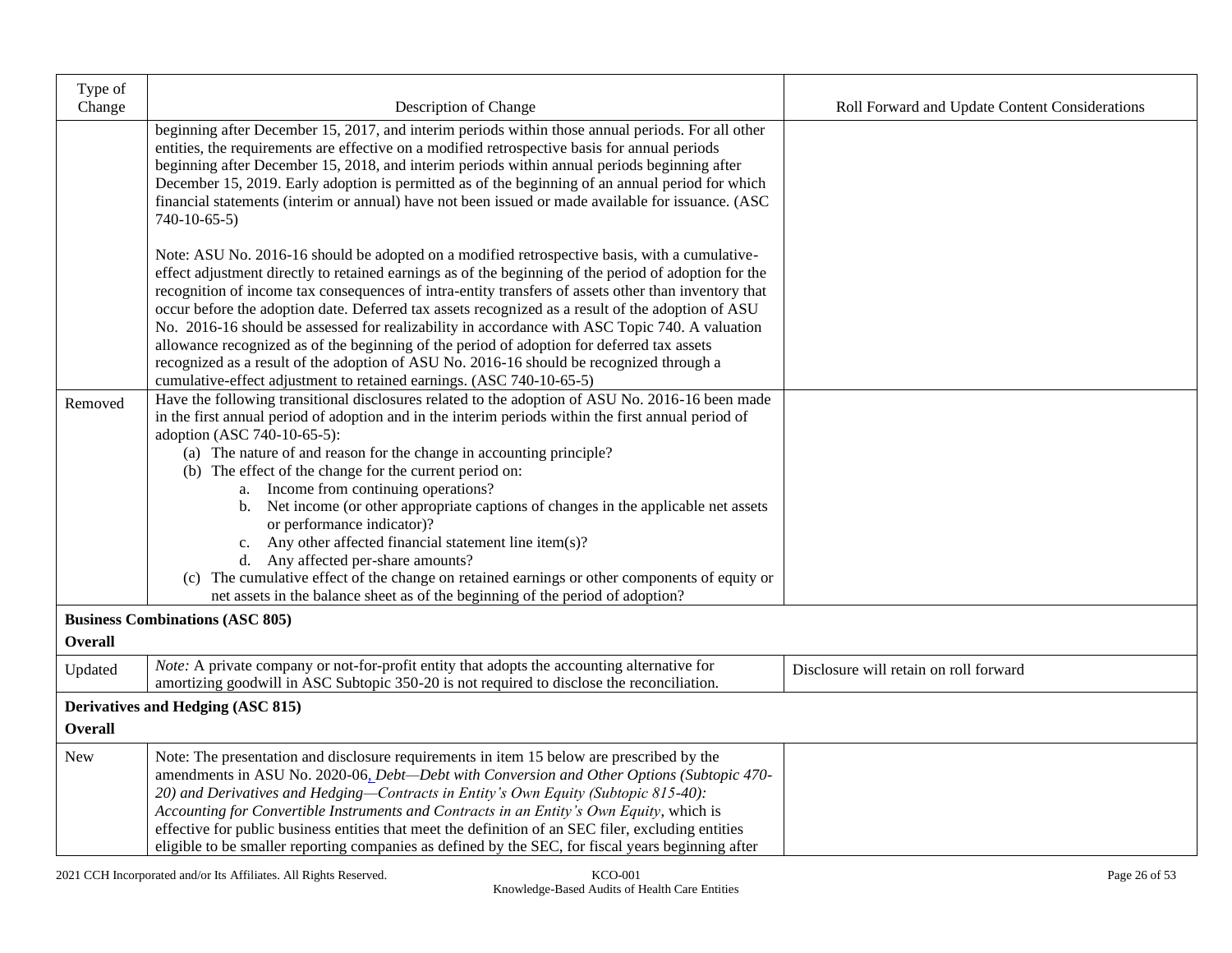| Type of        |                                                                                                                                                                                                                                                                                                                                                                                                                                                                                                                                                                                                                                                                                                                                                                                                                                 |                                                |
|----------------|---------------------------------------------------------------------------------------------------------------------------------------------------------------------------------------------------------------------------------------------------------------------------------------------------------------------------------------------------------------------------------------------------------------------------------------------------------------------------------------------------------------------------------------------------------------------------------------------------------------------------------------------------------------------------------------------------------------------------------------------------------------------------------------------------------------------------------|------------------------------------------------|
| Change         | Description of Change                                                                                                                                                                                                                                                                                                                                                                                                                                                                                                                                                                                                                                                                                                                                                                                                           | Roll Forward and Update Content Considerations |
|                | beginning after December 15, 2017, and interim periods within those annual periods. For all other<br>entities, the requirements are effective on a modified retrospective basis for annual periods<br>beginning after December 15, 2018, and interim periods within annual periods beginning after<br>December 15, 2019. Early adoption is permitted as of the beginning of an annual period for which<br>financial statements (interim or annual) have not been issued or made available for issuance. (ASC<br>$740-10-65-5$                                                                                                                                                                                                                                                                                                   |                                                |
|                | Note: ASU No. 2016-16 should be adopted on a modified retrospective basis, with a cumulative-<br>effect adjustment directly to retained earnings as of the beginning of the period of adoption for the<br>recognition of income tax consequences of intra-entity transfers of assets other than inventory that<br>occur before the adoption date. Deferred tax assets recognized as a result of the adoption of ASU<br>No. 2016-16 should be assessed for realizability in accordance with ASC Topic 740. A valuation<br>allowance recognized as of the beginning of the period of adoption for deferred tax assets<br>recognized as a result of the adoption of ASU No. 2016-16 should be recognized through a<br>cumulative-effect adjustment to retained earnings. (ASC 740-10-65-5)                                         |                                                |
| Removed        | Have the following transitional disclosures related to the adoption of ASU No. 2016-16 been made<br>in the first annual period of adoption and in the interim periods within the first annual period of<br>adoption (ASC 740-10-65-5):<br>(a) The nature of and reason for the change in accounting principle?<br>(b) The effect of the change for the current period on:<br>a. Income from continuing operations?<br>b. Net income (or other appropriate captions of changes in the applicable net assets<br>or performance indicator)?<br>Any other affected financial statement line item(s)?<br>c.<br>d. Any affected per-share amounts?<br>(c) The cumulative effect of the change on retained earnings or other components of equity or<br>net assets in the balance sheet as of the beginning of the period of adoption? |                                                |
|                | <b>Business Combinations (ASC 805)</b>                                                                                                                                                                                                                                                                                                                                                                                                                                                                                                                                                                                                                                                                                                                                                                                          |                                                |
| <b>Overall</b> |                                                                                                                                                                                                                                                                                                                                                                                                                                                                                                                                                                                                                                                                                                                                                                                                                                 |                                                |
| Updated        | <i>Note:</i> A private company or not-for-profit entity that adopts the accounting alternative for<br>amortizing goodwill in ASC Subtopic 350-20 is not required to disclose the reconciliation.                                                                                                                                                                                                                                                                                                                                                                                                                                                                                                                                                                                                                                | Disclosure will retain on roll forward         |
|                | Derivatives and Hedging (ASC 815)                                                                                                                                                                                                                                                                                                                                                                                                                                                                                                                                                                                                                                                                                                                                                                                               |                                                |
| <b>Overall</b> |                                                                                                                                                                                                                                                                                                                                                                                                                                                                                                                                                                                                                                                                                                                                                                                                                                 |                                                |
| New            | Note: The presentation and disclosure requirements in item 15 below are prescribed by the<br>amendments in ASU No. 2020-06, Debt-Debt with Conversion and Other Options (Subtopic 470-<br>20) and Derivatives and Hedging-Contracts in Entity's Own Equity (Subtopic 815-40):<br>Accounting for Convertible Instruments and Contracts in an Entity's Own Equity, which is<br>effective for public business entities that meet the definition of an SEC filer, excluding entities<br>eligible to be smaller reporting companies as defined by the SEC, for fiscal years beginning after                                                                                                                                                                                                                                          |                                                |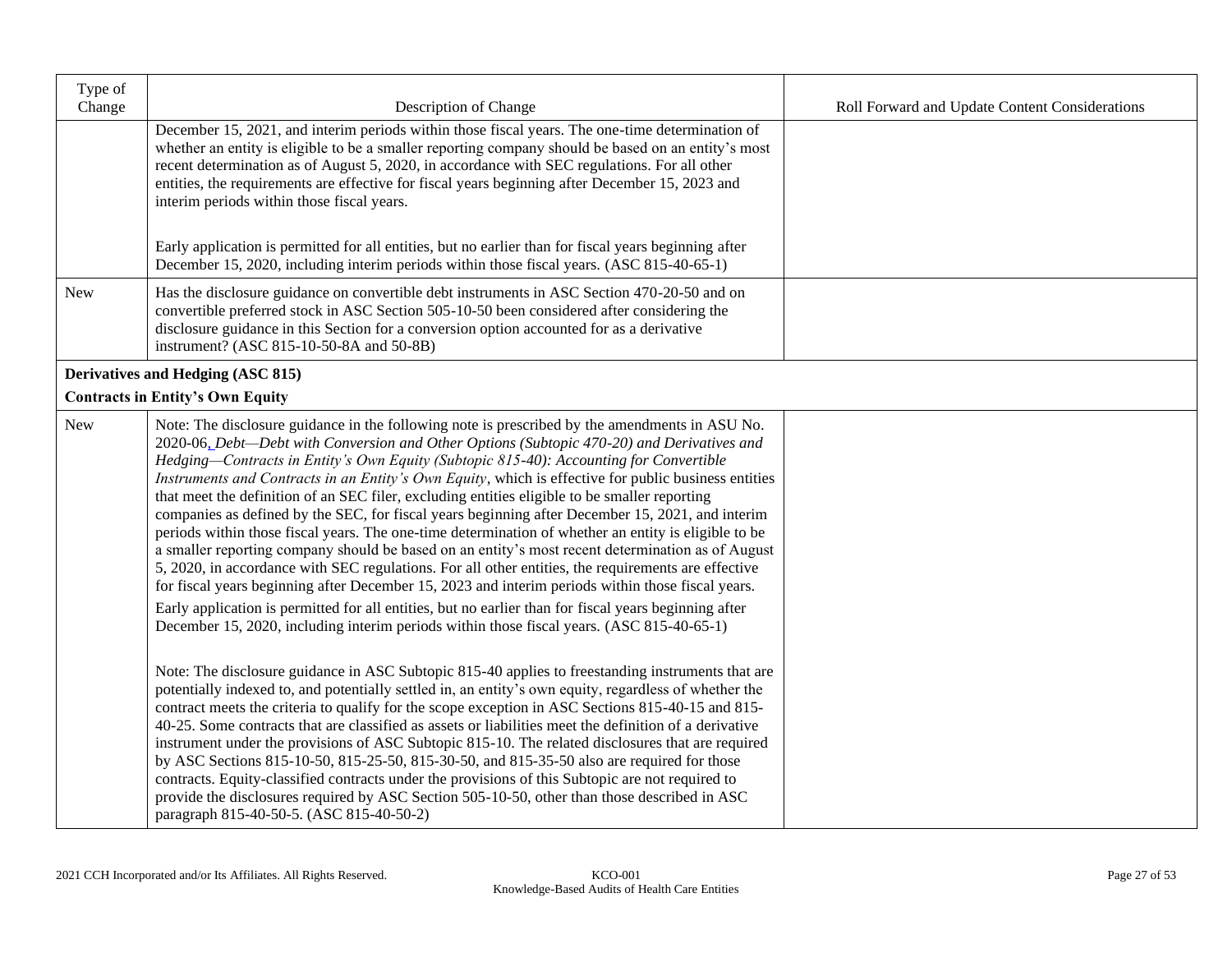| Type of<br>Change | Description of Change                                                                                                                                                                                                                                                                                                                                                                                                                                                                                                                                                                                                                                                                                                                                                                                                                                                                                                                                                                                                                                                                                                                 | Roll Forward and Update Content Considerations |
|-------------------|---------------------------------------------------------------------------------------------------------------------------------------------------------------------------------------------------------------------------------------------------------------------------------------------------------------------------------------------------------------------------------------------------------------------------------------------------------------------------------------------------------------------------------------------------------------------------------------------------------------------------------------------------------------------------------------------------------------------------------------------------------------------------------------------------------------------------------------------------------------------------------------------------------------------------------------------------------------------------------------------------------------------------------------------------------------------------------------------------------------------------------------|------------------------------------------------|
|                   | December 15, 2021, and interim periods within those fiscal years. The one-time determination of<br>whether an entity is eligible to be a smaller reporting company should be based on an entity's most<br>recent determination as of August 5, 2020, in accordance with SEC regulations. For all other<br>entities, the requirements are effective for fiscal years beginning after December 15, 2023 and<br>interim periods within those fiscal years.<br>Early application is permitted for all entities, but no earlier than for fiscal years beginning after                                                                                                                                                                                                                                                                                                                                                                                                                                                                                                                                                                      |                                                |
|                   | December 15, 2020, including interim periods within those fiscal years. (ASC 815-40-65-1)                                                                                                                                                                                                                                                                                                                                                                                                                                                                                                                                                                                                                                                                                                                                                                                                                                                                                                                                                                                                                                             |                                                |
| <b>New</b>        | Has the disclosure guidance on convertible debt instruments in ASC Section 470-20-50 and on<br>convertible preferred stock in ASC Section 505-10-50 been considered after considering the<br>disclosure guidance in this Section for a conversion option accounted for as a derivative<br>instrument? (ASC 815-10-50-8A and 50-8B)                                                                                                                                                                                                                                                                                                                                                                                                                                                                                                                                                                                                                                                                                                                                                                                                    |                                                |
|                   | Derivatives and Hedging (ASC 815)                                                                                                                                                                                                                                                                                                                                                                                                                                                                                                                                                                                                                                                                                                                                                                                                                                                                                                                                                                                                                                                                                                     |                                                |
|                   | <b>Contracts in Entity's Own Equity</b>                                                                                                                                                                                                                                                                                                                                                                                                                                                                                                                                                                                                                                                                                                                                                                                                                                                                                                                                                                                                                                                                                               |                                                |
| New               | Note: The disclosure guidance in the following note is prescribed by the amendments in ASU No.<br>2020-06, Debt-Debt with Conversion and Other Options (Subtopic 470-20) and Derivatives and<br>Hedging-Contracts in Entity's Own Equity (Subtopic 815-40): Accounting for Convertible<br>Instruments and Contracts in an Entity's Own Equity, which is effective for public business entities<br>that meet the definition of an SEC filer, excluding entities eligible to be smaller reporting<br>companies as defined by the SEC, for fiscal years beginning after December 15, 2021, and interim<br>periods within those fiscal years. The one-time determination of whether an entity is eligible to be<br>a smaller reporting company should be based on an entity's most recent determination as of August<br>5, 2020, in accordance with SEC regulations. For all other entities, the requirements are effective<br>for fiscal years beginning after December 15, 2023 and interim periods within those fiscal years.<br>Early application is permitted for all entities, but no earlier than for fiscal years beginning after |                                                |
|                   | December 15, 2020, including interim periods within those fiscal years. (ASC 815-40-65-1)                                                                                                                                                                                                                                                                                                                                                                                                                                                                                                                                                                                                                                                                                                                                                                                                                                                                                                                                                                                                                                             |                                                |
|                   | Note: The disclosure guidance in ASC Subtopic 815-40 applies to freestanding instruments that are<br>potentially indexed to, and potentially settled in, an entity's own equity, regardless of whether the<br>contract meets the criteria to qualify for the scope exception in ASC Sections 815-40-15 and 815-<br>40-25. Some contracts that are classified as assets or liabilities meet the definition of a derivative<br>instrument under the provisions of ASC Subtopic 815-10. The related disclosures that are required<br>by ASC Sections 815-10-50, 815-25-50, 815-30-50, and 815-35-50 also are required for those<br>contracts. Equity-classified contracts under the provisions of this Subtopic are not required to<br>provide the disclosures required by ASC Section 505-10-50, other than those described in ASC<br>paragraph 815-40-50-5. (ASC 815-40-50-2)                                                                                                                                                                                                                                                          |                                                |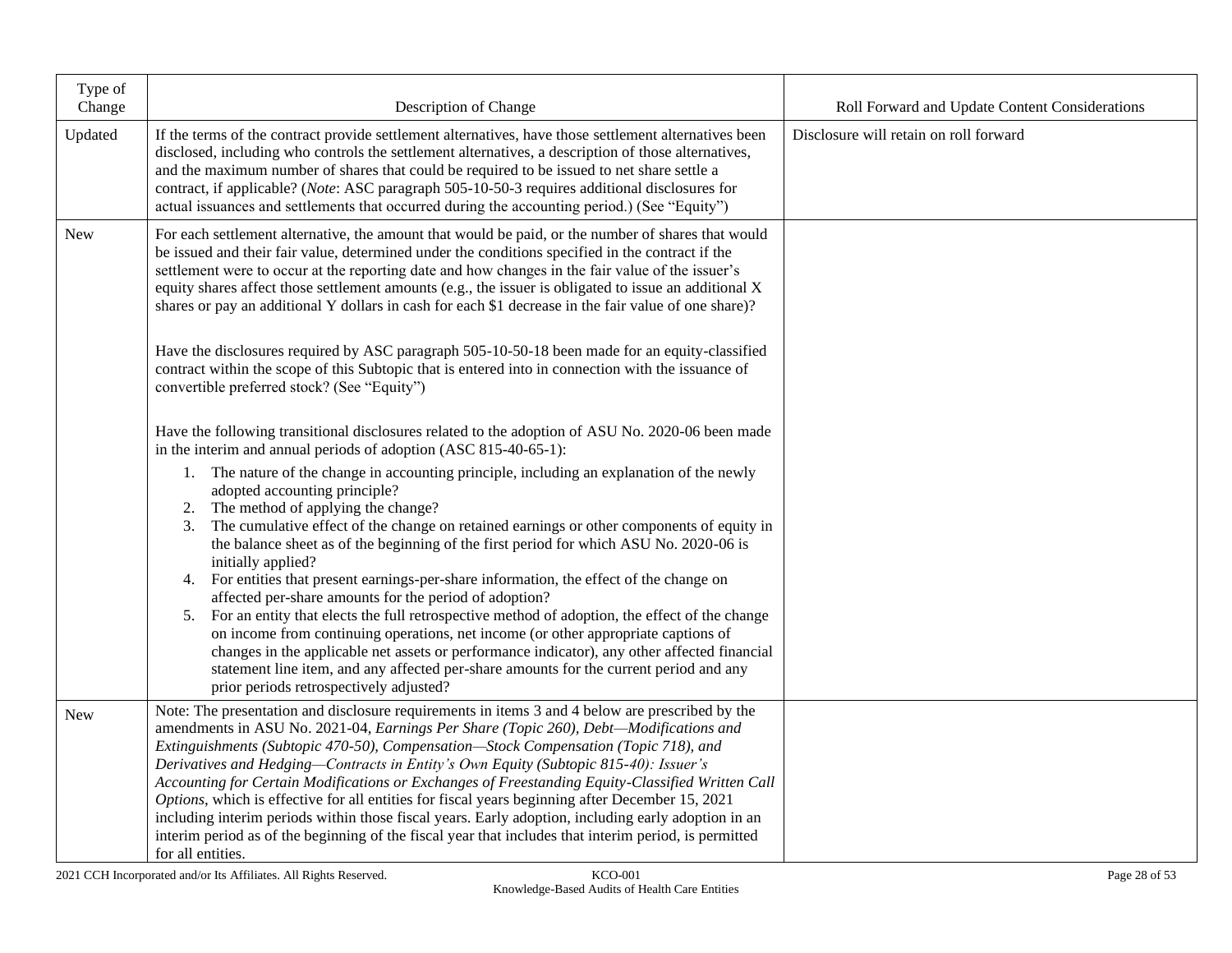| Type of<br>Change | Description of Change                                                                                                                                                                                                                                                                                                                                                                                                                                                                                                                                                                                                                                                                                                                                                                                                                                                                                                                                                              | Roll Forward and Update Content Considerations |
|-------------------|------------------------------------------------------------------------------------------------------------------------------------------------------------------------------------------------------------------------------------------------------------------------------------------------------------------------------------------------------------------------------------------------------------------------------------------------------------------------------------------------------------------------------------------------------------------------------------------------------------------------------------------------------------------------------------------------------------------------------------------------------------------------------------------------------------------------------------------------------------------------------------------------------------------------------------------------------------------------------------|------------------------------------------------|
| Updated           | If the terms of the contract provide settlement alternatives, have those settlement alternatives been<br>disclosed, including who controls the settlement alternatives, a description of those alternatives,<br>and the maximum number of shares that could be required to be issued to net share settle a<br>contract, if applicable? (Note: ASC paragraph 505-10-50-3 requires additional disclosures for<br>actual issuances and settlements that occurred during the accounting period.) (See "Equity")                                                                                                                                                                                                                                                                                                                                                                                                                                                                        | Disclosure will retain on roll forward         |
| New               | For each settlement alternative, the amount that would be paid, or the number of shares that would<br>be issued and their fair value, determined under the conditions specified in the contract if the<br>settlement were to occur at the reporting date and how changes in the fair value of the issuer's<br>equity shares affect those settlement amounts (e.g., the issuer is obligated to issue an additional X<br>shares or pay an additional Y dollars in cash for each \$1 decrease in the fair value of one share)?                                                                                                                                                                                                                                                                                                                                                                                                                                                        |                                                |
|                   | Have the disclosures required by ASC paragraph 505-10-50-18 been made for an equity-classified<br>contract within the scope of this Subtopic that is entered into in connection with the issuance of<br>convertible preferred stock? (See "Equity")                                                                                                                                                                                                                                                                                                                                                                                                                                                                                                                                                                                                                                                                                                                                |                                                |
|                   | Have the following transitional disclosures related to the adoption of ASU No. 2020-06 been made<br>in the interim and annual periods of adoption (ASC 815-40-65-1):                                                                                                                                                                                                                                                                                                                                                                                                                                                                                                                                                                                                                                                                                                                                                                                                               |                                                |
|                   | 1. The nature of the change in accounting principle, including an explanation of the newly<br>adopted accounting principle?<br>The method of applying the change?<br>2.<br>The cumulative effect of the change on retained earnings or other components of equity in<br>3.<br>the balance sheet as of the beginning of the first period for which ASU No. 2020-06 is<br>initially applied?<br>For entities that present earnings-per-share information, the effect of the change on<br>4.<br>affected per-share amounts for the period of adoption?<br>5. For an entity that elects the full retrospective method of adoption, the effect of the change<br>on income from continuing operations, net income (or other appropriate captions of<br>changes in the applicable net assets or performance indicator), any other affected financial<br>statement line item, and any affected per-share amounts for the current period and any<br>prior periods retrospectively adjusted? |                                                |
| New               | Note: The presentation and disclosure requirements in items 3 and 4 below are prescribed by the<br>amendments in ASU No. 2021-04, Earnings Per Share (Topic 260), Debt-Modifications and<br>Extinguishments (Subtopic 470-50), Compensation-Stock Compensation (Topic 718), and<br>Derivatives and Hedging-Contracts in Entity's Own Equity (Subtopic 815-40): Issuer's<br>Accounting for Certain Modifications or Exchanges of Freestanding Equity-Classified Written Call<br>Options, which is effective for all entities for fiscal years beginning after December 15, 2021<br>including interim periods within those fiscal years. Early adoption, including early adoption in an<br>interim period as of the beginning of the fiscal year that includes that interim period, is permitted<br>for all entities.                                                                                                                                                                |                                                |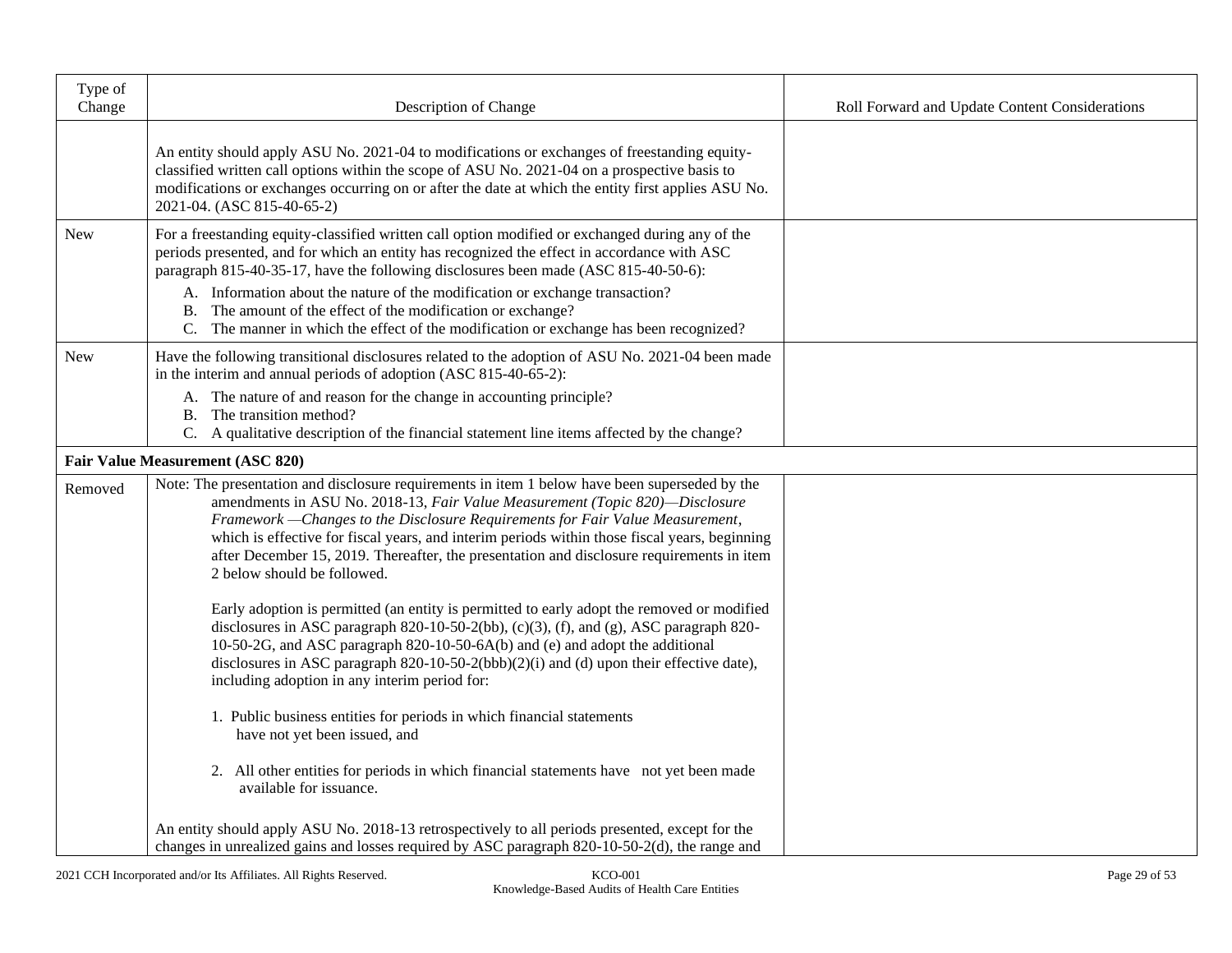| Type of<br>Change | Description of Change                                                                                                                                                                                                                                                                                                                                                                                                                                                                                                            | Roll Forward and Update Content Considerations |
|-------------------|----------------------------------------------------------------------------------------------------------------------------------------------------------------------------------------------------------------------------------------------------------------------------------------------------------------------------------------------------------------------------------------------------------------------------------------------------------------------------------------------------------------------------------|------------------------------------------------|
|                   | An entity should apply ASU No. 2021-04 to modifications or exchanges of freestanding equity-<br>classified written call options within the scope of ASU No. 2021-04 on a prospective basis to<br>modifications or exchanges occurring on or after the date at which the entity first applies ASU No.<br>2021-04. (ASC 815-40-65-2)                                                                                                                                                                                               |                                                |
| New               | For a freestanding equity-classified written call option modified or exchanged during any of the<br>periods presented, and for which an entity has recognized the effect in accordance with ASC<br>paragraph 815-40-35-17, have the following disclosures been made (ASC 815-40-50-6):<br>A. Information about the nature of the modification or exchange transaction?<br>B. The amount of the effect of the modification or exchange?<br>C. The manner in which the effect of the modification or exchange has been recognized? |                                                |
| <b>New</b>        | Have the following transitional disclosures related to the adoption of ASU No. 2021-04 been made<br>in the interim and annual periods of adoption (ASC 815-40-65-2):<br>A. The nature of and reason for the change in accounting principle?<br>B. The transition method?<br>C. A qualitative description of the financial statement line items affected by the change?                                                                                                                                                           |                                                |
|                   | <b>Fair Value Measurement (ASC 820)</b>                                                                                                                                                                                                                                                                                                                                                                                                                                                                                          |                                                |
| Removed           | Note: The presentation and disclosure requirements in item 1 below have been superseded by the<br>amendments in ASU No. 2018-13, Fair Value Measurement (Topic 820)-Disclosure<br>Framework - Changes to the Disclosure Requirements for Fair Value Measurement,<br>which is effective for fiscal years, and interim periods within those fiscal years, beginning<br>after December 15, 2019. Thereafter, the presentation and disclosure requirements in item<br>2 below should be followed.                                    |                                                |
|                   | Early adoption is permitted (an entity is permitted to early adopt the removed or modified<br>disclosures in ASC paragraph 820-10-50-2(bb), (c)(3), (f), and (g), ASC paragraph 820-<br>10-50-2G, and ASC paragraph 820-10-50-6A(b) and (e) and adopt the additional<br>disclosures in ASC paragraph 820-10-50-2(bbb)(2)(i) and (d) upon their effective date),<br>including adoption in any interim period for:                                                                                                                 |                                                |
|                   | 1. Public business entities for periods in which financial statements<br>have not yet been issued, and                                                                                                                                                                                                                                                                                                                                                                                                                           |                                                |
|                   | 2. All other entities for periods in which financial statements have not yet been made<br>available for issuance.                                                                                                                                                                                                                                                                                                                                                                                                                |                                                |
|                   | An entity should apply ASU No. 2018-13 retrospectively to all periods presented, except for the<br>changes in unrealized gains and losses required by ASC paragraph 820-10-50-2(d), the range and                                                                                                                                                                                                                                                                                                                                |                                                |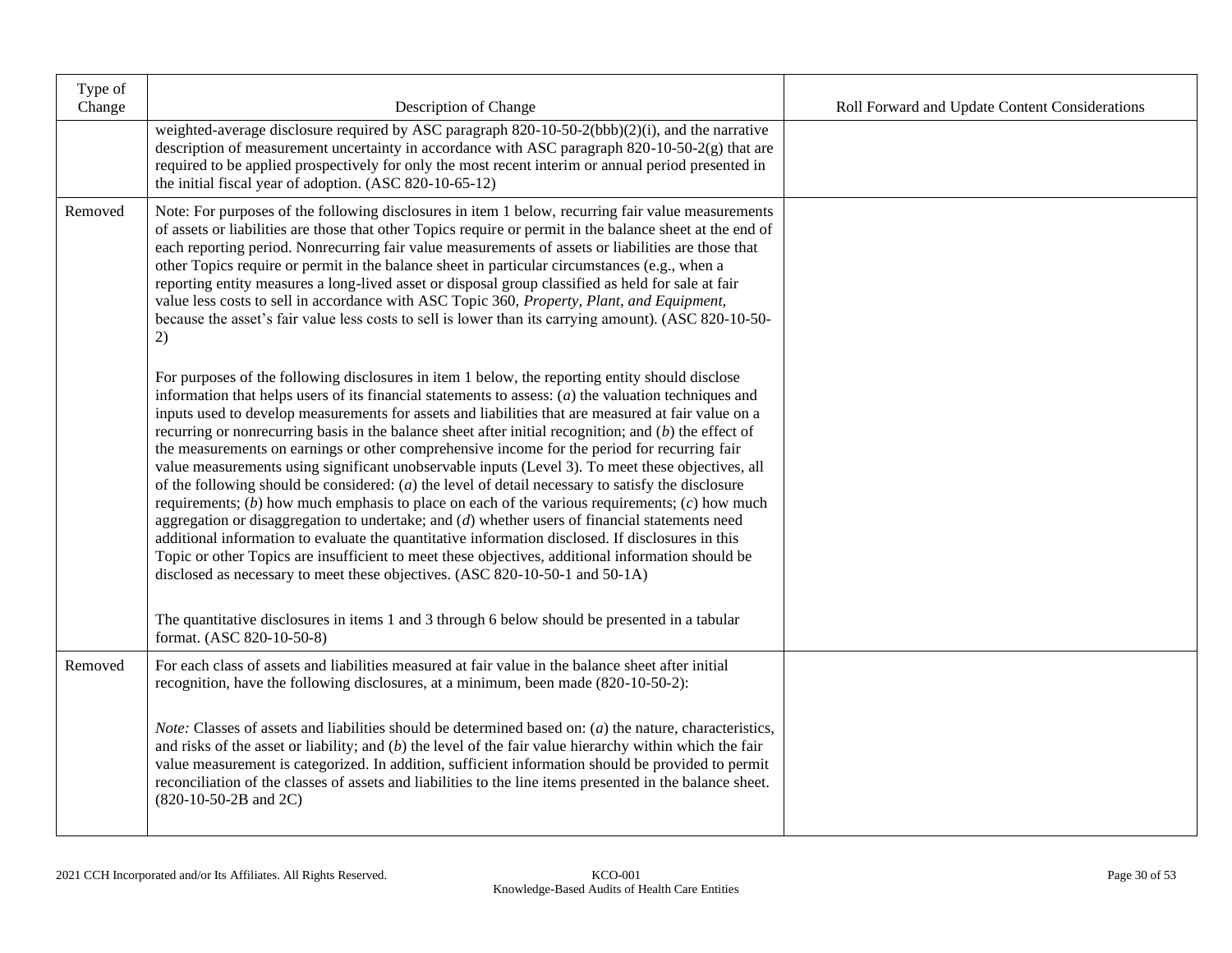| Type of<br>Change | Description of Change                                                                                                                                                                                                                                                                                                                                                                                                                                                                                                                                                                                                                                                                                                                                                                                                                                                                                                                                                                                                                                                                                                                                                                                                                        | Roll Forward and Update Content Considerations |
|-------------------|----------------------------------------------------------------------------------------------------------------------------------------------------------------------------------------------------------------------------------------------------------------------------------------------------------------------------------------------------------------------------------------------------------------------------------------------------------------------------------------------------------------------------------------------------------------------------------------------------------------------------------------------------------------------------------------------------------------------------------------------------------------------------------------------------------------------------------------------------------------------------------------------------------------------------------------------------------------------------------------------------------------------------------------------------------------------------------------------------------------------------------------------------------------------------------------------------------------------------------------------|------------------------------------------------|
|                   | weighted-average disclosure required by ASC paragraph 820-10-50-2(bbb)(2)(i), and the narrative<br>description of measurement uncertainty in accordance with ASC paragraph $820-10-50-2(g)$ that are<br>required to be applied prospectively for only the most recent interim or annual period presented in<br>the initial fiscal year of adoption. (ASC 820-10-65-12)                                                                                                                                                                                                                                                                                                                                                                                                                                                                                                                                                                                                                                                                                                                                                                                                                                                                       |                                                |
| Removed           | Note: For purposes of the following disclosures in item 1 below, recurring fair value measurements<br>of assets or liabilities are those that other Topics require or permit in the balance sheet at the end of<br>each reporting period. Nonrecurring fair value measurements of assets or liabilities are those that<br>other Topics require or permit in the balance sheet in particular circumstances (e.g., when a<br>reporting entity measures a long-lived asset or disposal group classified as held for sale at fair<br>value less costs to sell in accordance with ASC Topic 360, Property, Plant, and Equipment,<br>because the asset's fair value less costs to sell is lower than its carrying amount). (ASC 820-10-50-<br>2)                                                                                                                                                                                                                                                                                                                                                                                                                                                                                                   |                                                |
|                   | For purposes of the following disclosures in item 1 below, the reporting entity should disclose<br>information that helps users of its financial statements to assess: $(a)$ the valuation techniques and<br>inputs used to develop measurements for assets and liabilities that are measured at fair value on a<br>recurring or nonrecurring basis in the balance sheet after initial recognition; and $(b)$ the effect of<br>the measurements on earnings or other comprehensive income for the period for recurring fair<br>value measurements using significant unobservable inputs (Level 3). To meet these objectives, all<br>of the following should be considered: $(a)$ the level of detail necessary to satisfy the disclosure<br>requirements; $(b)$ how much emphasis to place on each of the various requirements; $(c)$ how much<br>aggregation or disaggregation to undertake; and $(d)$ whether users of financial statements need<br>additional information to evaluate the quantitative information disclosed. If disclosures in this<br>Topic or other Topics are insufficient to meet these objectives, additional information should be<br>disclosed as necessary to meet these objectives. (ASC 820-10-50-1 and 50-1A) |                                                |
|                   | The quantitative disclosures in items 1 and 3 through 6 below should be presented in a tabular<br>format. (ASC 820-10-50-8)                                                                                                                                                                                                                                                                                                                                                                                                                                                                                                                                                                                                                                                                                                                                                                                                                                                                                                                                                                                                                                                                                                                  |                                                |
| Removed           | For each class of assets and liabilities measured at fair value in the balance sheet after initial<br>recognition, have the following disclosures, at a minimum, been made (820-10-50-2):                                                                                                                                                                                                                                                                                                                                                                                                                                                                                                                                                                                                                                                                                                                                                                                                                                                                                                                                                                                                                                                    |                                                |
|                   | <i>Note:</i> Classes of assets and liabilities should be determined based on: $(a)$ the nature, characteristics,<br>and risks of the asset or liability; and $(b)$ the level of the fair value hierarchy within which the fair<br>value measurement is categorized. In addition, sufficient information should be provided to permit<br>reconciliation of the classes of assets and liabilities to the line items presented in the balance sheet.<br>(820-10-50-2B and 2C)                                                                                                                                                                                                                                                                                                                                                                                                                                                                                                                                                                                                                                                                                                                                                                   |                                                |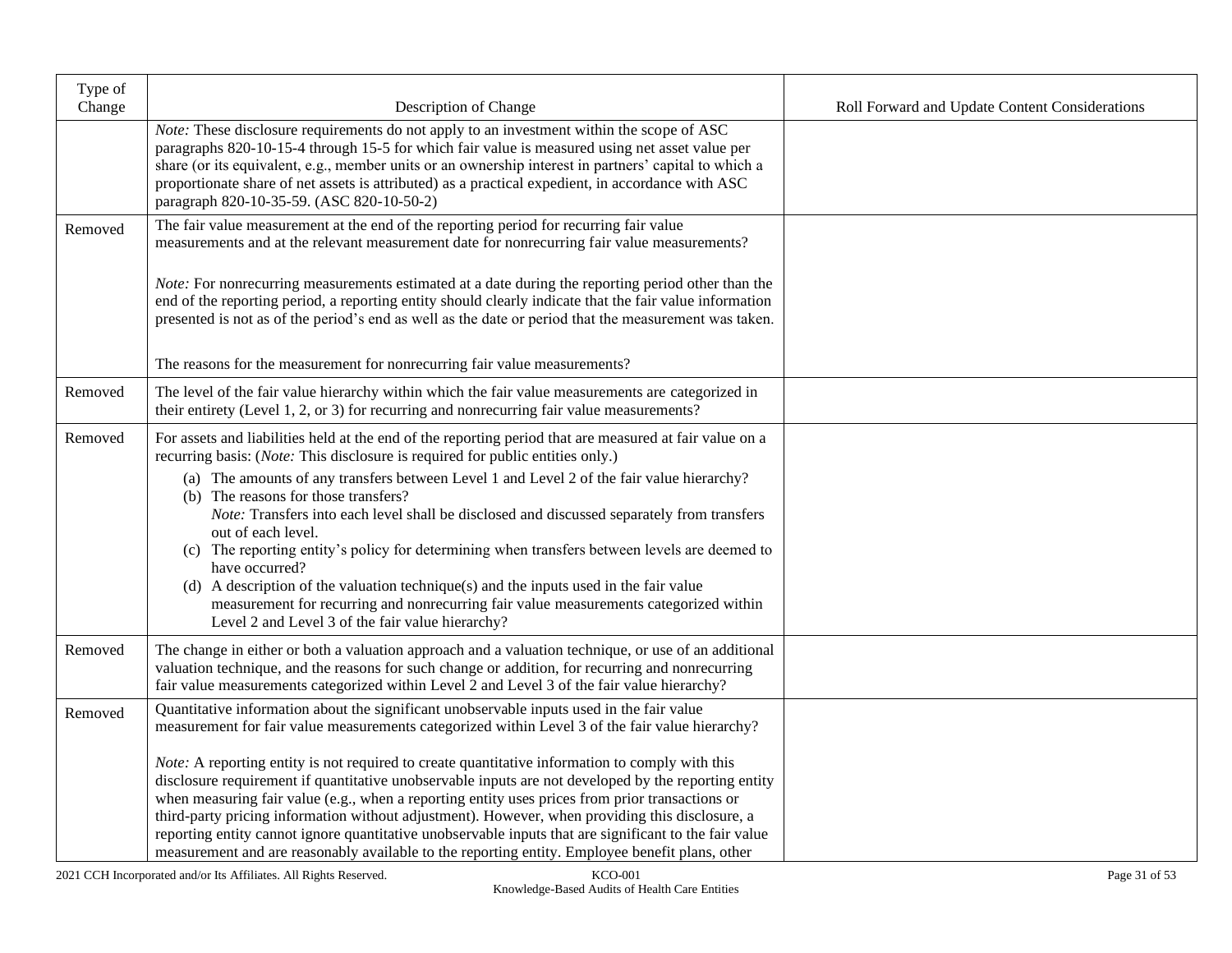| Type of<br>Change | Description of Change                                                                                                                                                                                                                                                                                                                                                                                                                                                                                                                                                                                                                                                                                                                                                                                                      | Roll Forward and Update Content Considerations |
|-------------------|----------------------------------------------------------------------------------------------------------------------------------------------------------------------------------------------------------------------------------------------------------------------------------------------------------------------------------------------------------------------------------------------------------------------------------------------------------------------------------------------------------------------------------------------------------------------------------------------------------------------------------------------------------------------------------------------------------------------------------------------------------------------------------------------------------------------------|------------------------------------------------|
|                   | Note: These disclosure requirements do not apply to an investment within the scope of ASC<br>paragraphs 820-10-15-4 through 15-5 for which fair value is measured using net asset value per<br>share (or its equivalent, e.g., member units or an ownership interest in partners' capital to which a<br>proportionate share of net assets is attributed) as a practical expedient, in accordance with ASC<br>paragraph 820-10-35-59. (ASC 820-10-50-2)                                                                                                                                                                                                                                                                                                                                                                     |                                                |
| Removed           | The fair value measurement at the end of the reporting period for recurring fair value<br>measurements and at the relevant measurement date for nonrecurring fair value measurements?                                                                                                                                                                                                                                                                                                                                                                                                                                                                                                                                                                                                                                      |                                                |
|                   | <i>Note:</i> For nonrecurring measurements estimated at a date during the reporting period other than the<br>end of the reporting period, a reporting entity should clearly indicate that the fair value information<br>presented is not as of the period's end as well as the date or period that the measurement was taken.                                                                                                                                                                                                                                                                                                                                                                                                                                                                                              |                                                |
|                   | The reasons for the measurement for nonrecurring fair value measurements?                                                                                                                                                                                                                                                                                                                                                                                                                                                                                                                                                                                                                                                                                                                                                  |                                                |
| Removed           | The level of the fair value hierarchy within which the fair value measurements are categorized in<br>their entirety (Level 1, 2, or 3) for recurring and nonrecurring fair value measurements?                                                                                                                                                                                                                                                                                                                                                                                                                                                                                                                                                                                                                             |                                                |
| Removed           | For assets and liabilities held at the end of the reporting period that are measured at fair value on a<br>recurring basis: (Note: This disclosure is required for public entities only.)<br>(a) The amounts of any transfers between Level 1 and Level 2 of the fair value hierarchy?<br>(b) The reasons for those transfers?<br>Note: Transfers into each level shall be disclosed and discussed separately from transfers<br>out of each level.<br>(c) The reporting entity's policy for determining when transfers between levels are deemed to<br>have occurred?<br>(d) A description of the valuation technique(s) and the inputs used in the fair value<br>measurement for recurring and nonrecurring fair value measurements categorized within<br>Level 2 and Level 3 of the fair value hierarchy?                |                                                |
| Removed           | The change in either or both a valuation approach and a valuation technique, or use of an additional<br>valuation technique, and the reasons for such change or addition, for recurring and nonrecurring<br>fair value measurements categorized within Level 2 and Level 3 of the fair value hierarchy?                                                                                                                                                                                                                                                                                                                                                                                                                                                                                                                    |                                                |
| Removed           | Quantitative information about the significant unobservable inputs used in the fair value<br>measurement for fair value measurements categorized within Level 3 of the fair value hierarchy?<br>Note: A reporting entity is not required to create quantitative information to comply with this<br>disclosure requirement if quantitative unobservable inputs are not developed by the reporting entity<br>when measuring fair value (e.g., when a reporting entity uses prices from prior transactions or<br>third-party pricing information without adjustment). However, when providing this disclosure, a<br>reporting entity cannot ignore quantitative unobservable inputs that are significant to the fair value<br>measurement and are reasonably available to the reporting entity. Employee benefit plans, other |                                                |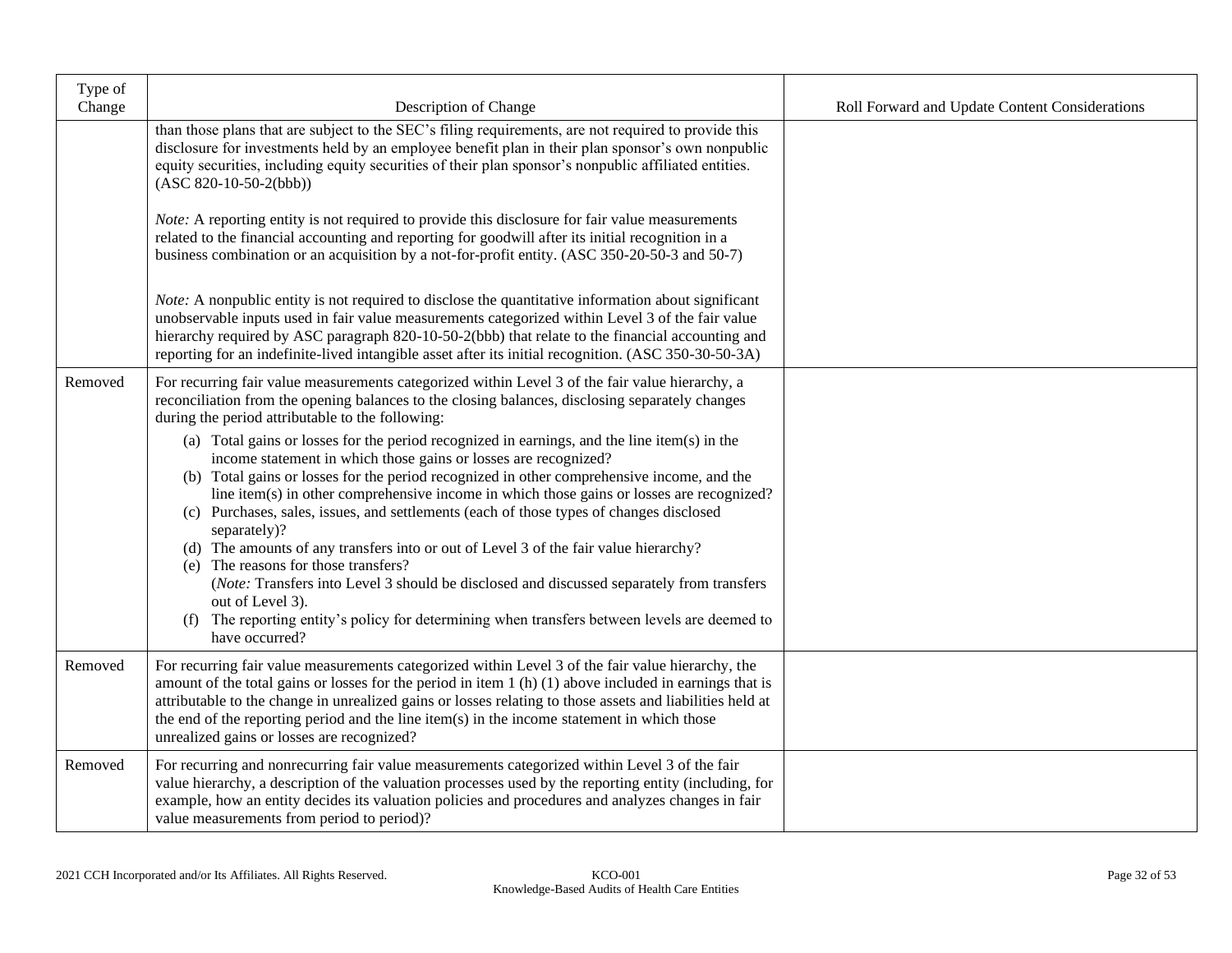| Type of<br>Change | Description of Change                                                                                                                                                                                                                                                                                                                                                                                                                                                                                                                                                                                                                                                                                                                                                                                                                     | Roll Forward and Update Content Considerations |
|-------------------|-------------------------------------------------------------------------------------------------------------------------------------------------------------------------------------------------------------------------------------------------------------------------------------------------------------------------------------------------------------------------------------------------------------------------------------------------------------------------------------------------------------------------------------------------------------------------------------------------------------------------------------------------------------------------------------------------------------------------------------------------------------------------------------------------------------------------------------------|------------------------------------------------|
|                   | than those plans that are subject to the SEC's filing requirements, are not required to provide this<br>disclosure for investments held by an employee benefit plan in their plan sponsor's own nonpublic<br>equity securities, including equity securities of their plan sponsor's nonpublic affiliated entities.<br>$(ASC 820-10-50-2(bbb))$                                                                                                                                                                                                                                                                                                                                                                                                                                                                                            |                                                |
|                   | <i>Note:</i> A reporting entity is not required to provide this disclosure for fair value measurements<br>related to the financial accounting and reporting for goodwill after its initial recognition in a<br>business combination or an acquisition by a not-for-profit entity. (ASC 350-20-50-3 and 50-7)                                                                                                                                                                                                                                                                                                                                                                                                                                                                                                                              |                                                |
|                   | <i>Note:</i> A nonpublic entity is not required to disclose the quantitative information about significant<br>unobservable inputs used in fair value measurements categorized within Level 3 of the fair value<br>hierarchy required by ASC paragraph 820-10-50-2(bbb) that relate to the financial accounting and<br>reporting for an indefinite-lived intangible asset after its initial recognition. (ASC 350-30-50-3A)                                                                                                                                                                                                                                                                                                                                                                                                                |                                                |
| Removed           | For recurring fair value measurements categorized within Level 3 of the fair value hierarchy, a<br>reconciliation from the opening balances to the closing balances, disclosing separately changes<br>during the period attributable to the following:                                                                                                                                                                                                                                                                                                                                                                                                                                                                                                                                                                                    |                                                |
|                   | (a) Total gains or losses for the period recognized in earnings, and the line item(s) in the<br>income statement in which those gains or losses are recognized?<br>(b) Total gains or losses for the period recognized in other comprehensive income, and the<br>line item(s) in other comprehensive income in which those gains or losses are recognized?<br>(c) Purchases, sales, issues, and settlements (each of those types of changes disclosed<br>separately)?<br>(d) The amounts of any transfers into or out of Level 3 of the fair value hierarchy?<br>(e) The reasons for those transfers?<br>(Note: Transfers into Level 3 should be disclosed and discussed separately from transfers<br>out of Level 3).<br>(f) The reporting entity's policy for determining when transfers between levels are deemed to<br>have occurred? |                                                |
| Removed           | For recurring fair value measurements categorized within Level 3 of the fair value hierarchy, the<br>amount of the total gains or losses for the period in item 1 (h) (1) above included in earnings that is<br>attributable to the change in unrealized gains or losses relating to those assets and liabilities held at<br>the end of the reporting period and the line item(s) in the income statement in which those<br>unrealized gains or losses are recognized?                                                                                                                                                                                                                                                                                                                                                                    |                                                |
| Removed           | For recurring and nonrecurring fair value measurements categorized within Level 3 of the fair<br>value hierarchy, a description of the valuation processes used by the reporting entity (including, for<br>example, how an entity decides its valuation policies and procedures and analyzes changes in fair<br>value measurements from period to period)?                                                                                                                                                                                                                                                                                                                                                                                                                                                                                |                                                |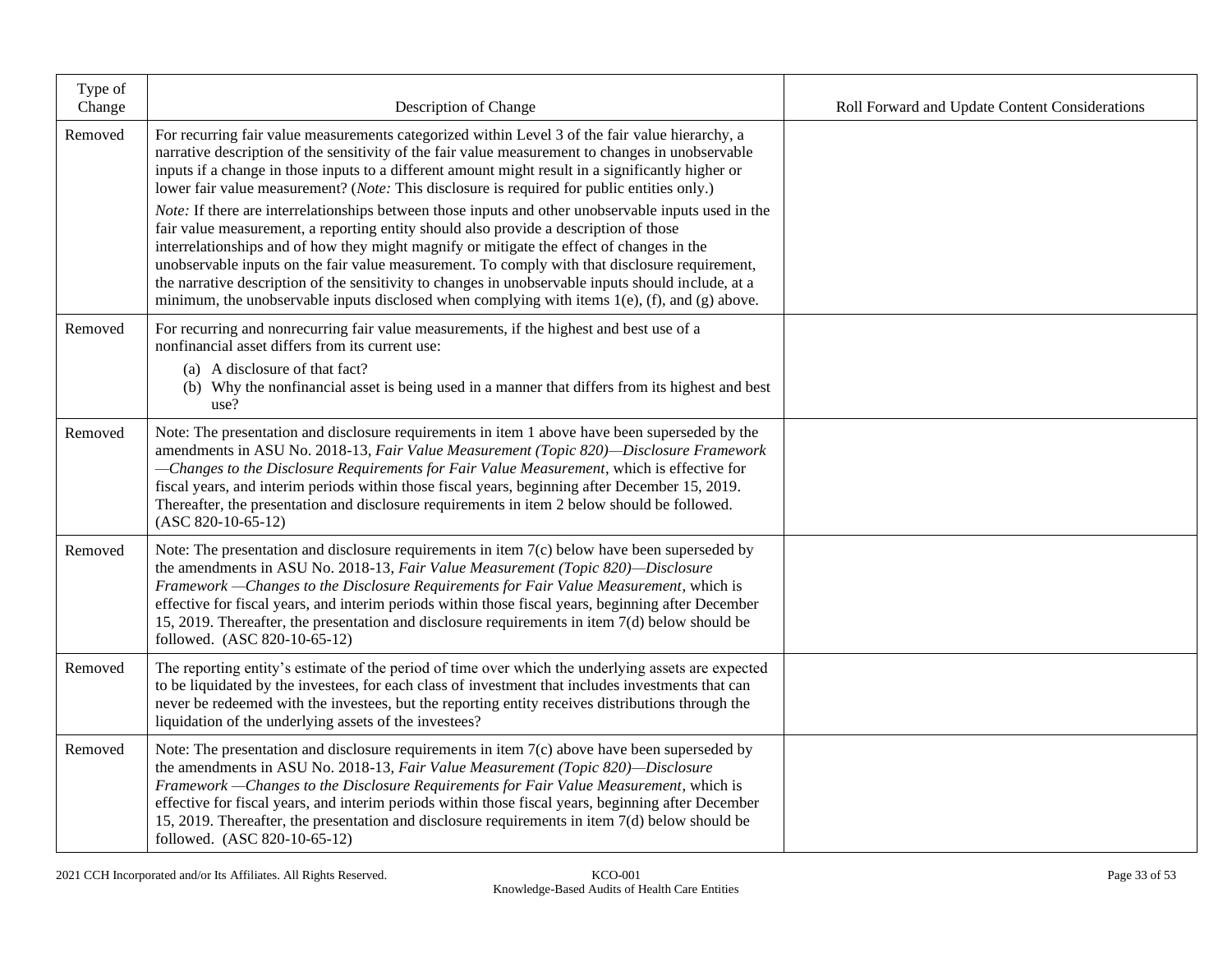| Type of<br>Change | Description of Change                                                                                                                                                                                                                                                                                                                                                                                                                                                                                                                                                                                                                                                                                                                                                                                                                                                                                                                                                                                                 | Roll Forward and Update Content Considerations |
|-------------------|-----------------------------------------------------------------------------------------------------------------------------------------------------------------------------------------------------------------------------------------------------------------------------------------------------------------------------------------------------------------------------------------------------------------------------------------------------------------------------------------------------------------------------------------------------------------------------------------------------------------------------------------------------------------------------------------------------------------------------------------------------------------------------------------------------------------------------------------------------------------------------------------------------------------------------------------------------------------------------------------------------------------------|------------------------------------------------|
| Removed           | For recurring fair value measurements categorized within Level 3 of the fair value hierarchy, a<br>narrative description of the sensitivity of the fair value measurement to changes in unobservable<br>inputs if a change in those inputs to a different amount might result in a significantly higher or<br>lower fair value measurement? (Note: This disclosure is required for public entities only.)<br>Note: If there are interrelationships between those inputs and other unobservable inputs used in the<br>fair value measurement, a reporting entity should also provide a description of those<br>interrelationships and of how they might magnify or mitigate the effect of changes in the<br>unobservable inputs on the fair value measurement. To comply with that disclosure requirement,<br>the narrative description of the sensitivity to changes in unobservable inputs should include, at a<br>minimum, the unobservable inputs disclosed when complying with items $1(e)$ , (f), and (g) above. |                                                |
| Removed           | For recurring and nonrecurring fair value measurements, if the highest and best use of a<br>nonfinancial asset differs from its current use:<br>(a) A disclosure of that fact?<br>(b) Why the nonfinancial asset is being used in a manner that differs from its highest and best<br>use?                                                                                                                                                                                                                                                                                                                                                                                                                                                                                                                                                                                                                                                                                                                             |                                                |
| Removed           | Note: The presentation and disclosure requirements in item 1 above have been superseded by the<br>amendments in ASU No. 2018-13, Fair Value Measurement (Topic 820)-Disclosure Framework<br>-Changes to the Disclosure Requirements for Fair Value Measurement, which is effective for<br>fiscal years, and interim periods within those fiscal years, beginning after December 15, 2019.<br>Thereafter, the presentation and disclosure requirements in item 2 below should be followed.<br>$(ASC 820-10-65-12)$                                                                                                                                                                                                                                                                                                                                                                                                                                                                                                     |                                                |
| Removed           | Note: The presentation and disclosure requirements in item $7(c)$ below have been superseded by<br>the amendments in ASU No. 2018-13, Fair Value Measurement (Topic 820)-Disclosure<br>Framework -Changes to the Disclosure Requirements for Fair Value Measurement, which is<br>effective for fiscal years, and interim periods within those fiscal years, beginning after December<br>15, 2019. Thereafter, the presentation and disclosure requirements in item $7(d)$ below should be<br>followed. (ASC 820-10-65-12)                                                                                                                                                                                                                                                                                                                                                                                                                                                                                             |                                                |
| Removed           | The reporting entity's estimate of the period of time over which the underlying assets are expected<br>to be liquidated by the investees, for each class of investment that includes investments that can<br>never be redeemed with the investees, but the reporting entity receives distributions through the<br>liquidation of the underlying assets of the investees?                                                                                                                                                                                                                                                                                                                                                                                                                                                                                                                                                                                                                                              |                                                |
| Removed           | Note: The presentation and disclosure requirements in item $7(c)$ above have been superseded by<br>the amendments in ASU No. 2018-13, Fair Value Measurement (Topic 820)—Disclosure<br>Framework - Changes to the Disclosure Requirements for Fair Value Measurement, which is<br>effective for fiscal years, and interim periods within those fiscal years, beginning after December<br>15, 2019. Thereafter, the presentation and disclosure requirements in item 7(d) below should be<br>followed. (ASC 820-10-65-12)                                                                                                                                                                                                                                                                                                                                                                                                                                                                                              |                                                |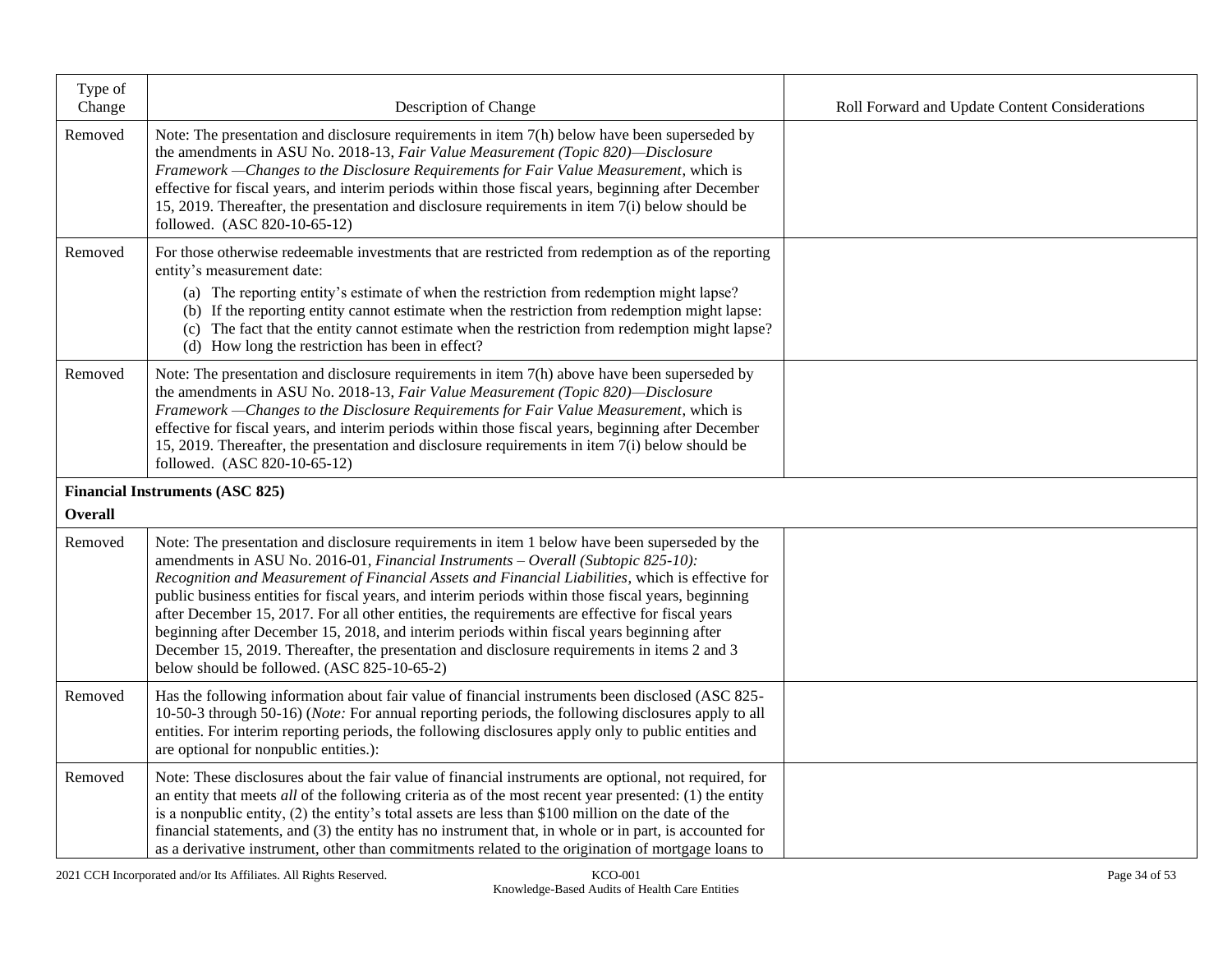| Type of<br>Change | Description of Change                                                                                                                                                                                                                                                                                                                                                                                                                                                                                                                                                                                                                                                                                                                            | Roll Forward and Update Content Considerations |
|-------------------|--------------------------------------------------------------------------------------------------------------------------------------------------------------------------------------------------------------------------------------------------------------------------------------------------------------------------------------------------------------------------------------------------------------------------------------------------------------------------------------------------------------------------------------------------------------------------------------------------------------------------------------------------------------------------------------------------------------------------------------------------|------------------------------------------------|
| Removed           | Note: The presentation and disclosure requirements in item 7(h) below have been superseded by<br>the amendments in ASU No. 2018-13, Fair Value Measurement (Topic 820)-Disclosure<br>Framework -Changes to the Disclosure Requirements for Fair Value Measurement, which is<br>effective for fiscal years, and interim periods within those fiscal years, beginning after December<br>15, 2019. Thereafter, the presentation and disclosure requirements in item 7(i) below should be<br>followed. (ASC 820-10-65-12)                                                                                                                                                                                                                            |                                                |
| Removed           | For those otherwise redeemable investments that are restricted from redemption as of the reporting<br>entity's measurement date:<br>(a) The reporting entity's estimate of when the restriction from redemption might lapse?<br>(b) If the reporting entity cannot estimate when the restriction from redemption might lapse:<br>(c) The fact that the entity cannot estimate when the restriction from redemption might lapse?<br>(d) How long the restriction has been in effect?                                                                                                                                                                                                                                                              |                                                |
| Removed           | Note: The presentation and disclosure requirements in item $7(h)$ above have been superseded by<br>the amendments in ASU No. 2018-13, Fair Value Measurement (Topic 820)-Disclosure<br>Framework - Changes to the Disclosure Requirements for Fair Value Measurement, which is<br>effective for fiscal years, and interim periods within those fiscal years, beginning after December<br>15, 2019. Thereafter, the presentation and disclosure requirements in item 7(i) below should be<br>followed. (ASC 820-10-65-12)                                                                                                                                                                                                                         |                                                |
| <b>Overall</b>    | <b>Financial Instruments (ASC 825)</b>                                                                                                                                                                                                                                                                                                                                                                                                                                                                                                                                                                                                                                                                                                           |                                                |
| Removed           | Note: The presentation and disclosure requirements in item 1 below have been superseded by the<br>amendments in ASU No. 2016-01, Financial Instruments - Overall (Subtopic 825-10):<br>Recognition and Measurement of Financial Assets and Financial Liabilities, which is effective for<br>public business entities for fiscal years, and interim periods within those fiscal years, beginning<br>after December 15, 2017. For all other entities, the requirements are effective for fiscal years<br>beginning after December 15, 2018, and interim periods within fiscal years beginning after<br>December 15, 2019. Thereafter, the presentation and disclosure requirements in items 2 and 3<br>below should be followed. (ASC 825-10-65-2) |                                                |
| Removed           | Has the following information about fair value of financial instruments been disclosed (ASC 825-<br>10-50-3 through 50-16) (Note: For annual reporting periods, the following disclosures apply to all<br>entities. For interim reporting periods, the following disclosures apply only to public entities and<br>are optional for nonpublic entities.):                                                                                                                                                                                                                                                                                                                                                                                         |                                                |
| Removed           | Note: These disclosures about the fair value of financial instruments are optional, not required, for<br>an entity that meets <i>all</i> of the following criteria as of the most recent year presented: $(1)$ the entity<br>is a nonpublic entity, (2) the entity's total assets are less than \$100 million on the date of the<br>financial statements, and (3) the entity has no instrument that, in whole or in part, is accounted for<br>as a derivative instrument, other than commitments related to the origination of mortgage loans to                                                                                                                                                                                                 |                                                |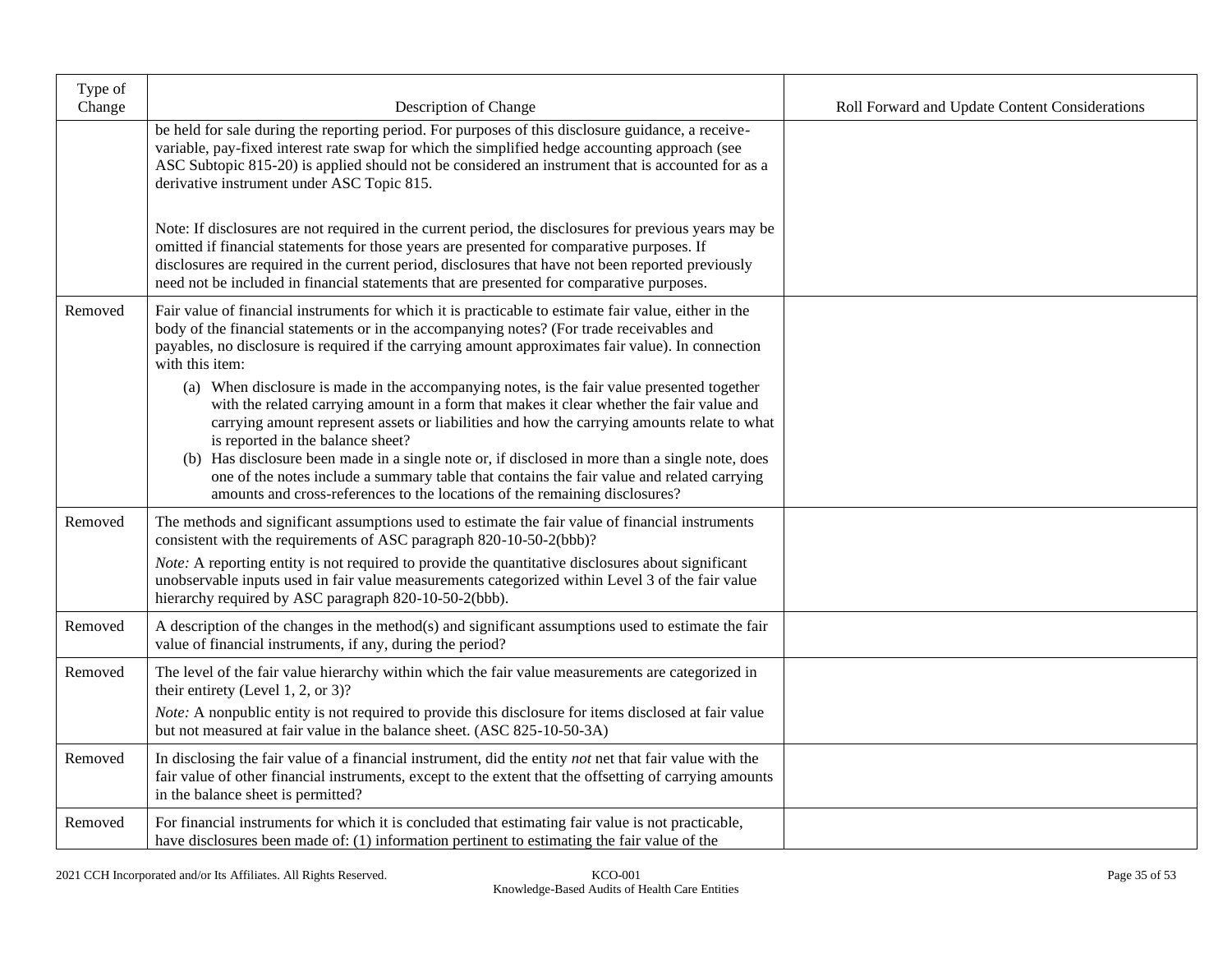| Type of<br>Change | Description of Change                                                                                                                                                                                                                                                                                                                                                                                                                                                                                                                                                                                        | Roll Forward and Update Content Considerations |
|-------------------|--------------------------------------------------------------------------------------------------------------------------------------------------------------------------------------------------------------------------------------------------------------------------------------------------------------------------------------------------------------------------------------------------------------------------------------------------------------------------------------------------------------------------------------------------------------------------------------------------------------|------------------------------------------------|
|                   | be held for sale during the reporting period. For purposes of this disclosure guidance, a receive-<br>variable, pay-fixed interest rate swap for which the simplified hedge accounting approach (see<br>ASC Subtopic 815-20) is applied should not be considered an instrument that is accounted for as a<br>derivative instrument under ASC Topic 815.                                                                                                                                                                                                                                                      |                                                |
|                   | Note: If disclosures are not required in the current period, the disclosures for previous years may be<br>omitted if financial statements for those years are presented for comparative purposes. If<br>disclosures are required in the current period, disclosures that have not been reported previously<br>need not be included in financial statements that are presented for comparative purposes.                                                                                                                                                                                                      |                                                |
| Removed           | Fair value of financial instruments for which it is practicable to estimate fair value, either in the<br>body of the financial statements or in the accompanying notes? (For trade receivables and<br>payables, no disclosure is required if the carrying amount approximates fair value). In connection<br>with this item:                                                                                                                                                                                                                                                                                  |                                                |
|                   | (a) When disclosure is made in the accompanying notes, is the fair value presented together<br>with the related carrying amount in a form that makes it clear whether the fair value and<br>carrying amount represent assets or liabilities and how the carrying amounts relate to what<br>is reported in the balance sheet?<br>(b) Has disclosure been made in a single note or, if disclosed in more than a single note, does<br>one of the notes include a summary table that contains the fair value and related carrying<br>amounts and cross-references to the locations of the remaining disclosures? |                                                |
| Removed           | The methods and significant assumptions used to estimate the fair value of financial instruments<br>consistent with the requirements of ASC paragraph 820-10-50-2(bbb)?                                                                                                                                                                                                                                                                                                                                                                                                                                      |                                                |
|                   | Note: A reporting entity is not required to provide the quantitative disclosures about significant<br>unobservable inputs used in fair value measurements categorized within Level 3 of the fair value<br>hierarchy required by ASC paragraph 820-10-50-2(bbb).                                                                                                                                                                                                                                                                                                                                              |                                                |
| Removed           | A description of the changes in the method(s) and significant assumptions used to estimate the fair<br>value of financial instruments, if any, during the period?                                                                                                                                                                                                                                                                                                                                                                                                                                            |                                                |
| Removed           | The level of the fair value hierarchy within which the fair value measurements are categorized in<br>their entirety (Level 1, 2, or 3)?<br><i>Note:</i> A nonpublic entity is not required to provide this disclosure for items disclosed at fair value<br>but not measured at fair value in the balance sheet. (ASC 825-10-50-3A)                                                                                                                                                                                                                                                                           |                                                |
| Removed           | In disclosing the fair value of a financial instrument, did the entity not net that fair value with the<br>fair value of other financial instruments, except to the extent that the offsetting of carrying amounts<br>in the balance sheet is permitted?                                                                                                                                                                                                                                                                                                                                                     |                                                |
| Removed           | For financial instruments for which it is concluded that estimating fair value is not practicable,<br>have disclosures been made of: (1) information pertinent to estimating the fair value of the                                                                                                                                                                                                                                                                                                                                                                                                           |                                                |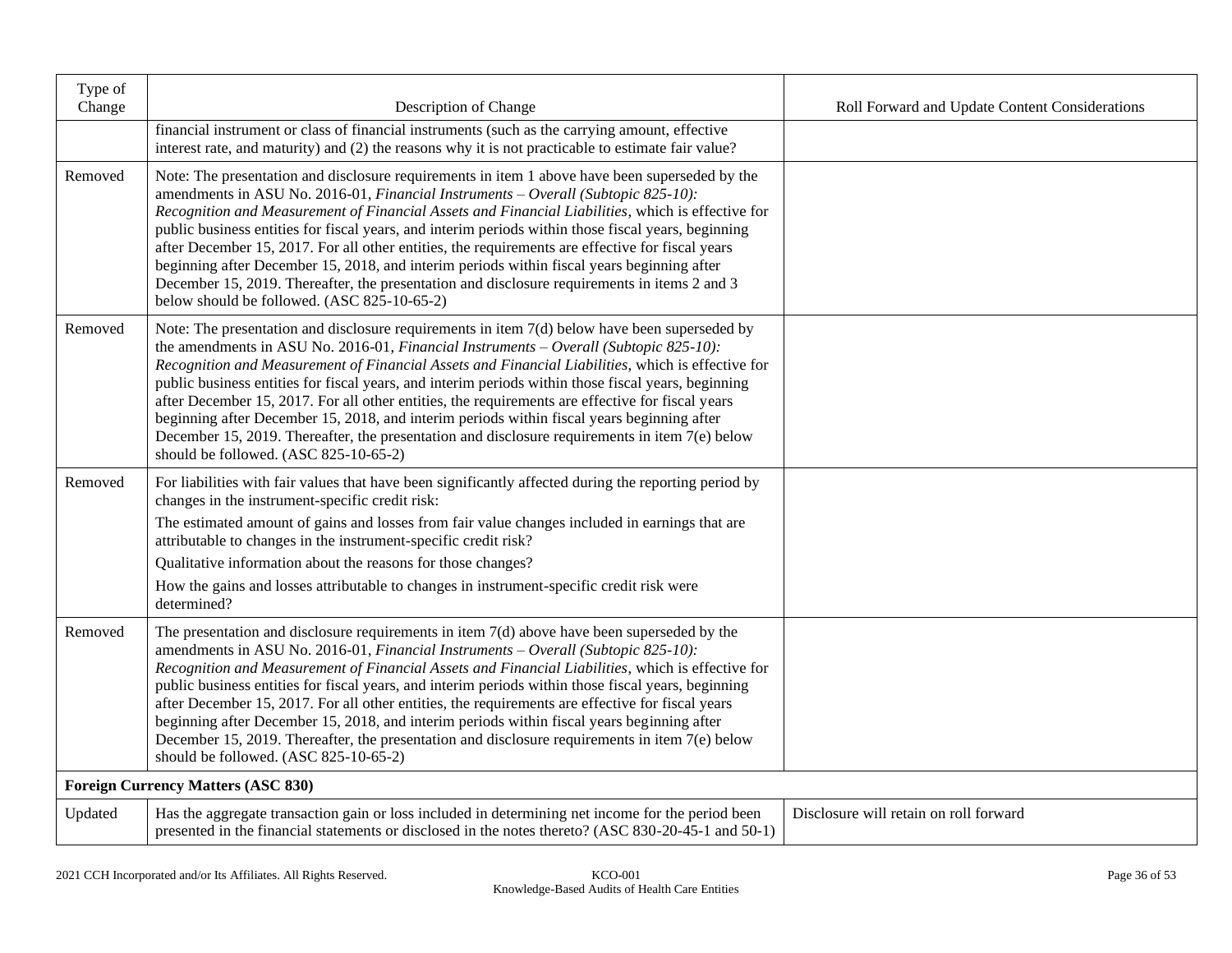| Type of<br>Change | Description of Change                                                                                                                                                                                                                                                                                                                                                                                                                                                                                                                                                                                                                                                                                                                                       | Roll Forward and Update Content Considerations |
|-------------------|-------------------------------------------------------------------------------------------------------------------------------------------------------------------------------------------------------------------------------------------------------------------------------------------------------------------------------------------------------------------------------------------------------------------------------------------------------------------------------------------------------------------------------------------------------------------------------------------------------------------------------------------------------------------------------------------------------------------------------------------------------------|------------------------------------------------|
|                   | financial instrument or class of financial instruments (such as the carrying amount, effective<br>interest rate, and maturity) and (2) the reasons why it is not practicable to estimate fair value?                                                                                                                                                                                                                                                                                                                                                                                                                                                                                                                                                        |                                                |
| Removed           | Note: The presentation and disclosure requirements in item 1 above have been superseded by the<br>amendments in ASU No. 2016-01, Financial Instruments - Overall (Subtopic 825-10):<br>Recognition and Measurement of Financial Assets and Financial Liabilities, which is effective for<br>public business entities for fiscal years, and interim periods within those fiscal years, beginning<br>after December 15, 2017. For all other entities, the requirements are effective for fiscal years<br>beginning after December 15, 2018, and interim periods within fiscal years beginning after<br>December 15, 2019. Thereafter, the presentation and disclosure requirements in items 2 and 3<br>below should be followed. (ASC 825-10-65-2)            |                                                |
| Removed           | Note: The presentation and disclosure requirements in item $7(d)$ below have been superseded by<br>the amendments in ASU No. 2016-01, <i>Financial Instruments – Overall (Subtopic 825-10)</i> :<br>Recognition and Measurement of Financial Assets and Financial Liabilities, which is effective for<br>public business entities for fiscal years, and interim periods within those fiscal years, beginning<br>after December 15, 2017. For all other entities, the requirements are effective for fiscal years<br>beginning after December 15, 2018, and interim periods within fiscal years beginning after<br>December 15, 2019. Thereafter, the presentation and disclosure requirements in item $7(e)$ below<br>should be followed. (ASC 825-10-65-2) |                                                |
| Removed           | For liabilities with fair values that have been significantly affected during the reporting period by<br>changes in the instrument-specific credit risk:                                                                                                                                                                                                                                                                                                                                                                                                                                                                                                                                                                                                    |                                                |
|                   | The estimated amount of gains and losses from fair value changes included in earnings that are<br>attributable to changes in the instrument-specific credit risk?                                                                                                                                                                                                                                                                                                                                                                                                                                                                                                                                                                                           |                                                |
|                   | Qualitative information about the reasons for those changes?<br>How the gains and losses attributable to changes in instrument-specific credit risk were                                                                                                                                                                                                                                                                                                                                                                                                                                                                                                                                                                                                    |                                                |
|                   | determined?                                                                                                                                                                                                                                                                                                                                                                                                                                                                                                                                                                                                                                                                                                                                                 |                                                |
| Removed           | The presentation and disclosure requirements in item $7(d)$ above have been superseded by the<br>amendments in ASU No. 2016-01, Financial Instruments - Overall (Subtopic 825-10):<br>Recognition and Measurement of Financial Assets and Financial Liabilities, which is effective for<br>public business entities for fiscal years, and interim periods within those fiscal years, beginning<br>after December 15, 2017. For all other entities, the requirements are effective for fiscal years<br>beginning after December 15, 2018, and interim periods within fiscal years beginning after<br>December 15, 2019. Thereafter, the presentation and disclosure requirements in item 7(e) below<br>should be followed. (ASC 825-10-65-2)                 |                                                |
|                   | <b>Foreign Currency Matters (ASC 830)</b>                                                                                                                                                                                                                                                                                                                                                                                                                                                                                                                                                                                                                                                                                                                   |                                                |
| Updated           | Has the aggregate transaction gain or loss included in determining net income for the period been<br>presented in the financial statements or disclosed in the notes thereto? (ASC 830-20-45-1 and 50-1)                                                                                                                                                                                                                                                                                                                                                                                                                                                                                                                                                    | Disclosure will retain on roll forward         |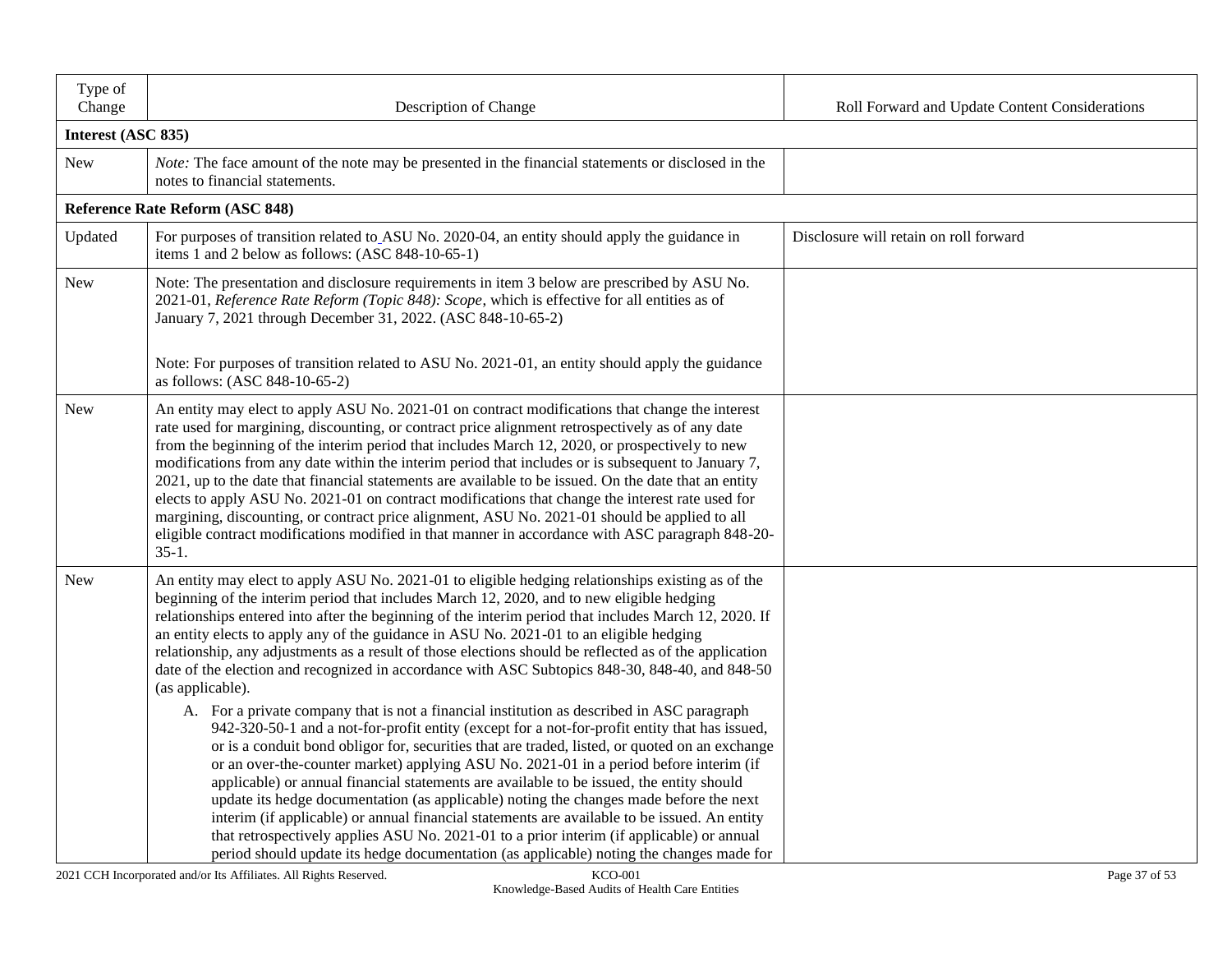| Type of<br>Change | Description of Change                                                                                                                                                                                                                                                                                                                                                                                                                                                                                                                                                                                                                                                                                                                                                                                                                                                                                                                                                                                                                                                                                                                                                                                                                                                                                                                                                                                                                                                                                         | Roll Forward and Update Content Considerations |  |  |  |  |  |  |
|-------------------|---------------------------------------------------------------------------------------------------------------------------------------------------------------------------------------------------------------------------------------------------------------------------------------------------------------------------------------------------------------------------------------------------------------------------------------------------------------------------------------------------------------------------------------------------------------------------------------------------------------------------------------------------------------------------------------------------------------------------------------------------------------------------------------------------------------------------------------------------------------------------------------------------------------------------------------------------------------------------------------------------------------------------------------------------------------------------------------------------------------------------------------------------------------------------------------------------------------------------------------------------------------------------------------------------------------------------------------------------------------------------------------------------------------------------------------------------------------------------------------------------------------|------------------------------------------------|--|--|--|--|--|--|
|                   | Interest (ASC 835)                                                                                                                                                                                                                                                                                                                                                                                                                                                                                                                                                                                                                                                                                                                                                                                                                                                                                                                                                                                                                                                                                                                                                                                                                                                                                                                                                                                                                                                                                            |                                                |  |  |  |  |  |  |
| <b>New</b>        | Note: The face amount of the note may be presented in the financial statements or disclosed in the<br>notes to financial statements.                                                                                                                                                                                                                                                                                                                                                                                                                                                                                                                                                                                                                                                                                                                                                                                                                                                                                                                                                                                                                                                                                                                                                                                                                                                                                                                                                                          |                                                |  |  |  |  |  |  |
|                   | Reference Rate Reform (ASC 848)                                                                                                                                                                                                                                                                                                                                                                                                                                                                                                                                                                                                                                                                                                                                                                                                                                                                                                                                                                                                                                                                                                                                                                                                                                                                                                                                                                                                                                                                               |                                                |  |  |  |  |  |  |
| Updated           | For purposes of transition related to ASU No. 2020-04, an entity should apply the guidance in<br>items 1 and 2 below as follows: (ASC 848-10-65-1)                                                                                                                                                                                                                                                                                                                                                                                                                                                                                                                                                                                                                                                                                                                                                                                                                                                                                                                                                                                                                                                                                                                                                                                                                                                                                                                                                            | Disclosure will retain on roll forward         |  |  |  |  |  |  |
| New               | Note: The presentation and disclosure requirements in item 3 below are prescribed by ASU No.<br>2021-01, Reference Rate Reform (Topic 848): Scope, which is effective for all entities as of<br>January 7, 2021 through December 31, 2022. (ASC 848-10-65-2)                                                                                                                                                                                                                                                                                                                                                                                                                                                                                                                                                                                                                                                                                                                                                                                                                                                                                                                                                                                                                                                                                                                                                                                                                                                  |                                                |  |  |  |  |  |  |
|                   | Note: For purposes of transition related to ASU No. 2021-01, an entity should apply the guidance<br>as follows: (ASC 848-10-65-2)                                                                                                                                                                                                                                                                                                                                                                                                                                                                                                                                                                                                                                                                                                                                                                                                                                                                                                                                                                                                                                                                                                                                                                                                                                                                                                                                                                             |                                                |  |  |  |  |  |  |
| New               | An entity may elect to apply ASU No. 2021-01 on contract modifications that change the interest<br>rate used for margining, discounting, or contract price alignment retrospectively as of any date<br>from the beginning of the interim period that includes March 12, 2020, or prospectively to new<br>modifications from any date within the interim period that includes or is subsequent to January 7,<br>2021, up to the date that financial statements are available to be issued. On the date that an entity<br>elects to apply ASU No. 2021-01 on contract modifications that change the interest rate used for<br>margining, discounting, or contract price alignment, ASU No. 2021-01 should be applied to all<br>eligible contract modifications modified in that manner in accordance with ASC paragraph 848-20-<br>$35-1.$                                                                                                                                                                                                                                                                                                                                                                                                                                                                                                                                                                                                                                                                      |                                                |  |  |  |  |  |  |
| New               | An entity may elect to apply ASU No. 2021-01 to eligible hedging relationships existing as of the<br>beginning of the interim period that includes March 12, 2020, and to new eligible hedging<br>relationships entered into after the beginning of the interim period that includes March 12, 2020. If<br>an entity elects to apply any of the guidance in ASU No. 2021-01 to an eligible hedging<br>relationship, any adjustments as a result of those elections should be reflected as of the application<br>date of the election and recognized in accordance with ASC Subtopics 848-30, 848-40, and 848-50<br>(as applicable).<br>A. For a private company that is not a financial institution as described in ASC paragraph<br>942-320-50-1 and a not-for-profit entity (except for a not-for-profit entity that has issued,<br>or is a conduit bond obligor for, securities that are traded, listed, or quoted on an exchange<br>or an over-the-counter market) applying ASU No. 2021-01 in a period before interim (if<br>applicable) or annual financial statements are available to be issued, the entity should<br>update its hedge documentation (as applicable) noting the changes made before the next<br>interim (if applicable) or annual financial statements are available to be issued. An entity<br>that retrospectively applies ASU No. 2021-01 to a prior interim (if applicable) or annual<br>period should update its hedge documentation (as applicable) noting the changes made for |                                                |  |  |  |  |  |  |

2021 CCH Incorporated and/or Its Affiliates. All Rights Reserved. KCO-001 Page 37 of 53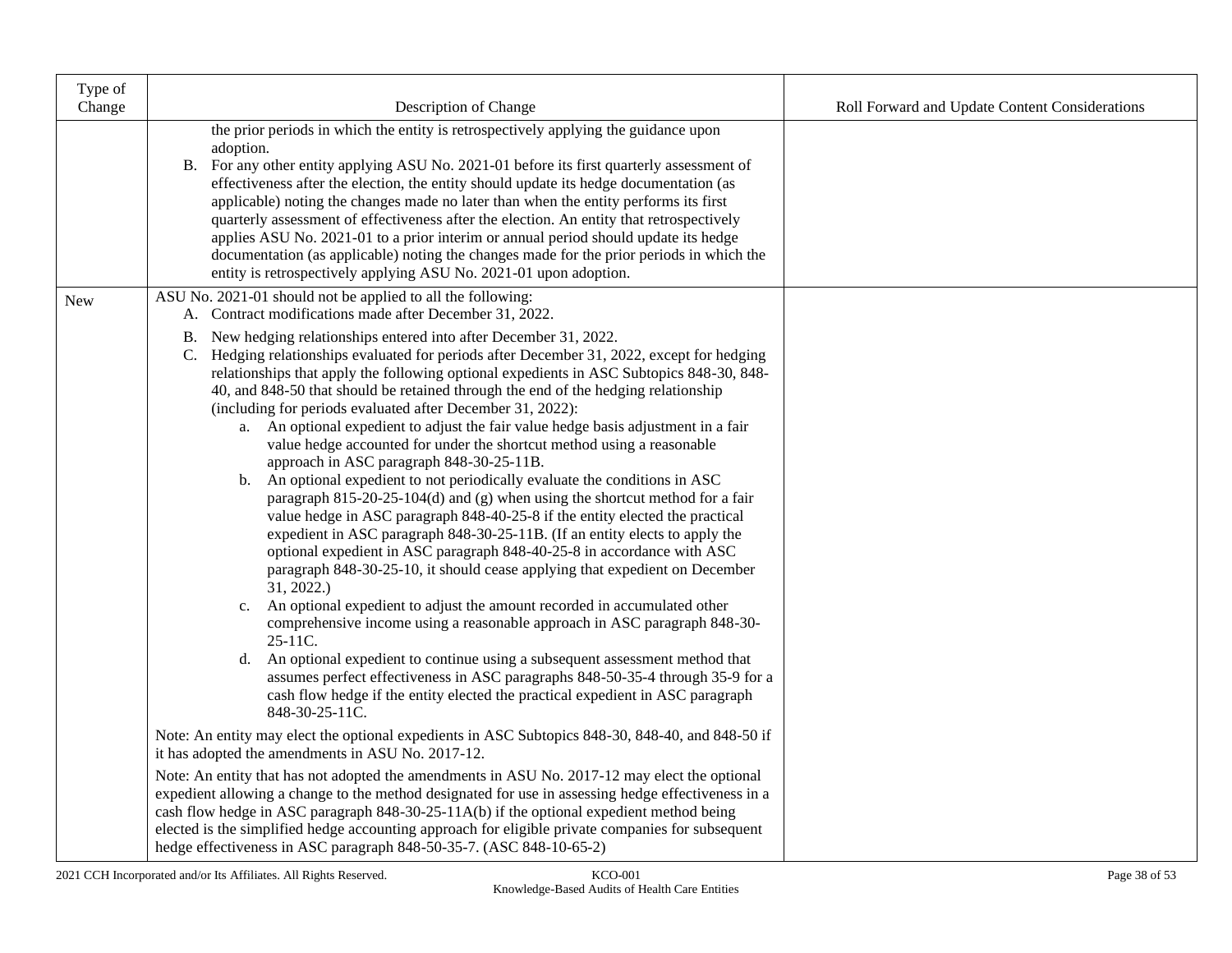| Type of<br>Change | Description of Change                                                                                                                                                                         | Roll Forward and Update Content Considerations |
|-------------------|-----------------------------------------------------------------------------------------------------------------------------------------------------------------------------------------------|------------------------------------------------|
|                   | the prior periods in which the entity is retrospectively applying the guidance upon                                                                                                           |                                                |
|                   | adoption.                                                                                                                                                                                     |                                                |
|                   | B. For any other entity applying ASU No. 2021-01 before its first quarterly assessment of                                                                                                     |                                                |
|                   | effectiveness after the election, the entity should update its hedge documentation (as<br>applicable) noting the changes made no later than when the entity performs its first                |                                                |
|                   | quarterly assessment of effectiveness after the election. An entity that retrospectively                                                                                                      |                                                |
|                   | applies ASU No. 2021-01 to a prior interim or annual period should update its hedge                                                                                                           |                                                |
|                   | documentation (as applicable) noting the changes made for the prior periods in which the<br>entity is retrospectively applying ASU No. 2021-01 upon adoption.                                 |                                                |
| <b>New</b>        | ASU No. 2021-01 should not be applied to all the following:                                                                                                                                   |                                                |
|                   | A. Contract modifications made after December 31, 2022.                                                                                                                                       |                                                |
|                   | New hedging relationships entered into after December 31, 2022.<br>В.                                                                                                                         |                                                |
|                   | C. Hedging relationships evaluated for periods after December 31, 2022, except for hedging<br>relationships that apply the following optional expedients in ASC Subtopics 848-30, 848-        |                                                |
|                   | 40, and 848-50 that should be retained through the end of the hedging relationship                                                                                                            |                                                |
|                   | (including for periods evaluated after December 31, 2022):                                                                                                                                    |                                                |
|                   | a. An optional expedient to adjust the fair value hedge basis adjustment in a fair<br>value hedge accounted for under the shortcut method using a reasonable                                  |                                                |
|                   | approach in ASC paragraph 848-30-25-11B.                                                                                                                                                      |                                                |
|                   | b. An optional expedient to not periodically evaluate the conditions in ASC                                                                                                                   |                                                |
|                   | paragraph $815-20-25-104(d)$ and (g) when using the shortcut method for a fair<br>value hedge in ASC paragraph 848-40-25-8 if the entity elected the practical                                |                                                |
|                   | expedient in ASC paragraph 848-30-25-11B. (If an entity elects to apply the                                                                                                                   |                                                |
|                   | optional expedient in ASC paragraph 848-40-25-8 in accordance with ASC                                                                                                                        |                                                |
|                   | paragraph 848-30-25-10, it should cease applying that expedient on December<br>31, 2022.                                                                                                      |                                                |
|                   | An optional expedient to adjust the amount recorded in accumulated other<br>$\mathbf{c}$ .                                                                                                    |                                                |
|                   | comprehensive income using a reasonable approach in ASC paragraph 848-30-<br>25-11C.                                                                                                          |                                                |
|                   | An optional expedient to continue using a subsequent assessment method that<br>d.                                                                                                             |                                                |
|                   | assumes perfect effectiveness in ASC paragraphs 848-50-35-4 through 35-9 for a<br>cash flow hedge if the entity elected the practical expedient in ASC paragraph                              |                                                |
|                   | 848-30-25-11C.                                                                                                                                                                                |                                                |
|                   | Note: An entity may elect the optional expedients in ASC Subtopics 848-30, 848-40, and 848-50 if<br>it has adopted the amendments in ASU No. 2017-12.                                         |                                                |
|                   | Note: An entity that has not adopted the amendments in ASU No. 2017-12 may elect the optional                                                                                                 |                                                |
|                   | expedient allowing a change to the method designated for use in assessing hedge effectiveness in a                                                                                            |                                                |
|                   | cash flow hedge in ASC paragraph 848-30-25-11A(b) if the optional expedient method being<br>elected is the simplified hedge accounting approach for eligible private companies for subsequent |                                                |
|                   | hedge effectiveness in ASC paragraph 848-50-35-7. (ASC 848-10-65-2)                                                                                                                           |                                                |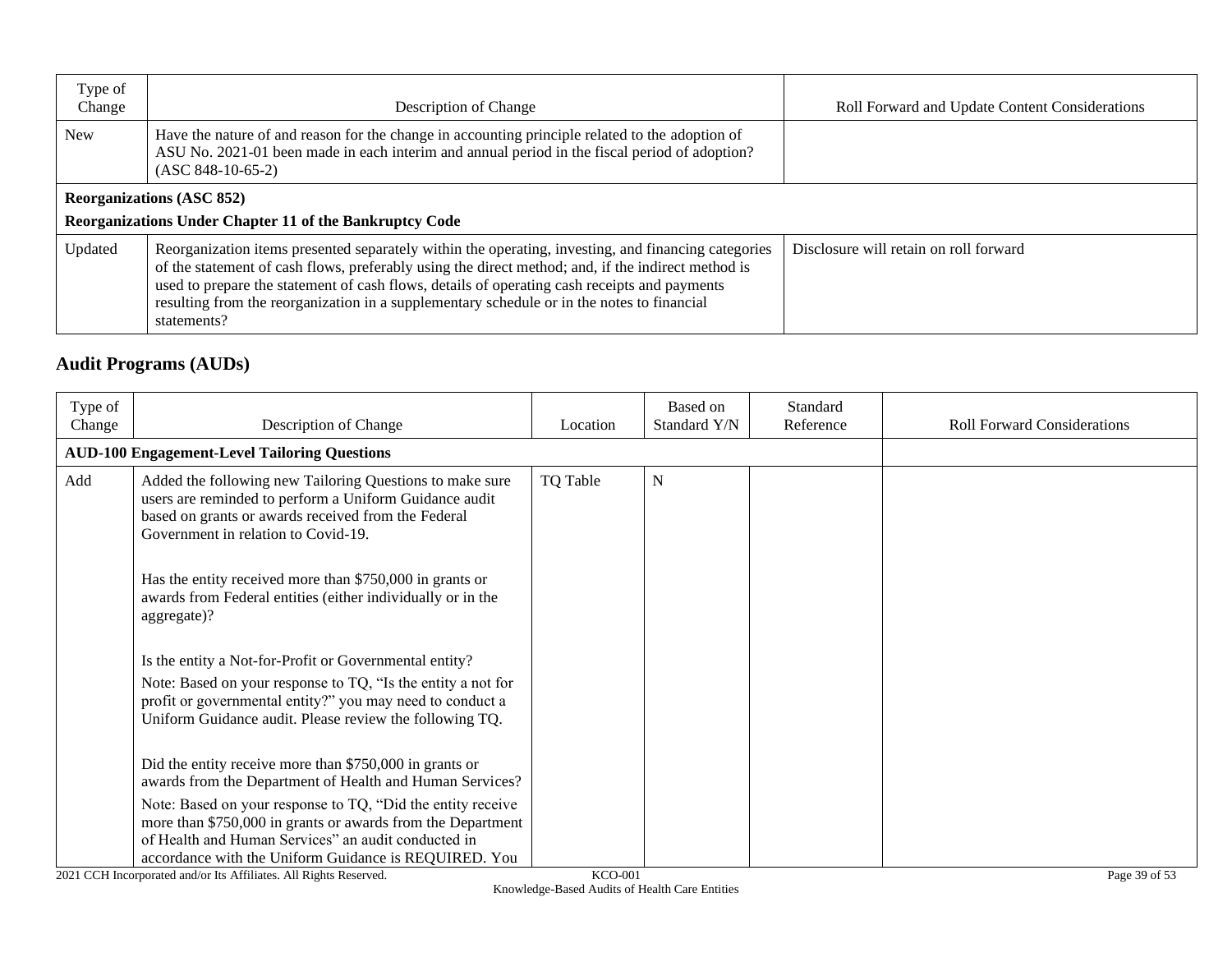| Type of<br>Change | Description of Change                                                                                                                                                                                                                                                                                                                                                                                                  | Roll Forward and Update Content Considerations |
|-------------------|------------------------------------------------------------------------------------------------------------------------------------------------------------------------------------------------------------------------------------------------------------------------------------------------------------------------------------------------------------------------------------------------------------------------|------------------------------------------------|
| <b>New</b>        | Have the nature of and reason for the change in accounting principle related to the adoption of<br>ASU No. 2021-01 been made in each interim and annual period in the fiscal period of adoption?<br>$(ASC 848-10-65-2)$                                                                                                                                                                                                |                                                |
|                   | <b>Reorganizations (ASC 852)</b><br>Reorganizations Under Chapter 11 of the Bankruptcy Code                                                                                                                                                                                                                                                                                                                            |                                                |
| Updated           | Reorganization items presented separately within the operating, investing, and financing categories<br>of the statement of cash flows, preferably using the direct method; and, if the indirect method is<br>used to prepare the statement of cash flows, details of operating cash receipts and payments<br>resulting from the reorganization in a supplementary schedule or in the notes to financial<br>statements? | Disclosure will retain on roll forward         |

# **Audit Programs (AUDs)**

| Type of<br>Change | Description of Change                                                                                                                                                                                                                      | Location | Based on<br>Standard Y/N | Standard<br>Reference | <b>Roll Forward Considerations</b> |
|-------------------|--------------------------------------------------------------------------------------------------------------------------------------------------------------------------------------------------------------------------------------------|----------|--------------------------|-----------------------|------------------------------------|
|                   | <b>AUD-100 Engagement-Level Tailoring Questions</b>                                                                                                                                                                                        |          |                          |                       |                                    |
| Add               | Added the following new Tailoring Questions to make sure<br>users are reminded to perform a Uniform Guidance audit<br>based on grants or awards received from the Federal<br>Government in relation to Covid-19.                           | TQ Table | ${\bf N}$                |                       |                                    |
|                   | Has the entity received more than \$750,000 in grants or<br>awards from Federal entities (either individually or in the<br>aggregate)?                                                                                                     |          |                          |                       |                                    |
|                   | Is the entity a Not-for-Profit or Governmental entity?                                                                                                                                                                                     |          |                          |                       |                                    |
|                   | Note: Based on your response to TQ, "Is the entity a not for<br>profit or governmental entity?" you may need to conduct a<br>Uniform Guidance audit. Please review the following TQ.                                                       |          |                          |                       |                                    |
|                   | Did the entity receive more than \$750,000 in grants or<br>awards from the Department of Health and Human Services?                                                                                                                        |          |                          |                       |                                    |
|                   | Note: Based on your response to TQ, "Did the entity receive<br>more than \$750,000 in grants or awards from the Department<br>of Health and Human Services" an audit conducted in<br>accordance with the Uniform Guidance is REQUIRED. You |          |                          |                       |                                    |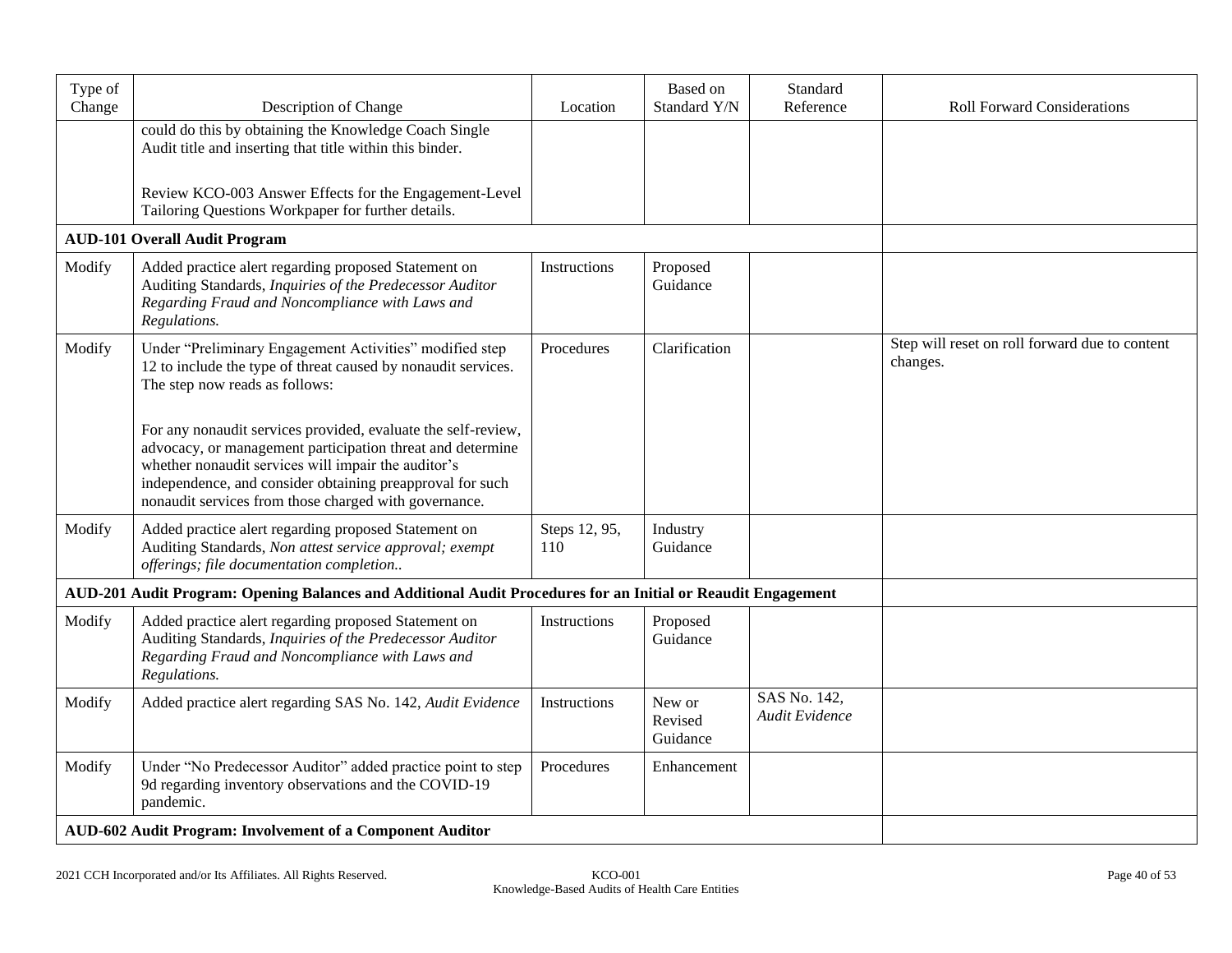| Type of<br>Change | Description of Change                                                                                                                                                                                                                                                                                    | Location             | Based on<br>Standard Y/N      | Standard<br>Reference          | <b>Roll Forward Considerations</b>                         |
|-------------------|----------------------------------------------------------------------------------------------------------------------------------------------------------------------------------------------------------------------------------------------------------------------------------------------------------|----------------------|-------------------------------|--------------------------------|------------------------------------------------------------|
|                   | could do this by obtaining the Knowledge Coach Single<br>Audit title and inserting that title within this binder.                                                                                                                                                                                        |                      |                               |                                |                                                            |
|                   | Review KCO-003 Answer Effects for the Engagement-Level<br>Tailoring Questions Workpaper for further details.                                                                                                                                                                                             |                      |                               |                                |                                                            |
|                   | <b>AUD-101 Overall Audit Program</b>                                                                                                                                                                                                                                                                     |                      |                               |                                |                                                            |
| Modify            | Added practice alert regarding proposed Statement on<br>Auditing Standards, Inquiries of the Predecessor Auditor<br>Regarding Fraud and Noncompliance with Laws and<br>Regulations.                                                                                                                      | Instructions         | Proposed<br>Guidance          |                                |                                                            |
| Modify            | Under "Preliminary Engagement Activities" modified step<br>12 to include the type of threat caused by nonaudit services.<br>The step now reads as follows:                                                                                                                                               | Procedures           | Clarification                 |                                | Step will reset on roll forward due to content<br>changes. |
|                   | For any nonaudit services provided, evaluate the self-review,<br>advocacy, or management participation threat and determine<br>whether nonaudit services will impair the auditor's<br>independence, and consider obtaining preapproval for such<br>nonaudit services from those charged with governance. |                      |                               |                                |                                                            |
| Modify            | Added practice alert regarding proposed Statement on<br>Auditing Standards, Non attest service approval; exempt<br>offerings; file documentation completion                                                                                                                                              | Steps 12, 95,<br>110 | Industry<br>Guidance          |                                |                                                            |
|                   | AUD-201 Audit Program: Opening Balances and Additional Audit Procedures for an Initial or Reaudit Engagement                                                                                                                                                                                             |                      |                               |                                |                                                            |
| Modify            | Added practice alert regarding proposed Statement on<br>Auditing Standards, Inquiries of the Predecessor Auditor<br>Regarding Fraud and Noncompliance with Laws and<br>Regulations.                                                                                                                      | <b>Instructions</b>  | Proposed<br>Guidance          |                                |                                                            |
| Modify            | Added practice alert regarding SAS No. 142, Audit Evidence                                                                                                                                                                                                                                               | Instructions         | New or<br>Revised<br>Guidance | SAS No. 142,<br>Audit Evidence |                                                            |
| Modify            | Under "No Predecessor Auditor" added practice point to step<br>9d regarding inventory observations and the COVID-19<br>pandemic.                                                                                                                                                                         | Procedures           | Enhancement                   |                                |                                                            |
|                   | AUD-602 Audit Program: Involvement of a Component Auditor                                                                                                                                                                                                                                                |                      |                               |                                |                                                            |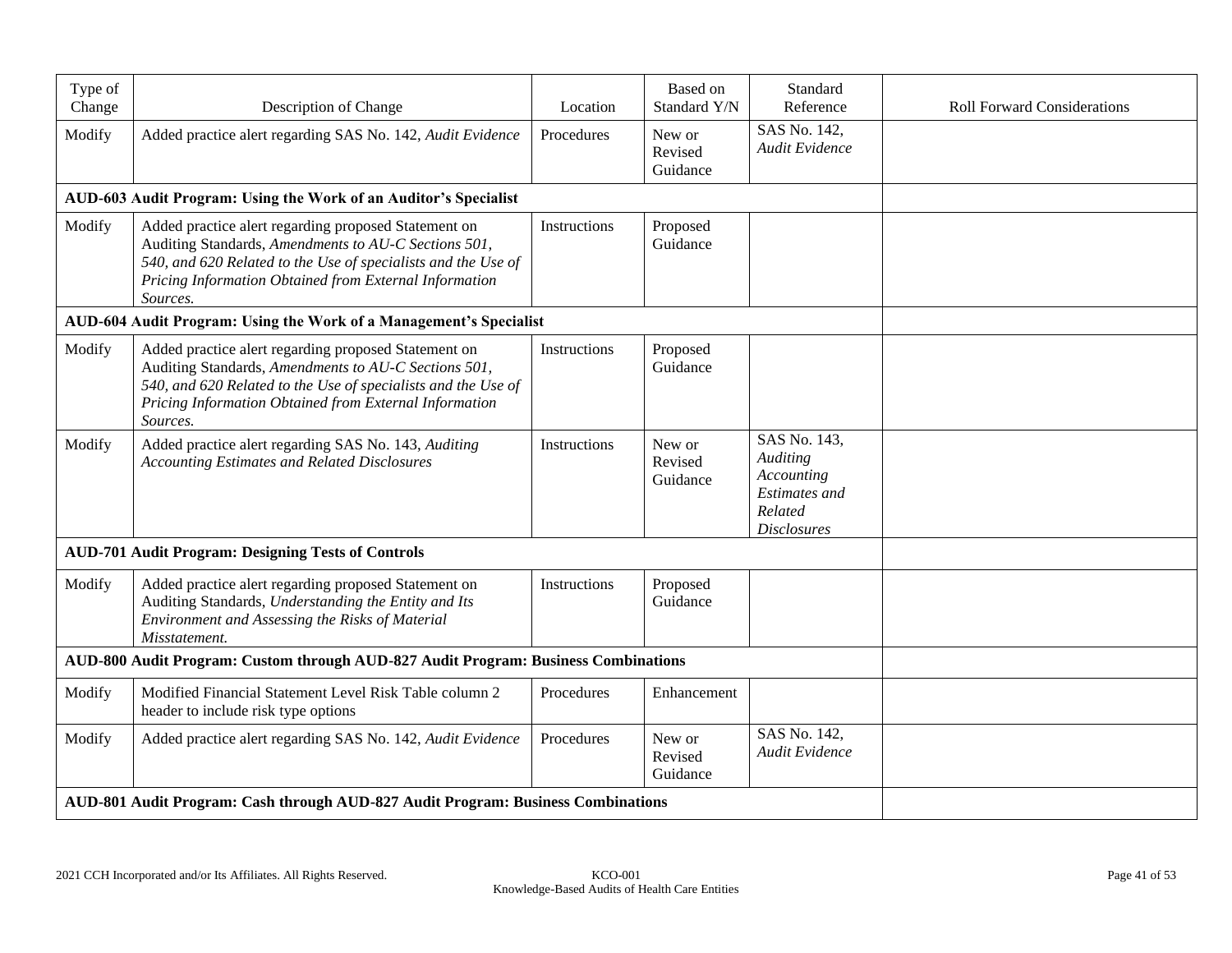| Type of<br>Change                                                                  | Description of Change                                                                                                                                                                                                                               | Location     | Based on<br>Standard Y/N      | Standard<br>Reference                                                                           | <b>Roll Forward Considerations</b> |
|------------------------------------------------------------------------------------|-----------------------------------------------------------------------------------------------------------------------------------------------------------------------------------------------------------------------------------------------------|--------------|-------------------------------|-------------------------------------------------------------------------------------------------|------------------------------------|
| Modify                                                                             | Added practice alert regarding SAS No. 142, Audit Evidence                                                                                                                                                                                          | Procedures   | New or<br>Revised<br>Guidance | SAS No. 142,<br>Audit Evidence                                                                  |                                    |
|                                                                                    | AUD-603 Audit Program: Using the Work of an Auditor's Specialist                                                                                                                                                                                    |              |                               |                                                                                                 |                                    |
| Modify                                                                             | Added practice alert regarding proposed Statement on<br>Auditing Standards, Amendments to AU-C Sections 501,<br>540, and 620 Related to the Use of specialists and the Use of<br>Pricing Information Obtained from External Information<br>Sources. | Instructions | Proposed<br>Guidance          |                                                                                                 |                                    |
|                                                                                    | AUD-604 Audit Program: Using the Work of a Management's Specialist                                                                                                                                                                                  |              |                               |                                                                                                 |                                    |
| Modify                                                                             | Added practice alert regarding proposed Statement on<br>Auditing Standards, Amendments to AU-C Sections 501,<br>540, and 620 Related to the Use of specialists and the Use of<br>Pricing Information Obtained from External Information<br>Sources. | Instructions | Proposed<br>Guidance          |                                                                                                 |                                    |
| Modify                                                                             | Added practice alert regarding SAS No. 143, Auditing<br><b>Accounting Estimates and Related Disclosures</b>                                                                                                                                         | Instructions | New or<br>Revised<br>Guidance | SAS No. 143,<br>Auditing<br>Accounting<br><b>Estimates</b> and<br>Related<br><b>Disclosures</b> |                                    |
|                                                                                    | <b>AUD-701 Audit Program: Designing Tests of Controls</b>                                                                                                                                                                                           |              |                               |                                                                                                 |                                    |
| Modify                                                                             | Added practice alert regarding proposed Statement on<br>Auditing Standards, Understanding the Entity and Its<br>Environment and Assessing the Risks of Material<br>Misstatement.                                                                    | Instructions | Proposed<br>Guidance          |                                                                                                 |                                    |
| AUD-800 Audit Program: Custom through AUD-827 Audit Program: Business Combinations |                                                                                                                                                                                                                                                     |              |                               |                                                                                                 |                                    |
| Modify                                                                             | Modified Financial Statement Level Risk Table column 2<br>header to include risk type options                                                                                                                                                       | Procedures   | Enhancement                   |                                                                                                 |                                    |
| Modify                                                                             | Added practice alert regarding SAS No. 142, Audit Evidence                                                                                                                                                                                          | Procedures   | New or<br>Revised<br>Guidance | SAS No. 142,<br>Audit Evidence                                                                  |                                    |
|                                                                                    | AUD-801 Audit Program: Cash through AUD-827 Audit Program: Business Combinations                                                                                                                                                                    |              |                               |                                                                                                 |                                    |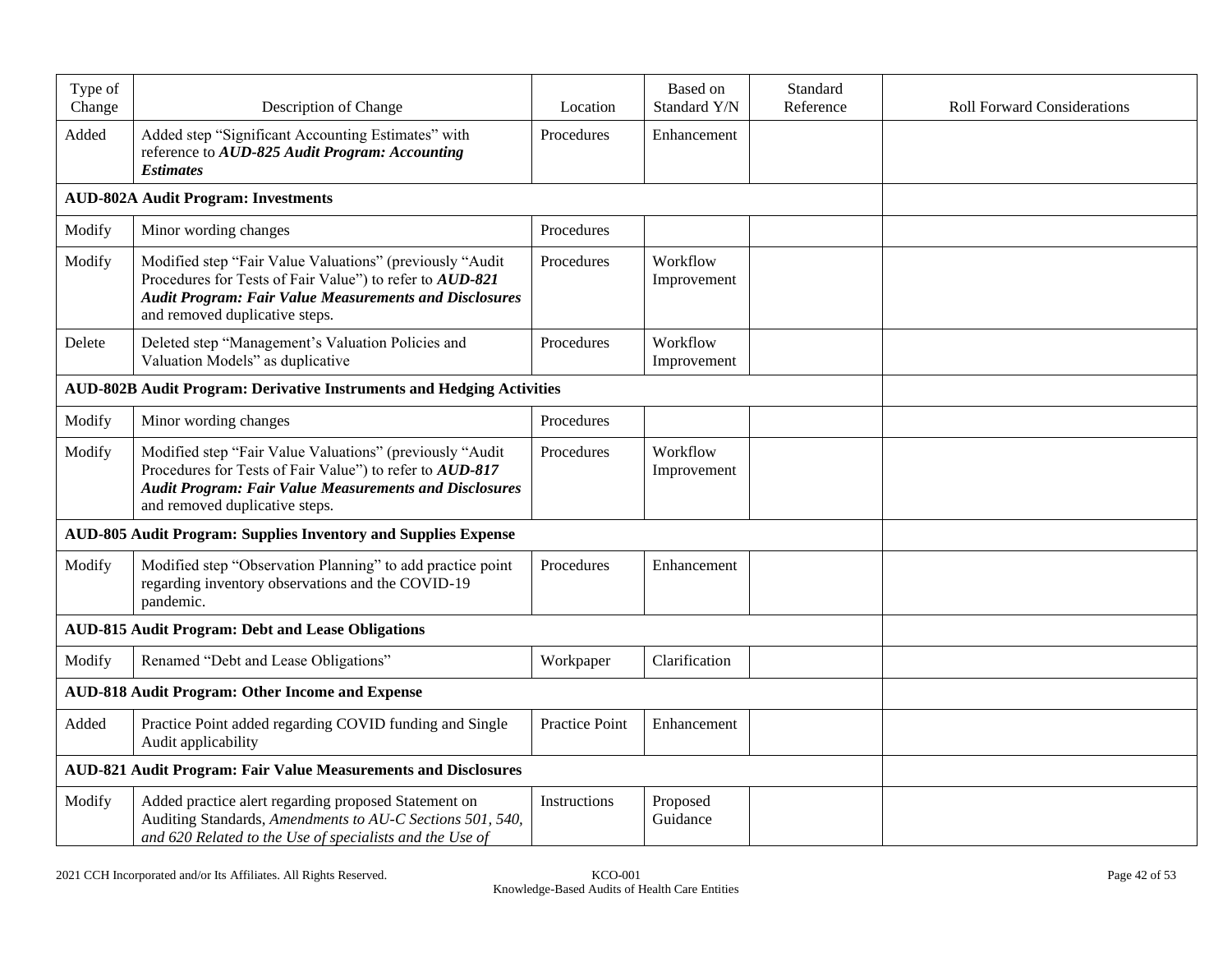| Type of                                                               |                                                                                                                                                                                                                         |                | Based on                | Standard  |                                    |
|-----------------------------------------------------------------------|-------------------------------------------------------------------------------------------------------------------------------------------------------------------------------------------------------------------------|----------------|-------------------------|-----------|------------------------------------|
| Change                                                                | Description of Change                                                                                                                                                                                                   | Location       | Standard Y/N            | Reference | <b>Roll Forward Considerations</b> |
| Added                                                                 | Added step "Significant Accounting Estimates" with<br>reference to AUD-825 Audit Program: Accounting<br><b>Estimates</b>                                                                                                | Procedures     | Enhancement             |           |                                    |
|                                                                       | <b>AUD-802A Audit Program: Investments</b>                                                                                                                                                                              |                |                         |           |                                    |
| Modify                                                                | Minor wording changes                                                                                                                                                                                                   | Procedures     |                         |           |                                    |
| Modify                                                                | Modified step "Fair Value Valuations" (previously "Audit<br>Procedures for Tests of Fair Value") to refer to AUD-821<br><b>Audit Program: Fair Value Measurements and Disclosures</b><br>and removed duplicative steps. | Procedures     | Workflow<br>Improvement |           |                                    |
| Delete                                                                | Deleted step "Management's Valuation Policies and<br>Valuation Models" as duplicative                                                                                                                                   | Procedures     | Workflow<br>Improvement |           |                                    |
|                                                                       | <b>AUD-802B Audit Program: Derivative Instruments and Hedging Activities</b>                                                                                                                                            |                |                         |           |                                    |
| Modify                                                                | Minor wording changes                                                                                                                                                                                                   | Procedures     |                         |           |                                    |
| Modify                                                                | Modified step "Fair Value Valuations" (previously "Audit<br>Procedures for Tests of Fair Value") to refer to AUD-817<br><b>Audit Program: Fair Value Measurements and Disclosures</b><br>and removed duplicative steps. | Procedures     | Workflow<br>Improvement |           |                                    |
|                                                                       | AUD-805 Audit Program: Supplies Inventory and Supplies Expense                                                                                                                                                          |                |                         |           |                                    |
| Modify                                                                | Modified step "Observation Planning" to add practice point<br>regarding inventory observations and the COVID-19<br>pandemic.                                                                                            | Procedures     | Enhancement             |           |                                    |
|                                                                       | <b>AUD-815 Audit Program: Debt and Lease Obligations</b>                                                                                                                                                                |                |                         |           |                                    |
| Modify                                                                | Renamed "Debt and Lease Obligations"                                                                                                                                                                                    | Workpaper      | Clarification           |           |                                    |
| <b>AUD-818 Audit Program: Other Income and Expense</b>                |                                                                                                                                                                                                                         |                |                         |           |                                    |
| Added                                                                 | Practice Point added regarding COVID funding and Single<br>Audit applicability                                                                                                                                          | Practice Point | Enhancement             |           |                                    |
| <b>AUD-821 Audit Program: Fair Value Measurements and Disclosures</b> |                                                                                                                                                                                                                         |                |                         |           |                                    |
| Modify                                                                | Added practice alert regarding proposed Statement on<br>Auditing Standards, Amendments to AU-C Sections 501, 540,<br>and 620 Related to the Use of specialists and the Use of                                           | Instructions   | Proposed<br>Guidance    |           |                                    |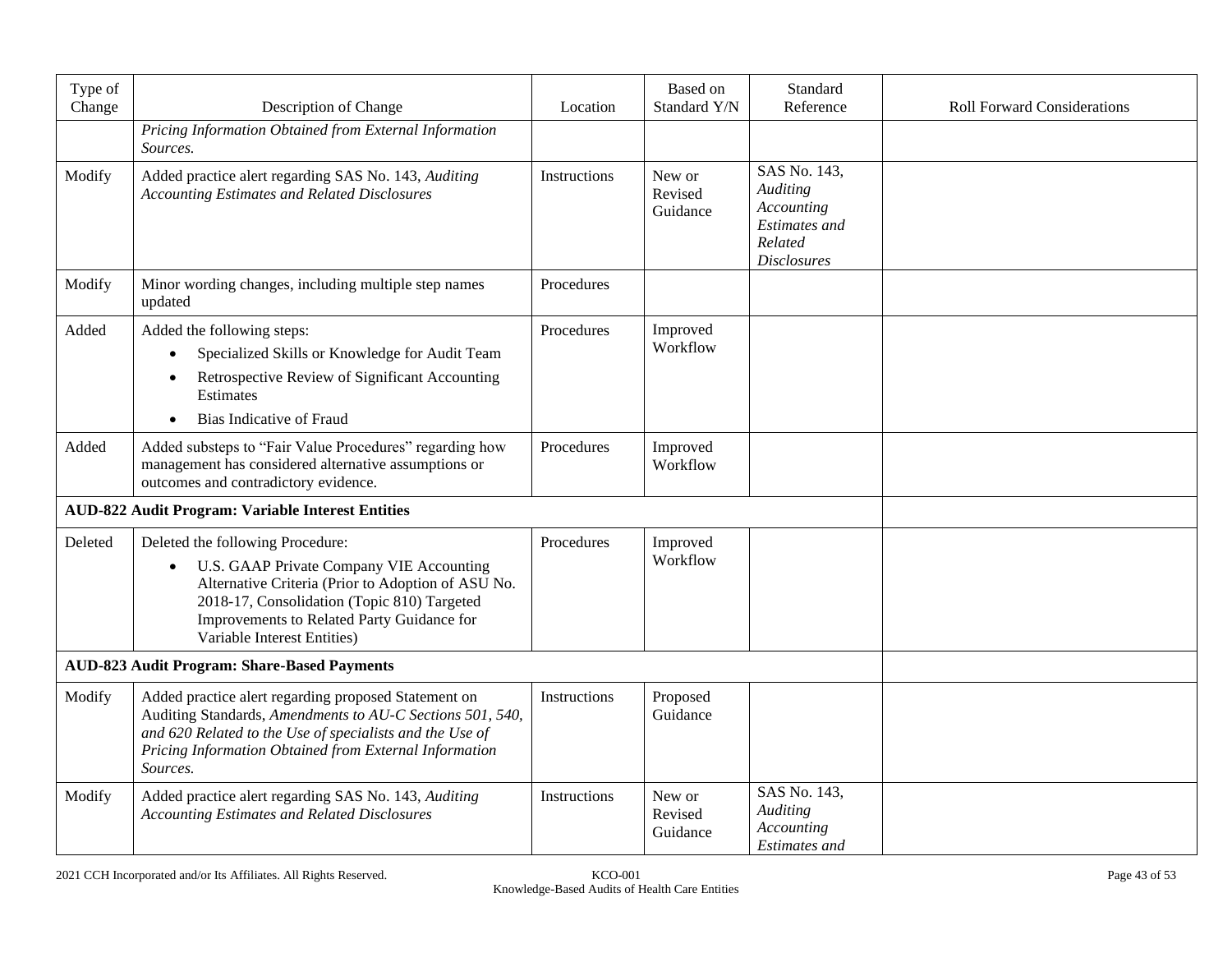| Type of<br>Change | Description of Change                                                                                                                                                                                                                                                       | Location     | <b>Based</b> on<br>Standard Y/N | Standard<br>Reference                                                                                  | <b>Roll Forward Considerations</b> |
|-------------------|-----------------------------------------------------------------------------------------------------------------------------------------------------------------------------------------------------------------------------------------------------------------------------|--------------|---------------------------------|--------------------------------------------------------------------------------------------------------|------------------------------------|
|                   | Pricing Information Obtained from External Information<br>Sources.                                                                                                                                                                                                          |              |                                 |                                                                                                        |                                    |
| Modify            | Added practice alert regarding SAS No. 143, Auditing<br><b>Accounting Estimates and Related Disclosures</b>                                                                                                                                                                 | Instructions | New or<br>Revised<br>Guidance   | SAS No. 143,<br><b>Auditing</b><br>Accounting<br><b>Estimates</b> and<br>Related<br><b>Disclosures</b> |                                    |
| Modify            | Minor wording changes, including multiple step names<br>updated                                                                                                                                                                                                             | Procedures   |                                 |                                                                                                        |                                    |
| Added             | Added the following steps:<br>Specialized Skills or Knowledge for Audit Team<br>Retrospective Review of Significant Accounting<br>Estimates<br><b>Bias Indicative of Fraud</b>                                                                                              | Procedures   | Improved<br>Workflow            |                                                                                                        |                                    |
| Added             | Added substeps to "Fair Value Procedures" regarding how<br>management has considered alternative assumptions or<br>outcomes and contradictory evidence.                                                                                                                     | Procedures   | Improved<br>Workflow            |                                                                                                        |                                    |
|                   | <b>AUD-822 Audit Program: Variable Interest Entities</b>                                                                                                                                                                                                                    |              |                                 |                                                                                                        |                                    |
| Deleted           | Deleted the following Procedure:<br>U.S. GAAP Private Company VIE Accounting<br>$\bullet$<br>Alternative Criteria (Prior to Adoption of ASU No.<br>2018-17, Consolidation (Topic 810) Targeted<br>Improvements to Related Party Guidance for<br>Variable Interest Entities) | Procedures   | Improved<br>Workflow            |                                                                                                        |                                    |
|                   | <b>AUD-823 Audit Program: Share-Based Payments</b>                                                                                                                                                                                                                          |              |                                 |                                                                                                        |                                    |
| Modify            | Added practice alert regarding proposed Statement on<br>Auditing Standards, Amendments to AU-C Sections 501, 540,<br>and 620 Related to the Use of specialists and the Use of<br>Pricing Information Obtained from External Information<br>Sources.                         | Instructions | Proposed<br>Guidance            |                                                                                                        |                                    |
| Modify            | Added practice alert regarding SAS No. 143, Auditing<br><b>Accounting Estimates and Related Disclosures</b>                                                                                                                                                                 | Instructions | New or<br>Revised<br>Guidance   | SAS No. 143,<br><b>Auditing</b><br>Accounting<br>Estimates and                                         |                                    |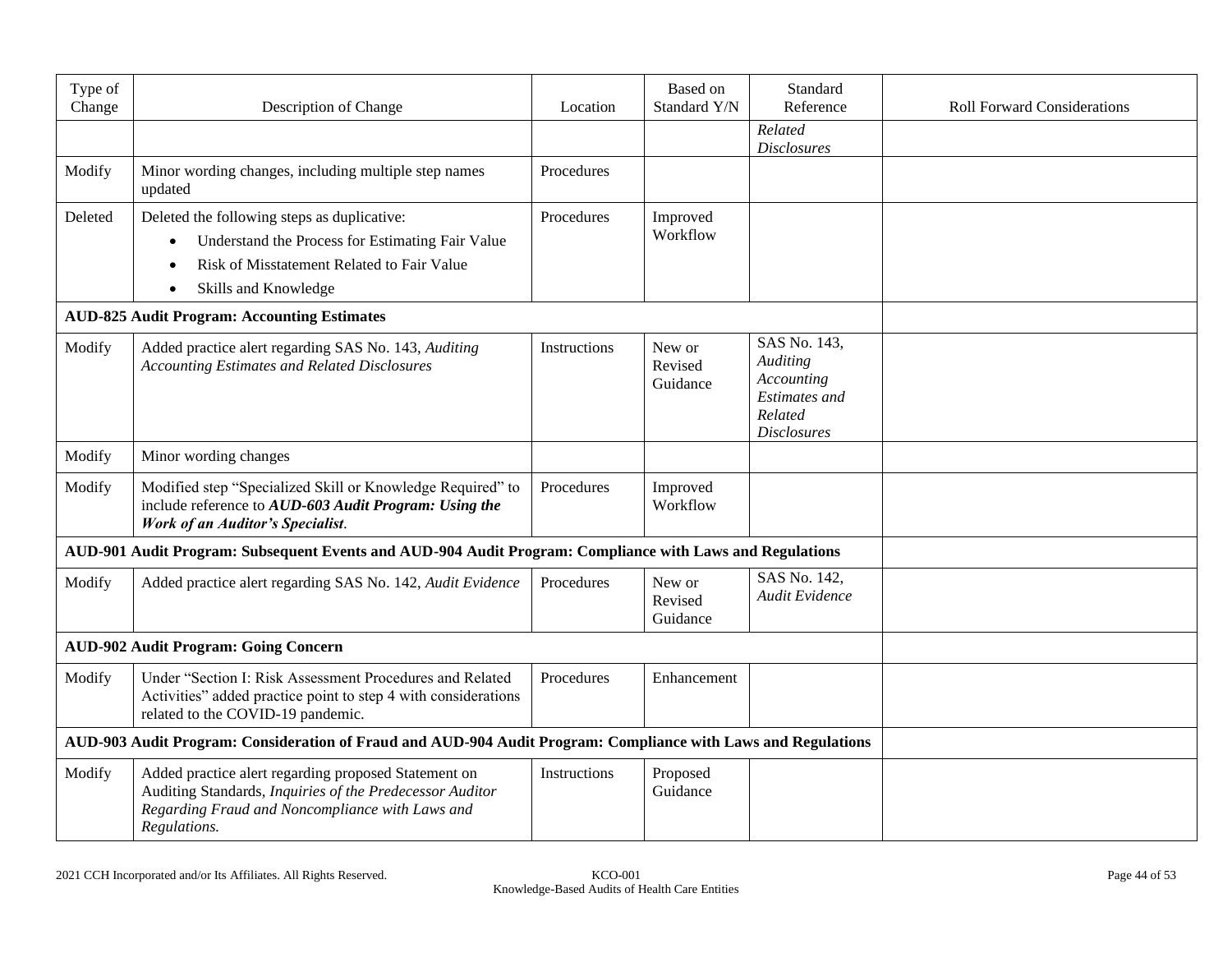| Type of<br>Change | Description of Change                                                                                                                                                               | Location     | <b>Based</b> on<br>Standard Y/N | Standard<br>Reference                                                                                  | <b>Roll Forward Considerations</b> |
|-------------------|-------------------------------------------------------------------------------------------------------------------------------------------------------------------------------------|--------------|---------------------------------|--------------------------------------------------------------------------------------------------------|------------------------------------|
|                   |                                                                                                                                                                                     |              |                                 | Related<br><b>Disclosures</b>                                                                          |                                    |
| Modify            | Minor wording changes, including multiple step names<br>updated                                                                                                                     | Procedures   |                                 |                                                                                                        |                                    |
| Deleted           | Deleted the following steps as duplicative:<br>Understand the Process for Estimating Fair Value<br>$\bullet$<br>Risk of Misstatement Related to Fair Value<br>Skills and Knowledge  | Procedures   | Improved<br>Workflow            |                                                                                                        |                                    |
|                   | <b>AUD-825 Audit Program: Accounting Estimates</b>                                                                                                                                  |              |                                 |                                                                                                        |                                    |
| Modify            | Added practice alert regarding SAS No. 143, Auditing<br><b>Accounting Estimates and Related Disclosures</b>                                                                         | Instructions | New or<br>Revised<br>Guidance   | SAS No. 143,<br><b>Auditing</b><br>Accounting<br><b>Estimates</b> and<br>Related<br><b>Disclosures</b> |                                    |
| Modify            | Minor wording changes                                                                                                                                                               |              |                                 |                                                                                                        |                                    |
| Modify            | Modified step "Specialized Skill or Knowledge Required" to<br>include reference to AUD-603 Audit Program: Using the<br><b>Work of an Auditor's Specialist.</b>                      | Procedures   | Improved<br>Workflow            |                                                                                                        |                                    |
|                   | AUD-901 Audit Program: Subsequent Events and AUD-904 Audit Program: Compliance with Laws and Regulations                                                                            |              |                                 |                                                                                                        |                                    |
| Modify            | Added practice alert regarding SAS No. 142, Audit Evidence                                                                                                                          | Procedures   | New or<br>Revised<br>Guidance   | SAS No. 142,<br>Audit Evidence                                                                         |                                    |
|                   | <b>AUD-902 Audit Program: Going Concern</b>                                                                                                                                         |              |                                 |                                                                                                        |                                    |
| Modify            | Under "Section I: Risk Assessment Procedures and Related<br>Activities" added practice point to step 4 with considerations<br>related to the COVID-19 pandemic.                     | Procedures   | Enhancement                     |                                                                                                        |                                    |
|                   | AUD-903 Audit Program: Consideration of Fraud and AUD-904 Audit Program: Compliance with Laws and Regulations                                                                       |              |                                 |                                                                                                        |                                    |
| Modify            | Added practice alert regarding proposed Statement on<br>Auditing Standards, Inquiries of the Predecessor Auditor<br>Regarding Fraud and Noncompliance with Laws and<br>Regulations. | Instructions | Proposed<br>Guidance            |                                                                                                        |                                    |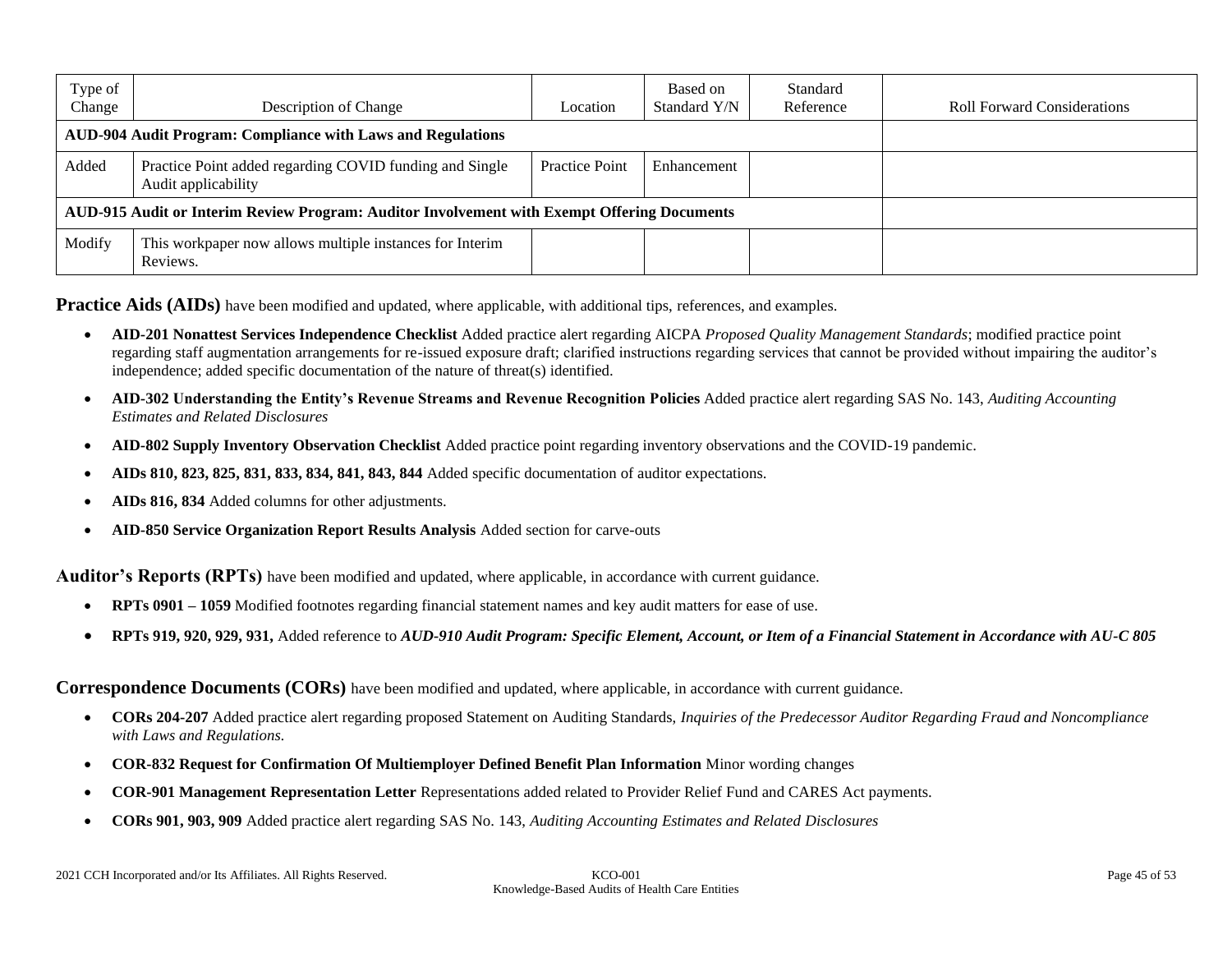| Type of<br>Change                                                                           | Description of Change                                                          | Location              | Based on<br>Standard Y/N | Standard<br>Reference | <b>Roll Forward Considerations</b> |
|---------------------------------------------------------------------------------------------|--------------------------------------------------------------------------------|-----------------------|--------------------------|-----------------------|------------------------------------|
| <b>AUD-904 Audit Program: Compliance with Laws and Regulations</b>                          |                                                                                |                       |                          |                       |                                    |
| Added                                                                                       | Practice Point added regarding COVID funding and Single<br>Audit applicability | <b>Practice Point</b> | Enhancement              |                       |                                    |
| AUD-915 Audit or Interim Review Program: Auditor Involvement with Exempt Offering Documents |                                                                                |                       |                          |                       |                                    |
| Modify                                                                                      | This workpaper now allows multiple instances for Interim<br>Reviews.           |                       |                          |                       |                                    |

Practice Aids (AIDs) have been modified and updated, where applicable, with additional tips, references, and examples.

- **AID-201 Nonattest Services Independence Checklist** Added practice alert regarding AICPA *Proposed Quality Management Standards*; modified practice point regarding staff augmentation arrangements for re-issued exposure draft; clarified instructions regarding services that cannot be provided without impairing the auditor's independence; added specific documentation of the nature of threat(s) identified.
- **AID-302 Understanding the Entity's Revenue Streams and Revenue Recognition Policies** Added practice alert regarding SAS No. 143, *Auditing Accounting Estimates and Related Disclosures*
- **AID-802 Supply Inventory Observation Checklist** Added practice point regarding inventory observations and the COVID-19 pandemic.
- **AIDs 810, 823, 825, 831, 833, 834, 841, 843, 844** Added specific documentation of auditor expectations.
- **AIDs 816, 834** Added columns for other adjustments.
- **AID-850 Service Organization Report Results Analysis** Added section for carve-outs

**Auditor's Reports (RPTs)** have been modified and updated, where applicable, in accordance with current guidance.

- **RPTs 0901 – 1059** Modified footnotes regarding financial statement names and key audit matters for ease of use.
- **RPTs 919, 920, 929, 931,** Added reference to *AUD-910 Audit Program: Specific Element, Account, or Item of a Financial Statement in Accordance with AU-C 805*

**Correspondence Documents (CORs)** have been modified and updated, where applicable, in accordance with current guidance.

- **CORs 204-207** Added practice alert regarding proposed Statement on Auditing Standards, *Inquiries of the Predecessor Auditor Regarding Fraud and Noncompliance with Laws and Regulations.*
- **COR-832 Request for Confirmation Of Multiemployer Defined Benefit Plan Information** Minor wording changes
- **COR-901 Management Representation Letter** Representations added related to Provider Relief Fund and CARES Act payments.
- **CORs 901, 903, 909** Added practice alert regarding SAS No. 143, *Auditing Accounting Estimates and Related Disclosures*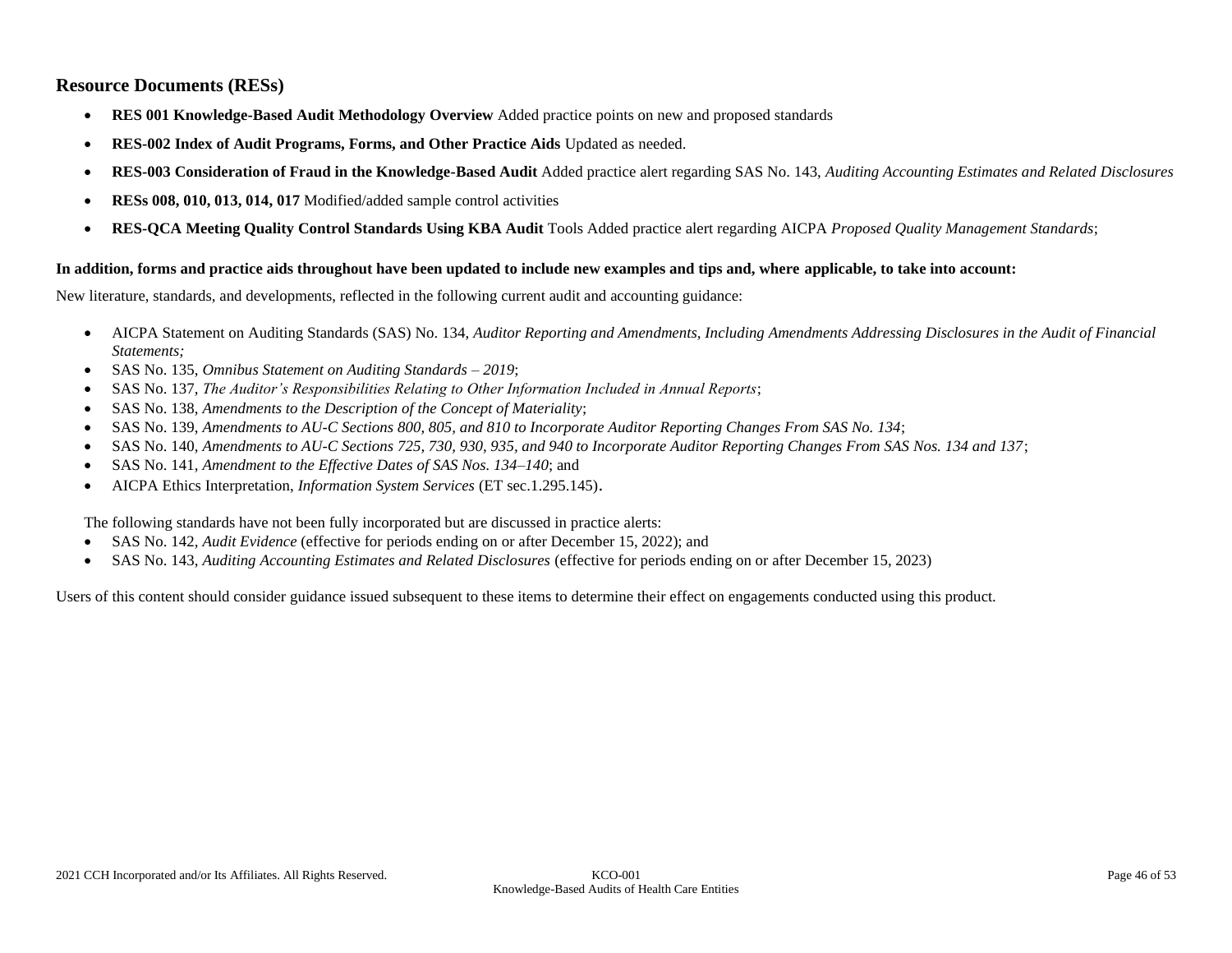#### **Resource Documents (RESs)**

- **RES 001 Knowledge-Based Audit Methodology Overview** Added practice points on new and proposed standards
- **RES-002 Index of Audit Programs, Forms, and Other Practice Aids** Updated as needed.
- **RES-003 Consideration of Fraud in the Knowledge-Based Audit** Added practice alert regarding SAS No. 143, *Auditing Accounting Estimates and Related Disclosures*
- **RESs 008, 010, 013, 014, 017** Modified/added sample control activities
- **RES-QCA Meeting Quality Control Standards Using KBA Audit** Tools Added practice alert regarding AICPA *Proposed Quality Management Standards*;

#### **In addition, forms and practice aids throughout have been updated to include new examples and tips and, where applicable, to take into account:**

New literature, standards, and developments, reflected in the following current audit and accounting guidance:

- AICPA Statement on Auditing Standards (SAS) No. 134, *Auditor Reporting and Amendments, Including Amendments Addressing Disclosures in the Audit of Financial Statements;*
- SAS No. 135, *Omnibus Statement on Auditing Standards – 2019*;
- SAS No. 137, *The Auditor's Responsibilities Relating to Other Information Included in Annual Reports*;
- SAS No. 138, *Amendments to the Description of the Concept of Materiality*;
- SAS No. 139, *Amendments to AU-C Sections 800, 805, and 810 to Incorporate Auditor Reporting Changes From SAS No. 134*;
- SAS No. 140, *Amendments to AU-C Sections 725, 730, 930, 935, and 940 to Incorporate Auditor Reporting Changes From SAS Nos. 134 and 137*;
- SAS No. 141, *Amendment to the Effective Dates of SAS Nos. 134–140*; and
- AICPA Ethics Interpretation, *Information System Services* (ET sec.1.295.145).

The following standards have not been fully incorporated but are discussed in practice alerts:

- SAS No. 142, *Audit Evidence* (effective for periods ending on or after December 15, 2022); and
- SAS No. 143, *Auditing Accounting Estimates and Related Disclosures* (effective for periods ending on or after December 15, 2023)

Users of this content should consider guidance issued subsequent to these items to determine their effect on engagements conducted using this product.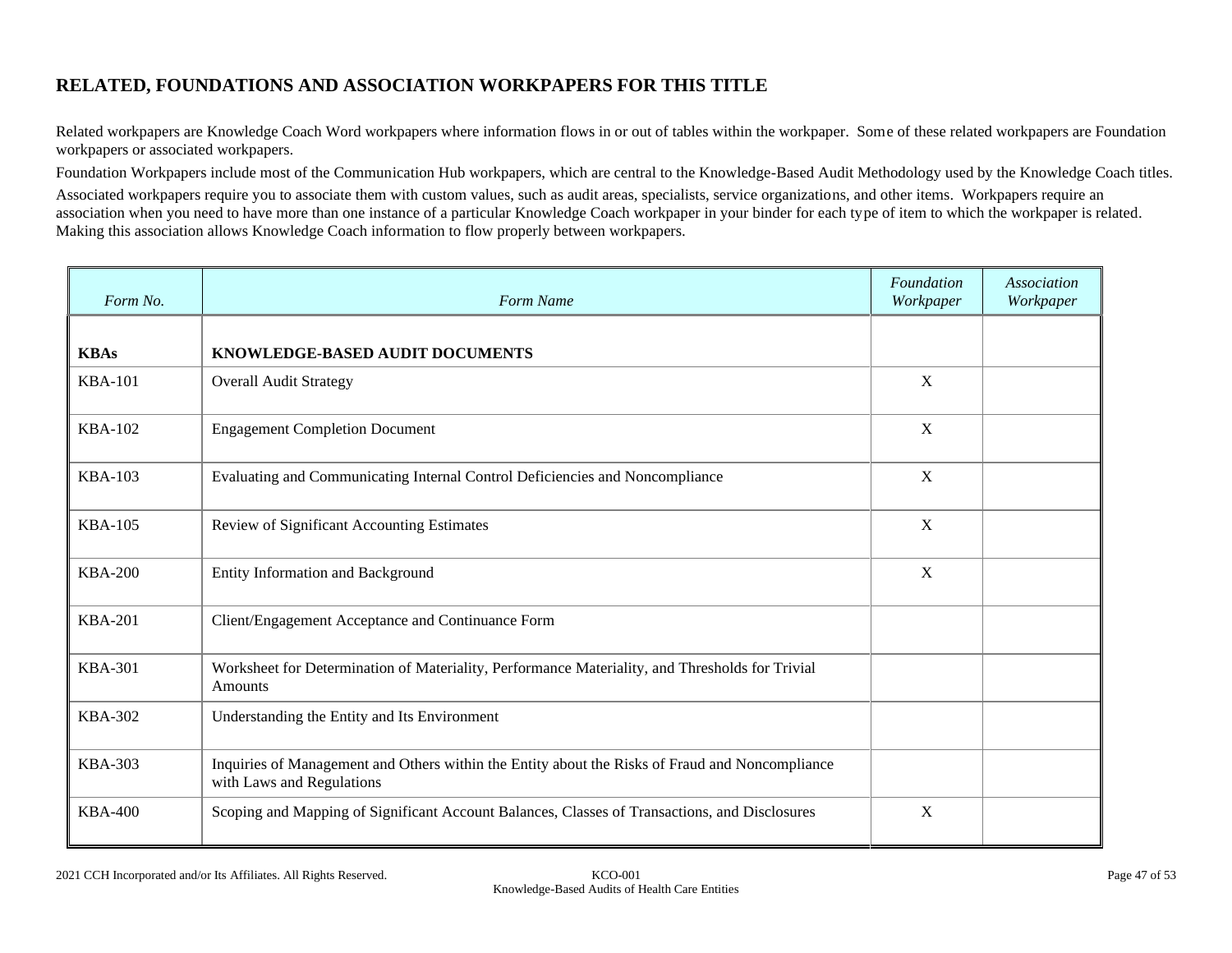# **RELATED, FOUNDATIONS AND ASSOCIATION WORKPAPERS FOR THIS TITLE**

Related workpapers are Knowledge Coach Word workpapers where information flows in or out of tables within the workpaper. Some of these related workpapers are Foundation workpapers or associated workpapers.

Foundation Workpapers include most of the Communication Hub workpapers, which are central to the Knowledge-Based Audit Methodology used by the Knowledge Coach titles.

Associated workpapers require you to associate them with custom values, such as audit areas, specialists, service organizations, and other items. Workpapers require an association when you need to have more than one instance of a particular Knowledge Coach workpaper in your binder for each type of item to which the workpaper is related. Making this association allows Knowledge Coach information to flow properly between workpapers.

| Form No.       | Form Name                                                                                                                    | Foundation<br>Workpaper | <b>Association</b><br>Workpaper |
|----------------|------------------------------------------------------------------------------------------------------------------------------|-------------------------|---------------------------------|
| <b>KBAs</b>    | KNOWLEDGE-BASED AUDIT DOCUMENTS                                                                                              |                         |                                 |
| <b>KBA-101</b> | <b>Overall Audit Strategy</b>                                                                                                | X                       |                                 |
| <b>KBA-102</b> | <b>Engagement Completion Document</b>                                                                                        | $\mathbf X$             |                                 |
| <b>KBA-103</b> | Evaluating and Communicating Internal Control Deficiencies and Noncompliance                                                 | $\mathbf X$             |                                 |
| <b>KBA-105</b> | Review of Significant Accounting Estimates                                                                                   | $\mathbf X$             |                                 |
| <b>KBA-200</b> | Entity Information and Background                                                                                            | X                       |                                 |
| <b>KBA-201</b> | Client/Engagement Acceptance and Continuance Form                                                                            |                         |                                 |
| <b>KBA-301</b> | Worksheet for Determination of Materiality, Performance Materiality, and Thresholds for Trivial<br>Amounts                   |                         |                                 |
| <b>KBA-302</b> | Understanding the Entity and Its Environment                                                                                 |                         |                                 |
| <b>KBA-303</b> | Inquiries of Management and Others within the Entity about the Risks of Fraud and Noncompliance<br>with Laws and Regulations |                         |                                 |
| <b>KBA-400</b> | Scoping and Mapping of Significant Account Balances, Classes of Transactions, and Disclosures                                | X                       |                                 |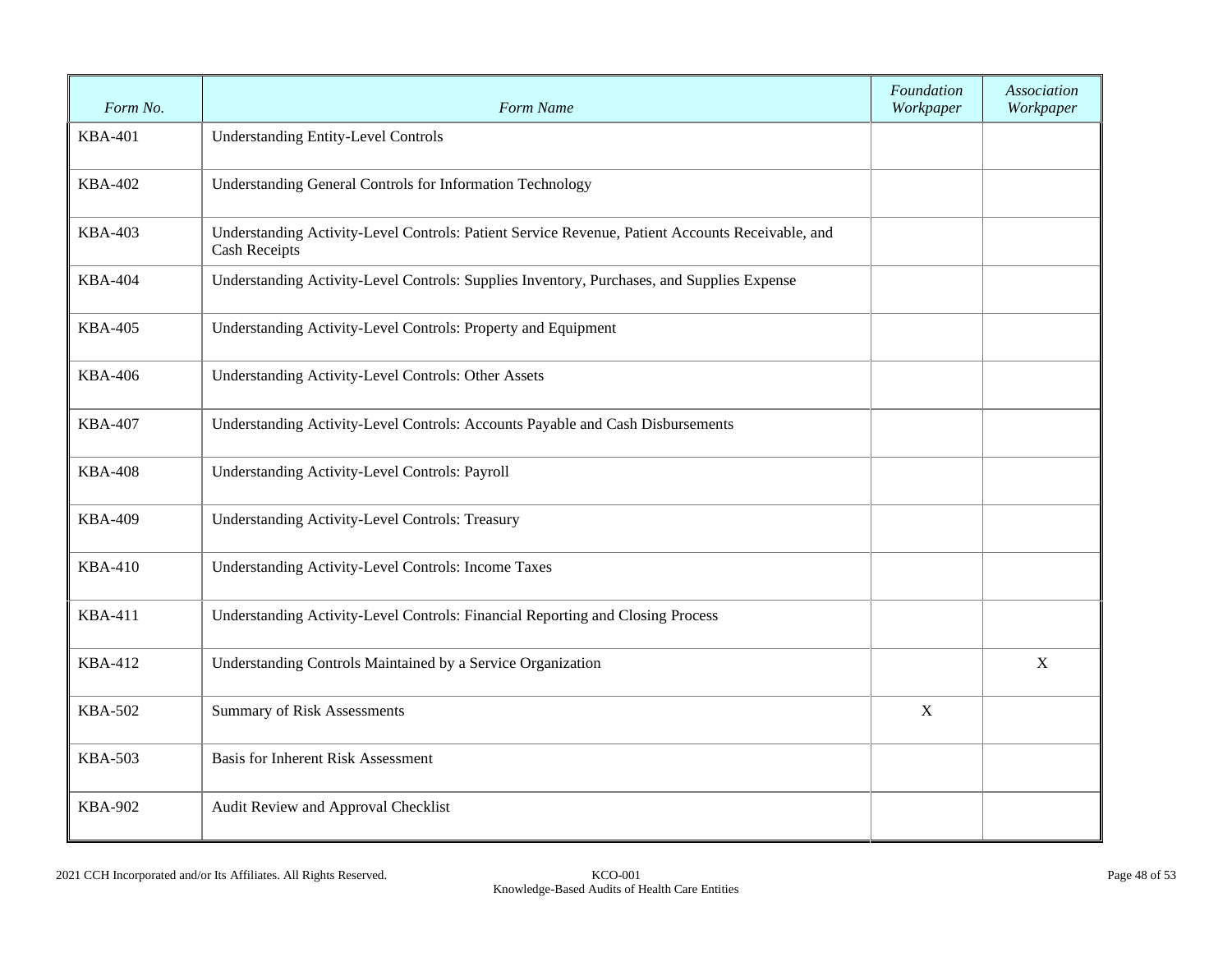| Form No.       | Form Name                                                                                                                | Foundation<br>Workpaper | Association<br>Workpaper |
|----------------|--------------------------------------------------------------------------------------------------------------------------|-------------------------|--------------------------|
| <b>KBA-401</b> | <b>Understanding Entity-Level Controls</b>                                                                               |                         |                          |
| <b>KBA-402</b> | Understanding General Controls for Information Technology                                                                |                         |                          |
| <b>KBA-403</b> | Understanding Activity-Level Controls: Patient Service Revenue, Patient Accounts Receivable, and<br><b>Cash Receipts</b> |                         |                          |
| <b>KBA-404</b> | Understanding Activity-Level Controls: Supplies Inventory, Purchases, and Supplies Expense                               |                         |                          |
| <b>KBA-405</b> | Understanding Activity-Level Controls: Property and Equipment                                                            |                         |                          |
| <b>KBA-406</b> | Understanding Activity-Level Controls: Other Assets                                                                      |                         |                          |
| <b>KBA-407</b> | Understanding Activity-Level Controls: Accounts Payable and Cash Disbursements                                           |                         |                          |
| <b>KBA-408</b> | Understanding Activity-Level Controls: Payroll                                                                           |                         |                          |
| <b>KBA-409</b> | <b>Understanding Activity-Level Controls: Treasury</b>                                                                   |                         |                          |
| <b>KBA-410</b> | <b>Understanding Activity-Level Controls: Income Taxes</b>                                                               |                         |                          |
| <b>KBA-411</b> | Understanding Activity-Level Controls: Financial Reporting and Closing Process                                           |                         |                          |
| <b>KBA-412</b> | Understanding Controls Maintained by a Service Organization                                                              |                         | $\mathbf X$              |
| <b>KBA-502</b> | <b>Summary of Risk Assessments</b>                                                                                       | $\mathbf X$             |                          |
| <b>KBA-503</b> | <b>Basis for Inherent Risk Assessment</b>                                                                                |                         |                          |
| <b>KBA-902</b> | Audit Review and Approval Checklist                                                                                      |                         |                          |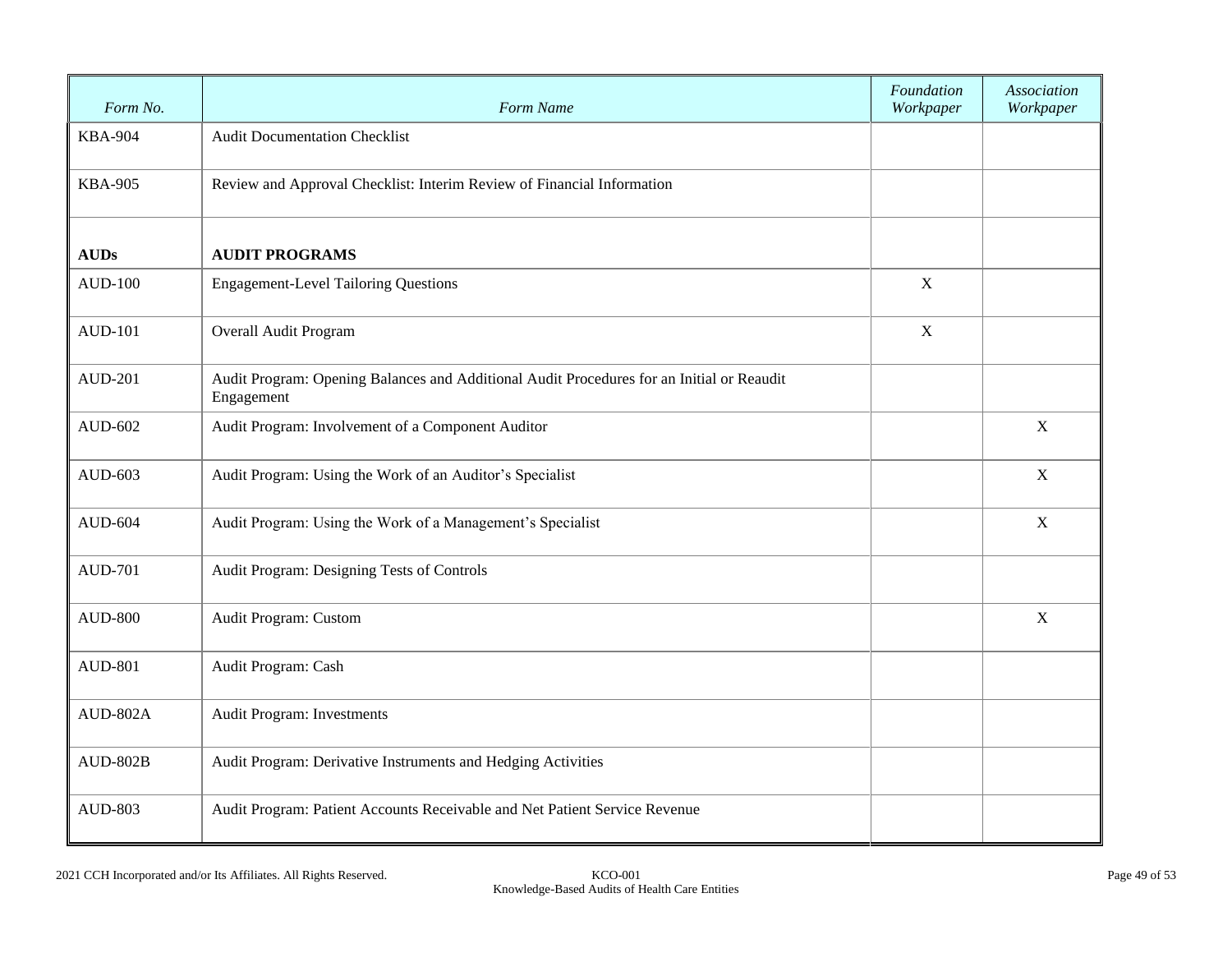| Form No.       | Form Name                                                                                               | Foundation<br>Workpaper | Association<br>Workpaper |
|----------------|---------------------------------------------------------------------------------------------------------|-------------------------|--------------------------|
| <b>KBA-904</b> | <b>Audit Documentation Checklist</b>                                                                    |                         |                          |
| <b>KBA-905</b> | Review and Approval Checklist: Interim Review of Financial Information                                  |                         |                          |
| <b>AUDs</b>    | <b>AUDIT PROGRAMS</b>                                                                                   |                         |                          |
| <b>AUD-100</b> | <b>Engagement-Level Tailoring Questions</b>                                                             |                         |                          |
| <b>AUD-101</b> | Overall Audit Program                                                                                   |                         |                          |
| <b>AUD-201</b> | Audit Program: Opening Balances and Additional Audit Procedures for an Initial or Reaudit<br>Engagement |                         |                          |
| AUD-602        | Audit Program: Involvement of a Component Auditor                                                       |                         | $\mathbf X$              |
| AUD-603        | Audit Program: Using the Work of an Auditor's Specialist                                                |                         | X                        |
| AUD-604        | Audit Program: Using the Work of a Management's Specialist                                              |                         | X                        |
| <b>AUD-701</b> | Audit Program: Designing Tests of Controls                                                              |                         |                          |
| <b>AUD-800</b> | Audit Program: Custom                                                                                   |                         | X                        |
| <b>AUD-801</b> | Audit Program: Cash                                                                                     |                         |                          |
| AUD-802A       | Audit Program: Investments                                                                              |                         |                          |
| $AUD-802B$     | Audit Program: Derivative Instruments and Hedging Activities                                            |                         |                          |
| <b>AUD-803</b> | Audit Program: Patient Accounts Receivable and Net Patient Service Revenue                              |                         |                          |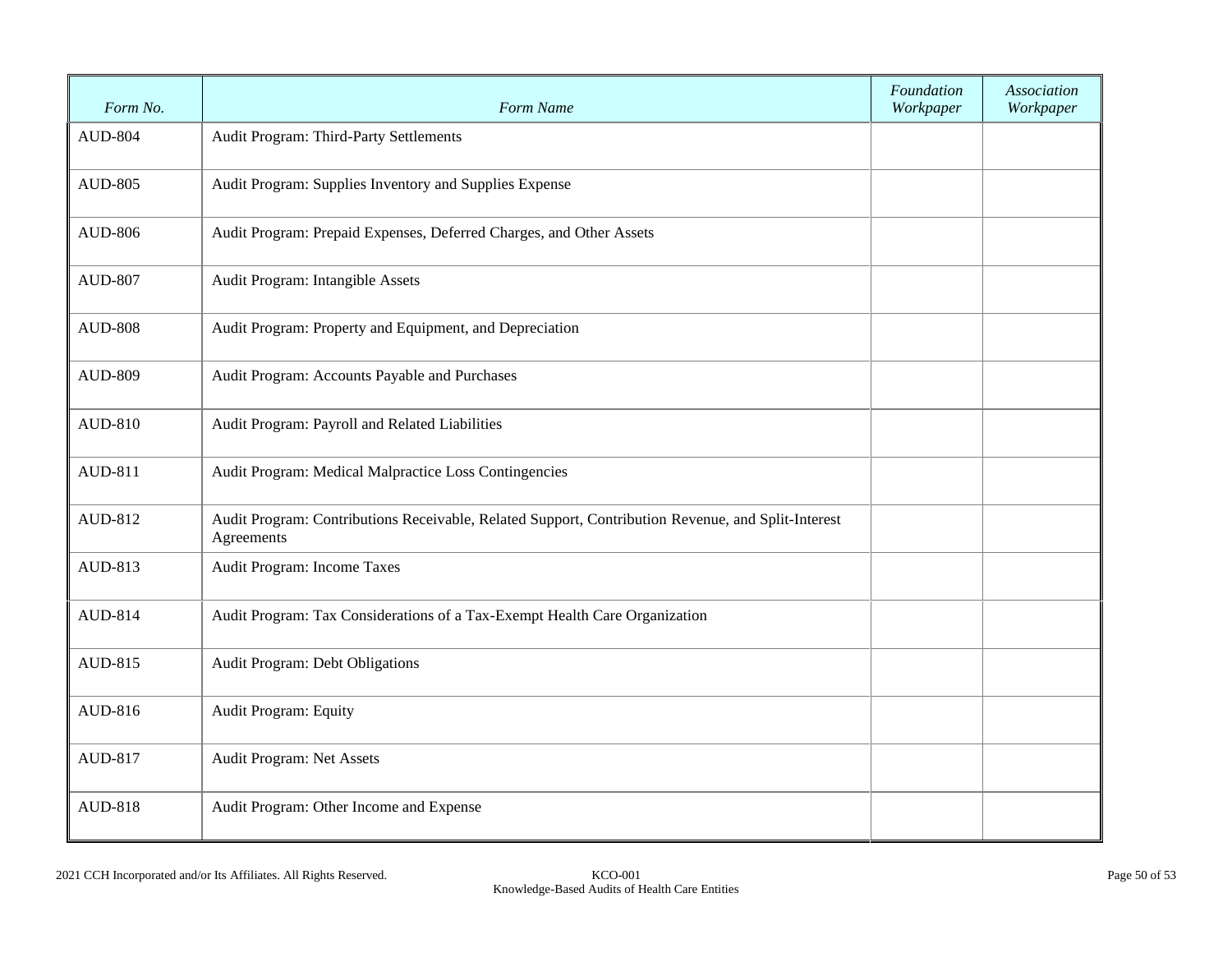| Form No.       | Form Name                                                                                                        | Foundation<br>Workpaper | Association<br>Workpaper |
|----------------|------------------------------------------------------------------------------------------------------------------|-------------------------|--------------------------|
| <b>AUD-804</b> | Audit Program: Third-Party Settlements                                                                           |                         |                          |
| <b>AUD-805</b> | Audit Program: Supplies Inventory and Supplies Expense                                                           |                         |                          |
| <b>AUD-806</b> | Audit Program: Prepaid Expenses, Deferred Charges, and Other Assets                                              |                         |                          |
| <b>AUD-807</b> | Audit Program: Intangible Assets                                                                                 |                         |                          |
| <b>AUD-808</b> | Audit Program: Property and Equipment, and Depreciation                                                          |                         |                          |
| <b>AUD-809</b> | Audit Program: Accounts Payable and Purchases                                                                    |                         |                          |
| AUD-810        | Audit Program: Payroll and Related Liabilities                                                                   |                         |                          |
| AUD-811        | Audit Program: Medical Malpractice Loss Contingencies                                                            |                         |                          |
| AUD-812        | Audit Program: Contributions Receivable, Related Support, Contribution Revenue, and Split-Interest<br>Agreements |                         |                          |
| AUD-813        | Audit Program: Income Taxes                                                                                      |                         |                          |
| AUD-814        | Audit Program: Tax Considerations of a Tax-Exempt Health Care Organization                                       |                         |                          |
| AUD-815        | Audit Program: Debt Obligations                                                                                  |                         |                          |
| AUD-816        | Audit Program: Equity                                                                                            |                         |                          |
| AUD-817        | Audit Program: Net Assets                                                                                        |                         |                          |
| <b>AUD-818</b> | Audit Program: Other Income and Expense                                                                          |                         |                          |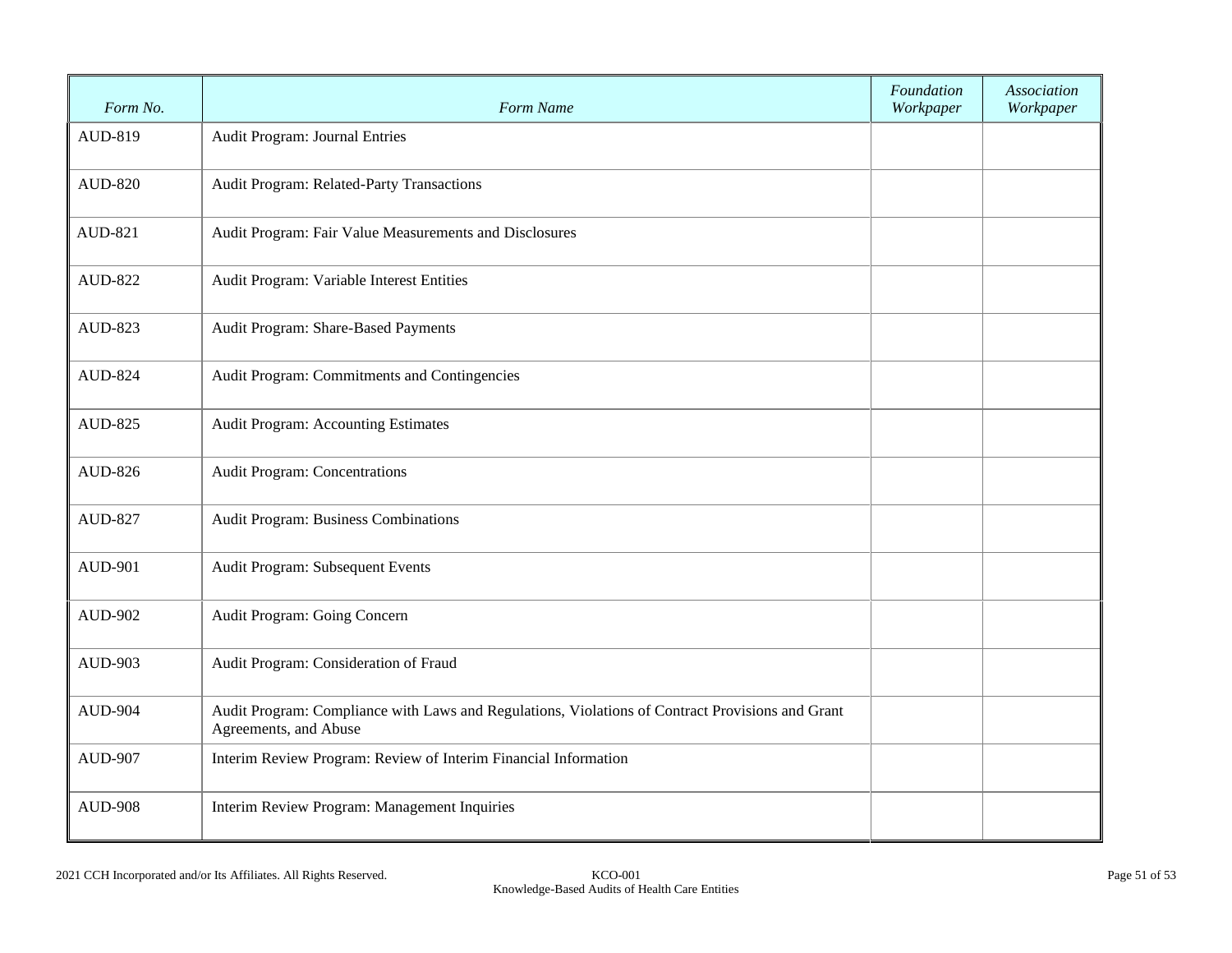| Form No.       | Form Name                                                                                                                 | Foundation<br>Workpaper | Association<br>Workpaper |
|----------------|---------------------------------------------------------------------------------------------------------------------------|-------------------------|--------------------------|
| AUD-819        | Audit Program: Journal Entries                                                                                            |                         |                          |
| <b>AUD-820</b> | Audit Program: Related-Party Transactions                                                                                 |                         |                          |
| AUD-821        | Audit Program: Fair Value Measurements and Disclosures                                                                    |                         |                          |
| <b>AUD-822</b> | Audit Program: Variable Interest Entities                                                                                 |                         |                          |
| AUD-823        | Audit Program: Share-Based Payments                                                                                       |                         |                          |
| <b>AUD-824</b> | Audit Program: Commitments and Contingencies                                                                              |                         |                          |
| <b>AUD-825</b> | <b>Audit Program: Accounting Estimates</b>                                                                                |                         |                          |
| AUD-826        | Audit Program: Concentrations                                                                                             |                         |                          |
| <b>AUD-827</b> | Audit Program: Business Combinations                                                                                      |                         |                          |
| <b>AUD-901</b> | Audit Program: Subsequent Events                                                                                          |                         |                          |
| <b>AUD-902</b> | Audit Program: Going Concern                                                                                              |                         |                          |
| <b>AUD-903</b> | Audit Program: Consideration of Fraud                                                                                     |                         |                          |
| <b>AUD-904</b> | Audit Program: Compliance with Laws and Regulations, Violations of Contract Provisions and Grant<br>Agreements, and Abuse |                         |                          |
| <b>AUD-907</b> | Interim Review Program: Review of Interim Financial Information                                                           |                         |                          |
| <b>AUD-908</b> | Interim Review Program: Management Inquiries                                                                              |                         |                          |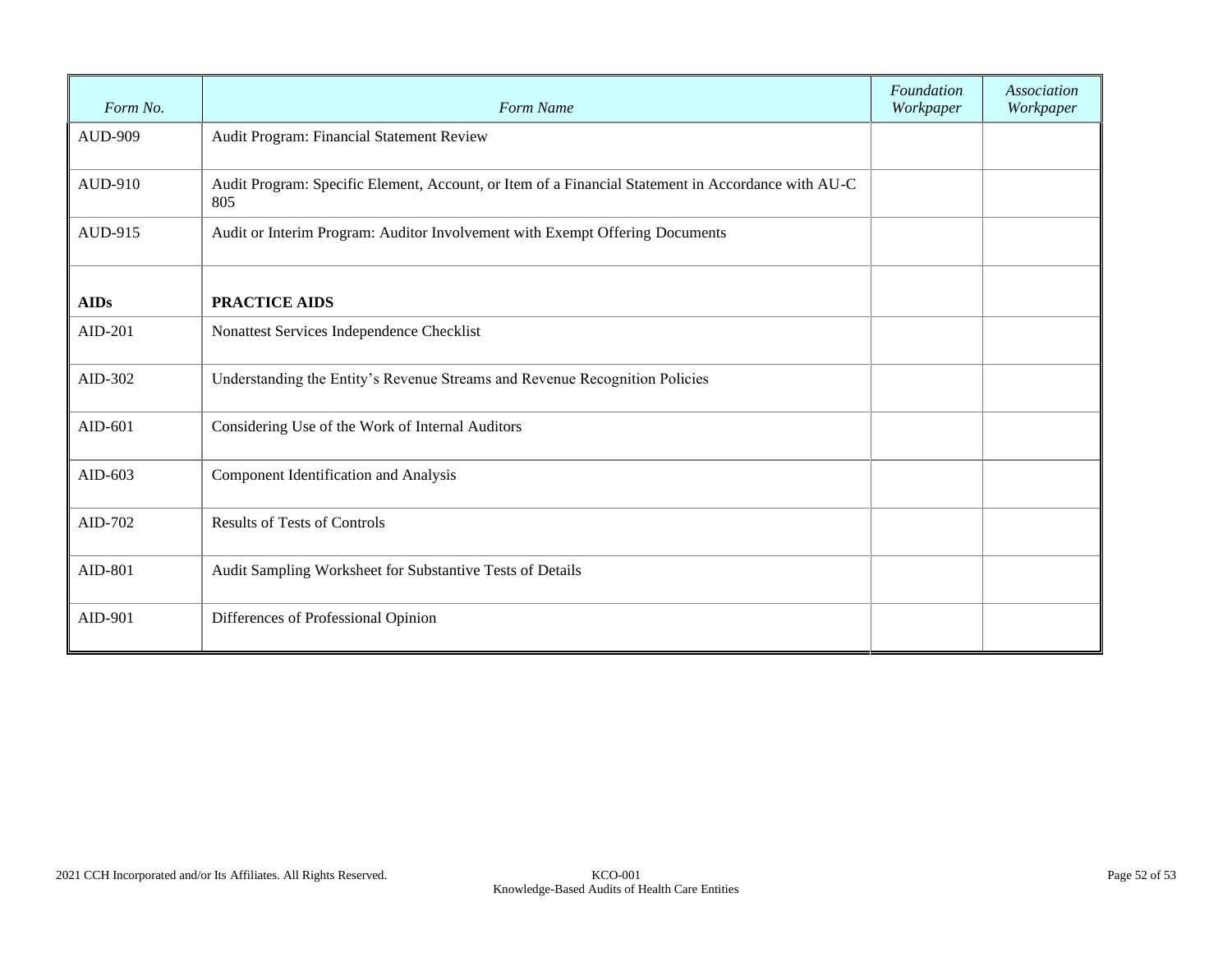| Form No.       | Form Name                                                                                                 | Foundation<br>Workpaper | Association<br>Workpaper |
|----------------|-----------------------------------------------------------------------------------------------------------|-------------------------|--------------------------|
| <b>AUD-909</b> | Audit Program: Financial Statement Review                                                                 |                         |                          |
| AUD-910        | Audit Program: Specific Element, Account, or Item of a Financial Statement in Accordance with AU-C<br>805 |                         |                          |
| AUD-915        | Audit or Interim Program: Auditor Involvement with Exempt Offering Documents                              |                         |                          |
| <b>AIDs</b>    | <b>PRACTICE AIDS</b>                                                                                      |                         |                          |
| AID-201        | Nonattest Services Independence Checklist                                                                 |                         |                          |
| AID-302        | Understanding the Entity's Revenue Streams and Revenue Recognition Policies                               |                         |                          |
| AID-601        | Considering Use of the Work of Internal Auditors                                                          |                         |                          |
| AID-603        | Component Identification and Analysis                                                                     |                         |                          |
| AID-702        | <b>Results of Tests of Controls</b>                                                                       |                         |                          |
| AID-801        | Audit Sampling Worksheet for Substantive Tests of Details                                                 |                         |                          |
| AID-901        | Differences of Professional Opinion                                                                       |                         |                          |